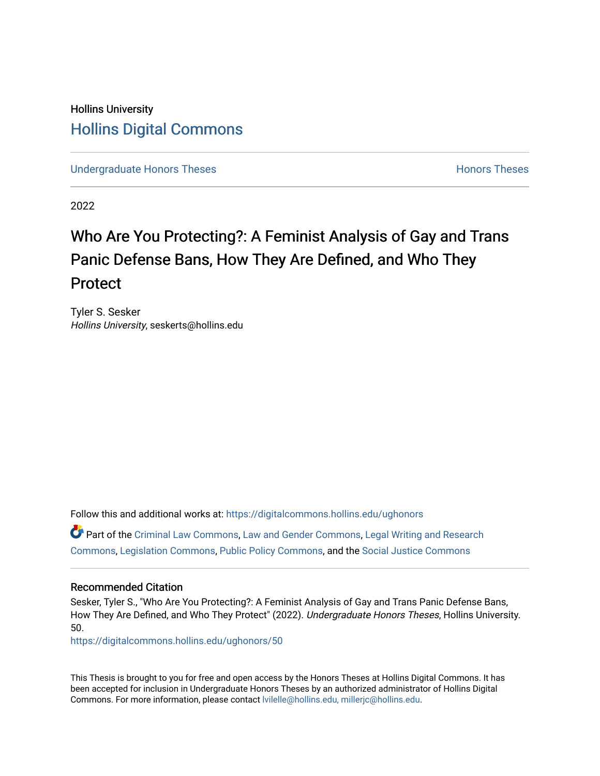# Hollins University [Hollins Digital Commons](https://digitalcommons.hollins.edu/)

[Undergraduate Honors Theses](https://digitalcommons.hollins.edu/ughonors) **Honors Theses Honors Theses Honors Theses** 

2022

# Who Are You Protecting?: A Feminist Analysis of Gay and Trans Panic Defense Bans, How They Are Defined, and Who They **Protect**

Tyler S. Sesker Hollins University, seskerts@hollins.edu

Follow this and additional works at: [https://digitalcommons.hollins.edu/ughonors](https://digitalcommons.hollins.edu/ughonors?utm_source=digitalcommons.hollins.edu%2Fughonors%2F50&utm_medium=PDF&utm_campaign=PDFCoverPages)

Part of the [Criminal Law Commons,](https://network.bepress.com/hgg/discipline/912?utm_source=digitalcommons.hollins.edu%2Fughonors%2F50&utm_medium=PDF&utm_campaign=PDFCoverPages) [Law and Gender Commons](https://network.bepress.com/hgg/discipline/1298?utm_source=digitalcommons.hollins.edu%2Fughonors%2F50&utm_medium=PDF&utm_campaign=PDFCoverPages), [Legal Writing and Research](https://network.bepress.com/hgg/discipline/614?utm_source=digitalcommons.hollins.edu%2Fughonors%2F50&utm_medium=PDF&utm_campaign=PDFCoverPages)  [Commons](https://network.bepress.com/hgg/discipline/614?utm_source=digitalcommons.hollins.edu%2Fughonors%2F50&utm_medium=PDF&utm_campaign=PDFCoverPages), [Legislation Commons,](https://network.bepress.com/hgg/discipline/859?utm_source=digitalcommons.hollins.edu%2Fughonors%2F50&utm_medium=PDF&utm_campaign=PDFCoverPages) [Public Policy Commons,](https://network.bepress.com/hgg/discipline/400?utm_source=digitalcommons.hollins.edu%2Fughonors%2F50&utm_medium=PDF&utm_campaign=PDFCoverPages) and the [Social Justice Commons](https://network.bepress.com/hgg/discipline/1432?utm_source=digitalcommons.hollins.edu%2Fughonors%2F50&utm_medium=PDF&utm_campaign=PDFCoverPages)

#### Recommended Citation

Sesker, Tyler S., "Who Are You Protecting?: A Feminist Analysis of Gay and Trans Panic Defense Bans, How They Are Defined, and Who They Protect" (2022). Undergraduate Honors Theses, Hollins University. 50.

[https://digitalcommons.hollins.edu/ughonors/50](https://digitalcommons.hollins.edu/ughonors/50?utm_source=digitalcommons.hollins.edu%2Fughonors%2F50&utm_medium=PDF&utm_campaign=PDFCoverPages) 

This Thesis is brought to you for free and open access by the Honors Theses at Hollins Digital Commons. It has been accepted for inclusion in Undergraduate Honors Theses by an authorized administrator of Hollins Digital Commons. For more information, please contact [lvilelle@hollins.edu, millerjc@hollins.edu.](mailto:lvilelle@hollins.edu,%20millerjc@hollins.edu)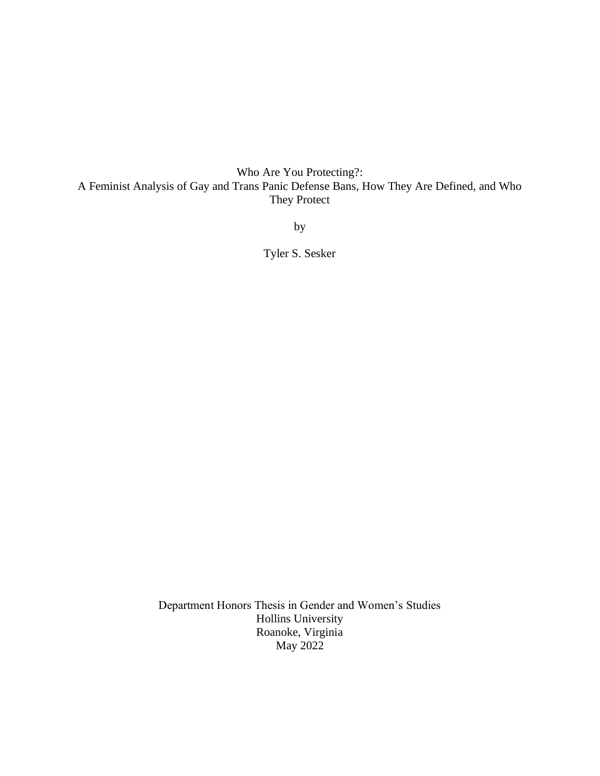Who Are You Protecting?: A Feminist Analysis of Gay and Trans Panic Defense Bans, How They Are Defined, and Who They Protect

by

Tyler S. Sesker

Department Honors Thesis in Gender and Women's Studies Hollins University Roanoke, Virginia May 2022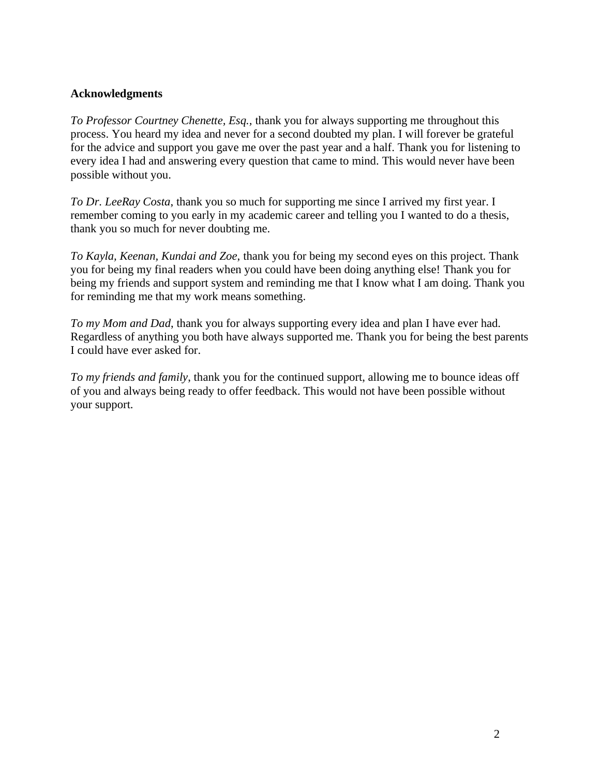# **Acknowledgments**

*To Professor Courtney Chenette, Esq.,* thank you for always supporting me throughout this process. You heard my idea and never for a second doubted my plan. I will forever be grateful for the advice and support you gave me over the past year and a half. Thank you for listening to every idea I had and answering every question that came to mind. This would never have been possible without you.

*To Dr. LeeRay Costa*, thank you so much for supporting me since I arrived my first year. I remember coming to you early in my academic career and telling you I wanted to do a thesis, thank you so much for never doubting me.

*To Kayla, Keenan, Kundai and Zoe*, thank you for being my second eyes on this project. Thank you for being my final readers when you could have been doing anything else! Thank you for being my friends and support system and reminding me that I know what I am doing. Thank you for reminding me that my work means something.

*To my Mom and Dad*, thank you for always supporting every idea and plan I have ever had. Regardless of anything you both have always supported me. Thank you for being the best parents I could have ever asked for.

*To my friends and family*, thank you for the continued support, allowing me to bounce ideas off of you and always being ready to offer feedback. This would not have been possible without your support.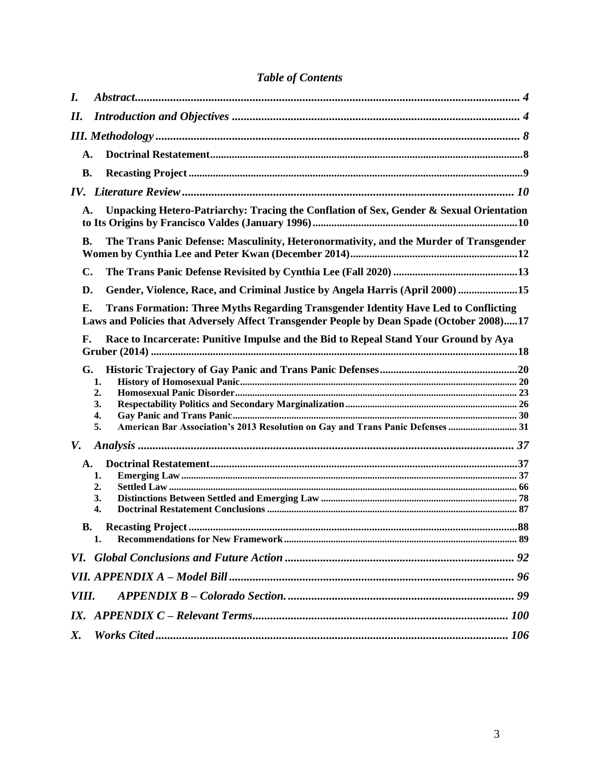| $\bm{I}$ . |                                                                                                                                                                                         |     |
|------------|-----------------------------------------------------------------------------------------------------------------------------------------------------------------------------------------|-----|
| II.        |                                                                                                                                                                                         |     |
|            |                                                                                                                                                                                         |     |
| A.         |                                                                                                                                                                                         |     |
| <b>B.</b>  |                                                                                                                                                                                         |     |
|            |                                                                                                                                                                                         |     |
| A.         | Unpacking Hetero-Patriarchy: Tracing the Conflation of Sex, Gender & Sexual Orientation                                                                                                 |     |
| В.         | The Trans Panic Defense: Masculinity, Heteronormativity, and the Murder of Transgender                                                                                                  |     |
| C.         |                                                                                                                                                                                         |     |
| D.         | Gender, Violence, Race, and Criminal Justice by Angela Harris (April 2000) 15                                                                                                           |     |
| Е.         | <b>Trans Formation: Three Myths Regarding Transgender Identity Have Led to Conflicting</b><br>Laws and Policies that Adversely Affect Transgender People by Dean Spade (October 2008)17 |     |
| F.         | Race to Incarcerate: Punitive Impulse and the Bid to Repeal Stand Your Ground by Aya                                                                                                    |     |
| G.         | 1.<br>2.<br>3.<br>4.<br>American Bar Association's 2013 Resolution on Gay and Trans Panic Defenses  31<br>5.                                                                            |     |
| V.         |                                                                                                                                                                                         |     |
| A.         | 1.<br>2.<br>3.<br>4.                                                                                                                                                                    |     |
|            | 1.                                                                                                                                                                                      | .88 |
|            |                                                                                                                                                                                         |     |
|            |                                                                                                                                                                                         |     |
| VIII.      |                                                                                                                                                                                         |     |
|            |                                                                                                                                                                                         |     |
| X.         |                                                                                                                                                                                         |     |

# **Table of Contents**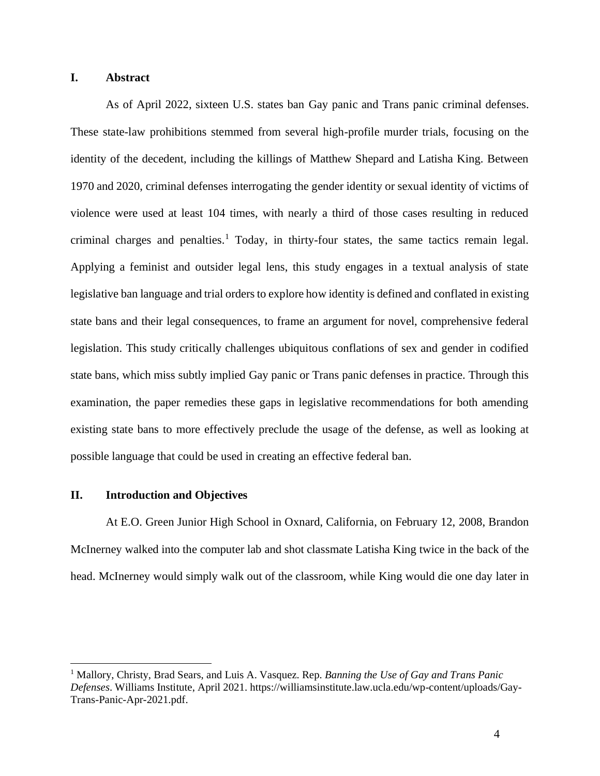### <span id="page-4-0"></span>**I. Abstract**

As of April 2022, sixteen U.S. states ban Gay panic and Trans panic criminal defenses. These state-law prohibitions stemmed from several high-profile murder trials, focusing on the identity of the decedent, including the killings of Matthew Shepard and Latisha King. Between 1970 and 2020, criminal defenses interrogating the gender identity or sexual identity of victims of violence were used at least 104 times, with nearly a third of those cases resulting in reduced criminal charges and penalties.<sup>1</sup> Today, in thirty-four states, the same tactics remain legal. Applying a feminist and outsider legal lens, this study engages in a textual analysis of state legislative ban language and trial orders to explore how identity is defined and conflated in existing state bans and their legal consequences, to frame an argument for novel, comprehensive federal legislation. This study critically challenges ubiquitous conflations of sex and gender in codified state bans, which miss subtly implied Gay panic or Trans panic defenses in practice. Through this examination, the paper remedies these gaps in legislative recommendations for both amending existing state bans to more effectively preclude the usage of the defense, as well as looking at possible language that could be used in creating an effective federal ban.

#### <span id="page-4-1"></span>**II. Introduction and Objectives**

At E.O. Green Junior High School in Oxnard, California, on February 12, 2008, Brandon McInerney walked into the computer lab and shot classmate Latisha King twice in the back of the head. McInerney would simply walk out of the classroom, while King would die one day later in

<sup>1</sup> Mallory, Christy, Brad Sears, and Luis A. Vasquez. Rep. *Banning the Use of Gay and Trans Panic Defenses*. Williams Institute, April 2021. https://williamsinstitute.law.ucla.edu/wp-content/uploads/Gay-Trans-Panic-Apr-2021.pdf.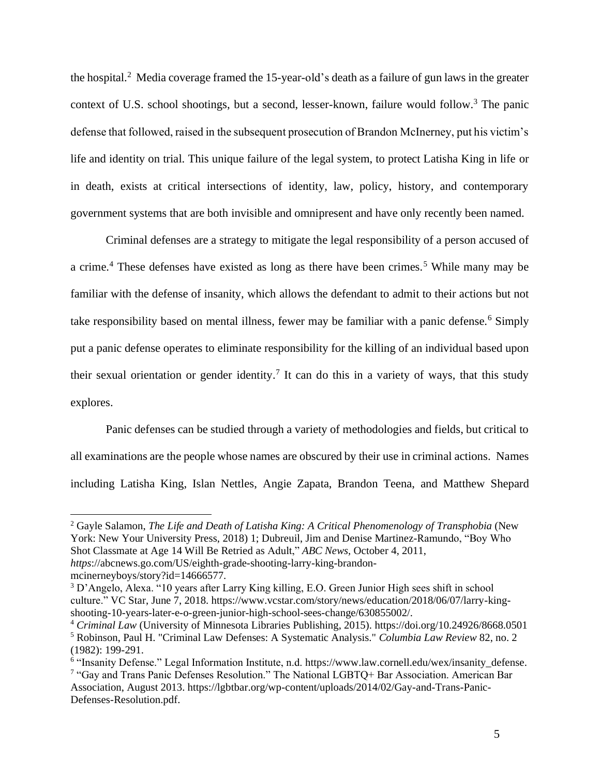the hospital.<sup>2</sup> Media coverage framed the 15-year-old's death as a failure of gun laws in the greater context of U.S. school shootings, but a second, lesser-known, failure would follow.<sup>3</sup> The panic defense that followed, raised in the subsequent prosecution of Brandon McInerney, put his victim's life and identity on trial. This unique failure of the legal system, to protect Latisha King in life or in death, exists at critical intersections of identity, law, policy, history, and contemporary government systems that are both invisible and omnipresent and have only recently been named.

Criminal defenses are a strategy to mitigate the legal responsibility of a person accused of a crime.<sup>4</sup> These defenses have existed as long as there have been crimes.<sup>5</sup> While many may be familiar with the defense of insanity, which allows the defendant to admit to their actions but not take responsibility based on mental illness, fewer may be familiar with a panic defense.<sup>6</sup> Simply put a panic defense operates to eliminate responsibility for the killing of an individual based upon their sexual orientation or gender identity.<sup>7</sup> It can do this in a variety of ways, that this study explores.

Panic defenses can be studied through a variety of methodologies and fields, but critical to all examinations are the people whose names are obscured by their use in criminal actions. Names including Latisha King, Islan Nettles, Angie Zapata, Brandon Teena, and Matthew Shepard

<sup>2</sup> Gayle Salamon, *The Life and Death of Latisha King: A Critical Phenomenology of Transphobia* (New York: New Your University Press, 2018) 1; Dubreuil, Jim and Denise Martinez-Ramundo, "Boy Who Shot Classmate at Age 14 Will Be Retried as Adult," *ABC News,* October 4, 2011, *https*://abcnews.go.com/US/eighth-grade-shooting-larry-king-brandonmcinerneyboys/story?id=14666577.

<sup>&</sup>lt;sup>3</sup> D'Angelo, Alexa. "10 years after Larry King killing, E.O. Green Junior High sees shift in school culture." VC Star, June 7, 2018. https://www.vcstar.com/story/news/education/2018/06/07/larry-kingshooting-10-years-later-e-o-green-junior-high-school-sees-change/630855002/.

<sup>4</sup> *Criminal Law* (University of Minnesota Libraries Publishing, 2015). https://doi.org/10.24926/8668.0501 <sup>5</sup> Robinson, Paul H. "Criminal Law Defenses: A Systematic Analysis." *Columbia Law Review* 82, no. 2 (1982): 199-291.

<sup>&</sup>lt;sup>6</sup> "Insanity Defense." Legal Information Institute, n.d. https://www.law.cornell.edu/wex/insanity\_defense. <sup>7</sup> "Gay and Trans Panic Defenses Resolution." The National LGBTQ+ Bar Association. American Bar Association, August 2013. https://lgbtbar.org/wp-content/uploads/2014/02/Gay-and-Trans-Panic-Defenses-Resolution.pdf.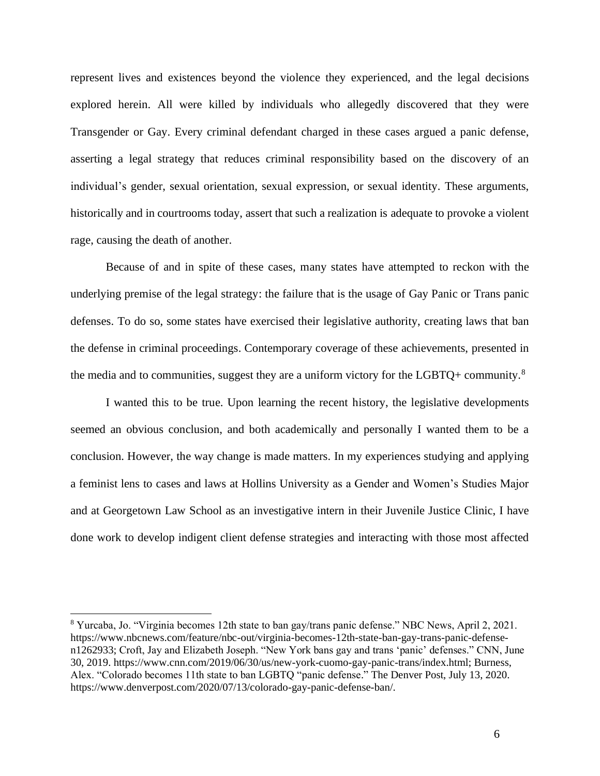represent lives and existences beyond the violence they experienced, and the legal decisions explored herein. All were killed by individuals who allegedly discovered that they were Transgender or Gay. Every criminal defendant charged in these cases argued a panic defense, asserting a legal strategy that reduces criminal responsibility based on the discovery of an individual's gender, sexual orientation, sexual expression, or sexual identity. These arguments, historically and in courtrooms today, assert that such a realization is adequate to provoke a violent rage, causing the death of another.

Because of and in spite of these cases, many states have attempted to reckon with the underlying premise of the legal strategy: the failure that is the usage of Gay Panic or Trans panic defenses. To do so, some states have exercised their legislative authority, creating laws that ban the defense in criminal proceedings. Contemporary coverage of these achievements, presented in the media and to communities, suggest they are a uniform victory for the LGBTQ+ community. $8$ 

I wanted this to be true. Upon learning the recent history, the legislative developments seemed an obvious conclusion, and both academically and personally I wanted them to be a conclusion. However, the way change is made matters. In my experiences studying and applying a feminist lens to cases and laws at Hollins University as a Gender and Women's Studies Major and at Georgetown Law School as an investigative intern in their Juvenile Justice Clinic, I have done work to develop indigent client defense strategies and interacting with those most affected

<sup>8</sup> Yurcaba, Jo. "Virginia becomes 12th state to ban gay/trans panic defense." NBC News, April 2, 2021. https://www.nbcnews.com/feature/nbc-out/virginia-becomes-12th-state-ban-gay-trans-panic-defensen1262933; Croft, Jay and Elizabeth Joseph. "New York bans gay and trans 'panic' defenses." CNN, June 30, 2019. [https://www.cnn.com/2019/06/30/us/new-york-cuomo-gay-panic-trans/index.html;](https://www.cnn.com/2019/06/30/us/new-york-cuomo-gay-panic-trans/index.html) Burness, Alex. "Colorado becomes 11th state to ban LGBTQ "panic defense." The Denver Post, July 13, 2020. https://www.denverpost.com/2020/07/13/colorado-gay-panic-defense-ban/.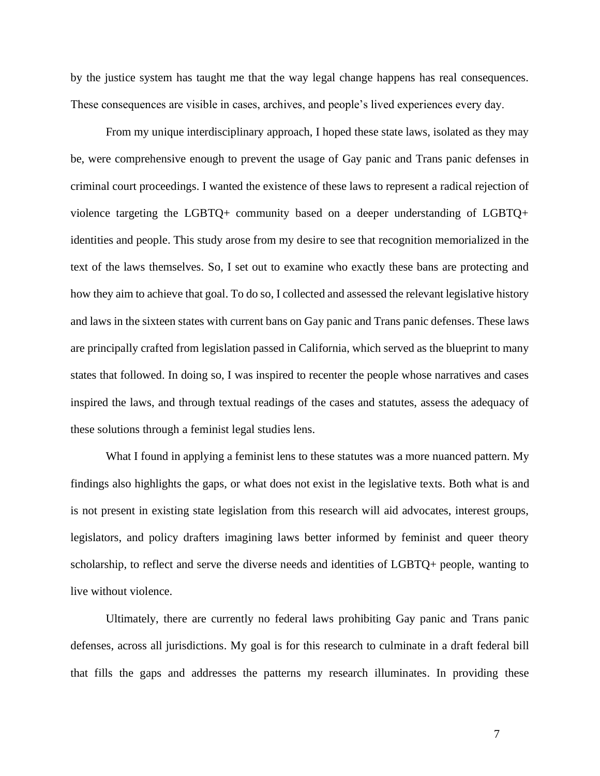by the justice system has taught me that the way legal change happens has real consequences. These consequences are visible in cases, archives, and people's lived experiences every day.

From my unique interdisciplinary approach, I hoped these state laws, isolated as they may be, were comprehensive enough to prevent the usage of Gay panic and Trans panic defenses in criminal court proceedings. I wanted the existence of these laws to represent a radical rejection of violence targeting the LGBTQ+ community based on a deeper understanding of LGBTQ+ identities and people. This study arose from my desire to see that recognition memorialized in the text of the laws themselves. So, I set out to examine who exactly these bans are protecting and how they aim to achieve that goal. To do so, I collected and assessed the relevant legislative history and laws in the sixteen states with current bans on Gay panic and Trans panic defenses. These laws are principally crafted from legislation passed in California, which served as the blueprint to many states that followed. In doing so, I was inspired to recenter the people whose narratives and cases inspired the laws, and through textual readings of the cases and statutes, assess the adequacy of these solutions through a feminist legal studies lens.

What I found in applying a feminist lens to these statutes was a more nuanced pattern. My findings also highlights the gaps, or what does not exist in the legislative texts. Both what is and is not present in existing state legislation from this research will aid advocates, interest groups, legislators, and policy drafters imagining laws better informed by feminist and queer theory scholarship, to reflect and serve the diverse needs and identities of LGBTQ+ people, wanting to live without violence.

Ultimately, there are currently no federal laws prohibiting Gay panic and Trans panic defenses, across all jurisdictions. My goal is for this research to culminate in a draft federal bill that fills the gaps and addresses the patterns my research illuminates. In providing these

7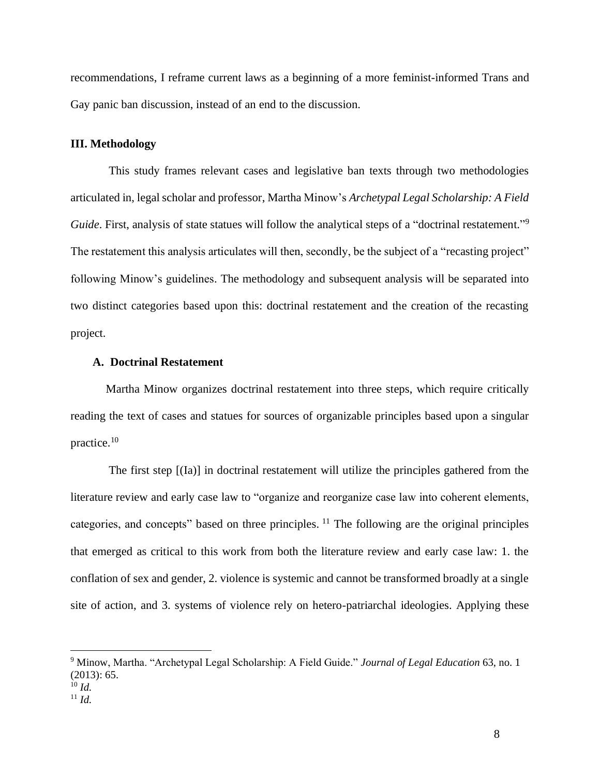recommendations, I reframe current laws as a beginning of a more feminist-informed Trans and Gay panic ban discussion, instead of an end to the discussion.

#### <span id="page-8-0"></span>**III. Methodology**

This study frames relevant cases and legislative ban texts through two methodologies articulated in, legal scholar and professor, Martha Minow's *Archetypal Legal Scholarship: A Field*  Guide. First, analysis of state statues will follow the analytical steps of a "doctrinal restatement."<sup>9</sup> The restatement this analysis articulates will then, secondly, be the subject of a "recasting project" following Minow's guidelines. The methodology and subsequent analysis will be separated into two distinct categories based upon this: doctrinal restatement and the creation of the recasting project.

#### <span id="page-8-1"></span>**A. Doctrinal Restatement**

Martha Minow organizes doctrinal restatement into three steps, which require critically reading the text of cases and statues for sources of organizable principles based upon a singular practice.<sup>10</sup>

The first step [(Ia)] in doctrinal restatement will utilize the principles gathered from the literature review and early case law to "organize and reorganize case law into coherent elements, categories, and concepts" based on three principles.  $\frac{11}{11}$  The following are the original principles that emerged as critical to this work from both the literature review and early case law: 1. the conflation of sex and gender, 2. violence is systemic and cannot be transformed broadly at a single site of action, and 3. systems of violence rely on hetero-patriarchal ideologies. Applying these

<sup>9</sup> Minow, Martha. "Archetypal Legal Scholarship: A Field Guide." *Journal of Legal Education* 63, no. 1 (2013): 65.

<sup>10</sup> *Id.*

<sup>11</sup> *Id.*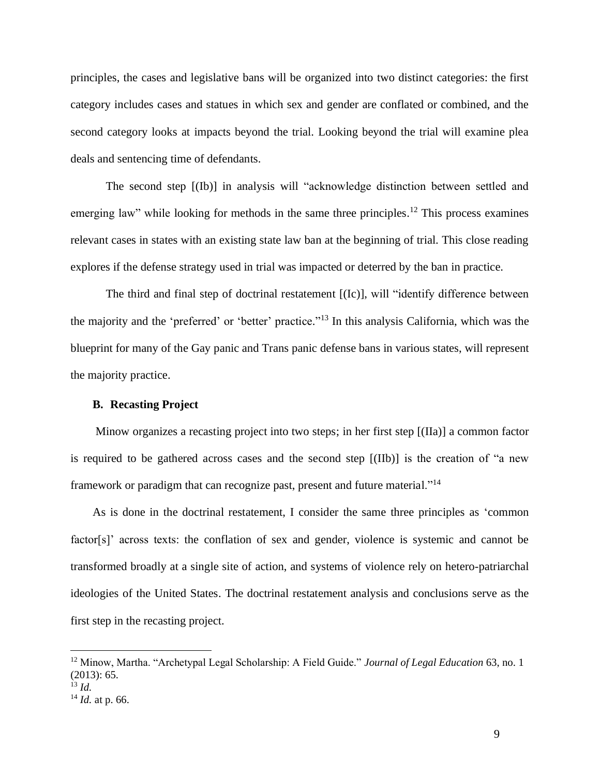principles, the cases and legislative bans will be organized into two distinct categories: the first category includes cases and statues in which sex and gender are conflated or combined, and the second category looks at impacts beyond the trial. Looking beyond the trial will examine plea deals and sentencing time of defendants.

The second step [(Ib)] in analysis will "acknowledge distinction between settled and emerging law" while looking for methods in the same three principles.<sup>12</sup> This process examines relevant cases in states with an existing state law ban at the beginning of trial. This close reading explores if the defense strategy used in trial was impacted or deterred by the ban in practice.

The third and final step of doctrinal restatement [(Ic)], will "identify difference between the majority and the 'preferred' or 'better' practice."<sup>13</sup> In this analysis California, which was the blueprint for many of the Gay panic and Trans panic defense bans in various states, will represent the majority practice.

#### <span id="page-9-0"></span>**B. Recasting Project**

Minow organizes a recasting project into two steps; in her first step [(IIa)] a common factor is required to be gathered across cases and the second step [(IIb)] is the creation of "a new framework or paradigm that can recognize past, present and future material."<sup>14</sup>

As is done in the doctrinal restatement, I consider the same three principles as 'common factor<sup>[s]</sup>' across texts: the conflation of sex and gender, violence is systemic and cannot be transformed broadly at a single site of action, and systems of violence rely on hetero-patriarchal ideologies of the United States. The doctrinal restatement analysis and conclusions serve as the first step in the recasting project.

<sup>12</sup> Minow, Martha. "Archetypal Legal Scholarship: A Field Guide." *Journal of Legal Education* 63, no. 1 (2013): 65.

<sup>13</sup> *Id.*

<sup>14</sup> *Id.* at p. 66.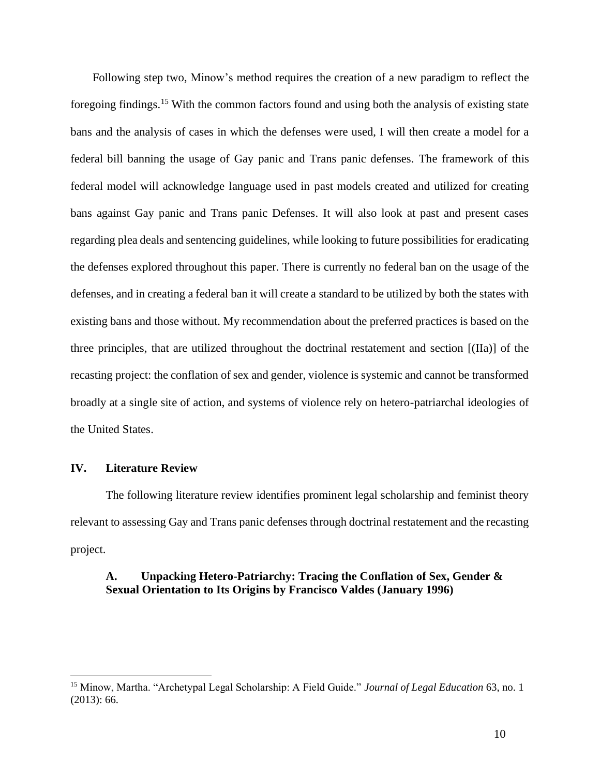Following step two, Minow's method requires the creation of a new paradigm to reflect the foregoing findings. <sup>15</sup> With the common factors found and using both the analysis of existing state bans and the analysis of cases in which the defenses were used, I will then create a model for a federal bill banning the usage of Gay panic and Trans panic defenses. The framework of this federal model will acknowledge language used in past models created and utilized for creating bans against Gay panic and Trans panic Defenses. It will also look at past and present cases regarding plea deals and sentencing guidelines, while looking to future possibilities for eradicating the defenses explored throughout this paper. There is currently no federal ban on the usage of the defenses, and in creating a federal ban it will create a standard to be utilized by both the states with existing bans and those without. My recommendation about the preferred practices is based on the three principles, that are utilized throughout the doctrinal restatement and section [(IIa)] of the recasting project: the conflation of sex and gender, violence is systemic and cannot be transformed broadly at a single site of action, and systems of violence rely on hetero-patriarchal ideologies of the United States.

#### <span id="page-10-0"></span>**IV. Literature Review**

The following literature review identifies prominent legal scholarship and feminist theory relevant to assessing Gay and Trans panic defenses through doctrinal restatement and the recasting project.

# <span id="page-10-1"></span>**A. Unpacking Hetero-Patriarchy: Tracing the Conflation of Sex, Gender & Sexual Orientation to Its Origins by Francisco Valdes (January 1996)**

<sup>15</sup> Minow, Martha. "Archetypal Legal Scholarship: A Field Guide." *Journal of Legal Education* 63, no. 1 (2013): 66.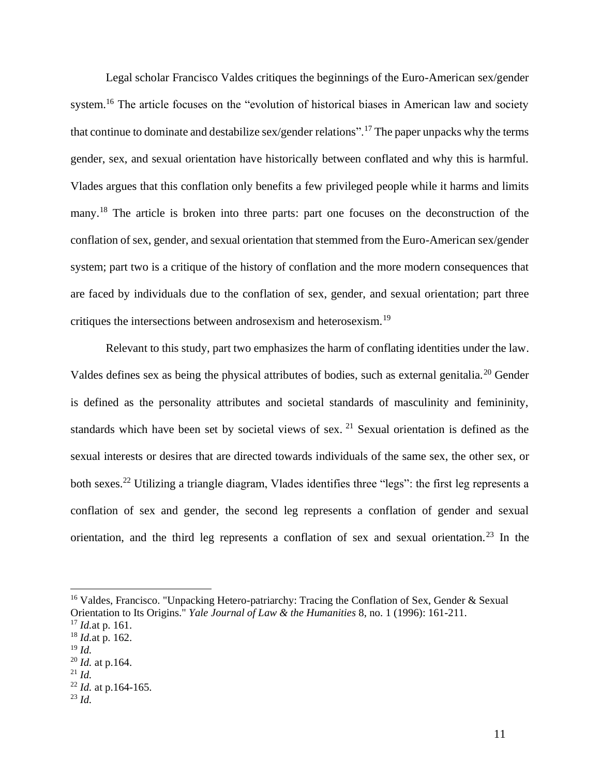Legal scholar Francisco Valdes critiques the beginnings of the Euro-American sex/gender system.<sup>16</sup> The article focuses on the "evolution of historical biases in American law and society that continue to dominate and destabilize sex/gender relations".<sup>17</sup> The paper unpacks why the terms gender, sex, and sexual orientation have historically between conflated and why this is harmful. Vlades argues that this conflation only benefits a few privileged people while it harms and limits many.<sup>18</sup> The article is broken into three parts: part one focuses on the deconstruction of the conflation of sex, gender, and sexual orientation that stemmed from the Euro-American sex/gender system; part two is a critique of the history of conflation and the more modern consequences that are faced by individuals due to the conflation of sex, gender, and sexual orientation; part three critiques the intersections between androsexism and heterosexism.<sup>19</sup>

Relevant to this study, part two emphasizes the harm of conflating identities under the law. Valdes defines sex as being the physical attributes of bodies, such as external genitalia.<sup>20</sup> Gender is defined as the personality attributes and societal standards of masculinity and femininity, standards which have been set by societal views of sex. <sup>21</sup> Sexual orientation is defined as the sexual interests or desires that are directed towards individuals of the same sex, the other sex, or both sexes.<sup>22</sup> Utilizing a triangle diagram, Vlades identifies three "legs": the first leg represents a conflation of sex and gender, the second leg represents a conflation of gender and sexual orientation, and the third leg represents a conflation of sex and sexual orientation.<sup>23</sup> In the

<sup>&</sup>lt;sup>16</sup> Valdes, Francisco. "Unpacking Hetero-patriarchy: Tracing the Conflation of Sex, Gender & Sexual Orientation to Its Origins." *Yale Journal of Law & the Humanities* 8, no. 1 (1996): 161-211.

<sup>17</sup> *Id.*at p. 161.

<sup>18</sup> *Id.*at p. 162.

<sup>19</sup> *Id.*

<sup>20</sup> *Id.* at p.164.

 $^{21}$  *Id.* 

<sup>22</sup> *Id.* at p.164-165.

<sup>23</sup> *Id.*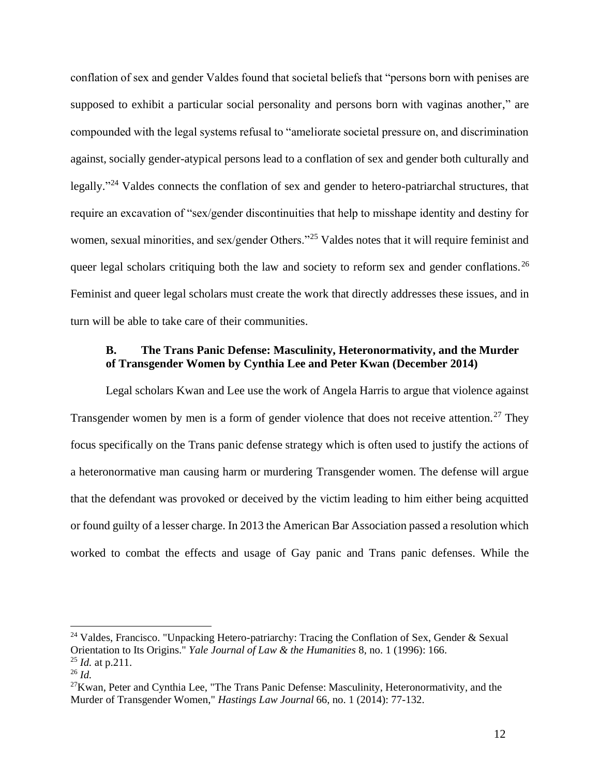conflation of sex and gender Valdes found that societal beliefs that "persons born with penises are supposed to exhibit a particular social personality and persons born with vaginas another," are compounded with the legal systems refusal to "ameliorate societal pressure on, and discrimination against, socially gender-atypical persons lead to a conflation of sex and gender both culturally and legally."<sup>24</sup> Valdes connects the conflation of sex and gender to hetero-patriarchal structures, that require an excavation of "sex/gender discontinuities that help to misshape identity and destiny for women, sexual minorities, and sex/gender Others."<sup>25</sup> Valdes notes that it will require feminist and queer legal scholars critiquing both the law and society to reform sex and gender conflations.<sup>26</sup> Feminist and queer legal scholars must create the work that directly addresses these issues, and in turn will be able to take care of their communities.

# <span id="page-12-0"></span>**B. The Trans Panic Defense: Masculinity, Heteronormativity, and the Murder of Transgender Women by Cynthia Lee and Peter Kwan (December 2014)**

Legal scholars Kwan and Lee use the work of Angela Harris to argue that violence against Transgender women by men is a form of gender violence that does not receive attention.<sup>27</sup> They focus specifically on the Trans panic defense strategy which is often used to justify the actions of a heteronormative man causing harm or murdering Transgender women. The defense will argue that the defendant was provoked or deceived by the victim leading to him either being acquitted or found guilty of a lesser charge. In 2013 the American Bar Association passed a resolution which worked to combat the effects and usage of Gay panic and Trans panic defenses. While the

<sup>&</sup>lt;sup>24</sup> Valdes, Francisco. "Unpacking Hetero-patriarchy: Tracing the Conflation of Sex, Gender & Sexual Orientation to Its Origins." *Yale Journal of Law & the Humanities* 8, no. 1 (1996): 166. <sup>25</sup> *Id.* at p.211.

<sup>26</sup> *Id.*

<sup>&</sup>lt;sup>27</sup>Kwan, Peter and Cynthia Lee, "The Trans Panic Defense: Masculinity, Heteronormativity, and the Murder of Transgender Women," *Hastings Law Journal* 66, no. 1 (2014): 77-132.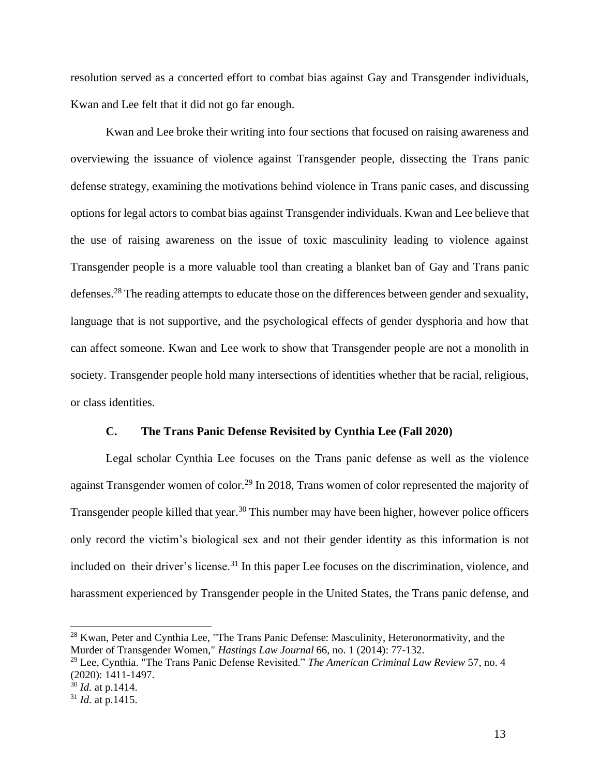resolution served as a concerted effort to combat bias against Gay and Transgender individuals, Kwan and Lee felt that it did not go far enough.

Kwan and Lee broke their writing into four sections that focused on raising awareness and overviewing the issuance of violence against Transgender people, dissecting the Trans panic defense strategy, examining the motivations behind violence in Trans panic cases, and discussing options for legal actors to combat bias against Transgender individuals. Kwan and Lee believe that the use of raising awareness on the issue of toxic masculinity leading to violence against Transgender people is a more valuable tool than creating a blanket ban of Gay and Trans panic defenses.<sup>28</sup> The reading attempts to educate those on the differences between gender and sexuality, language that is not supportive, and the psychological effects of gender dysphoria and how that can affect someone. Kwan and Lee work to show that Transgender people are not a monolith in society. Transgender people hold many intersections of identities whether that be racial, religious, or class identities.

#### **C. The Trans Panic Defense Revisited by Cynthia Lee (Fall 2020)**

<span id="page-13-0"></span>Legal scholar Cynthia Lee focuses on the Trans panic defense as well as the violence against Transgender women of color.<sup>29</sup> In 2018, Trans women of color represented the majority of Transgender people killed that year.<sup>30</sup> This number may have been higher, however police officers only record the victim's biological sex and not their gender identity as this information is not included on their driver's license.<sup>31</sup> In this paper Lee focuses on the discrimination, violence, and harassment experienced by Transgender people in the United States, the Trans panic defense, and

<sup>28</sup> Kwan, Peter and Cynthia Lee, "The Trans Panic Defense: Masculinity, Heteronormativity, and the Murder of Transgender Women," *Hastings Law Journal* 66, no. 1 (2014): 77-132.

<sup>29</sup> Lee, Cynthia. "The Trans Panic Defense Revisited." *The American Criminal Law Review* 57, no. 4 (2020): 1411-1497.

<sup>30</sup> *Id.* at p.1414.

 $31$  *Id.* at p.1415.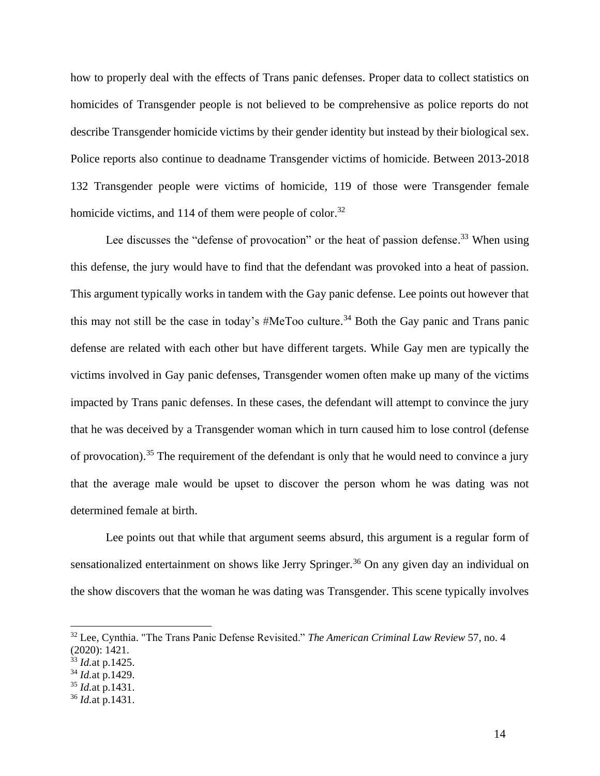how to properly deal with the effects of Trans panic defenses. Proper data to collect statistics on homicides of Transgender people is not believed to be comprehensive as police reports do not describe Transgender homicide victims by their gender identity but instead by their biological sex. Police reports also continue to deadname Transgender victims of homicide. Between 2013-2018 132 Transgender people were victims of homicide, 119 of those were Transgender female homicide victims, and 114 of them were people of color.<sup>32</sup>

Lee discusses the "defense of provocation" or the heat of passion defense.<sup>33</sup> When using this defense, the jury would have to find that the defendant was provoked into a heat of passion. This argument typically works in tandem with the Gay panic defense. Lee points out however that this may not still be the case in today's #MeToo culture.<sup>34</sup> Both the Gay panic and Trans panic defense are related with each other but have different targets. While Gay men are typically the victims involved in Gay panic defenses, Transgender women often make up many of the victims impacted by Trans panic defenses. In these cases, the defendant will attempt to convince the jury that he was deceived by a Transgender woman which in turn caused him to lose control (defense of provocation).<sup>35</sup> The requirement of the defendant is only that he would need to convince a jury that the average male would be upset to discover the person whom he was dating was not determined female at birth.

Lee points out that while that argument seems absurd, this argument is a regular form of sensationalized entertainment on shows like Jerry Springer.<sup>36</sup> On any given day an individual on the show discovers that the woman he was dating was Transgender. This scene typically involves

<sup>32</sup> Lee, Cynthia. "The Trans Panic Defense Revisited." *The American Criminal Law Review* 57, no. 4 (2020): 1421.

<sup>33</sup> *Id.*at p.1425.

<sup>34</sup> *Id.*at p.1429.

<sup>35</sup> *Id.*at p.1431.

<sup>36</sup> *Id.*at p.1431.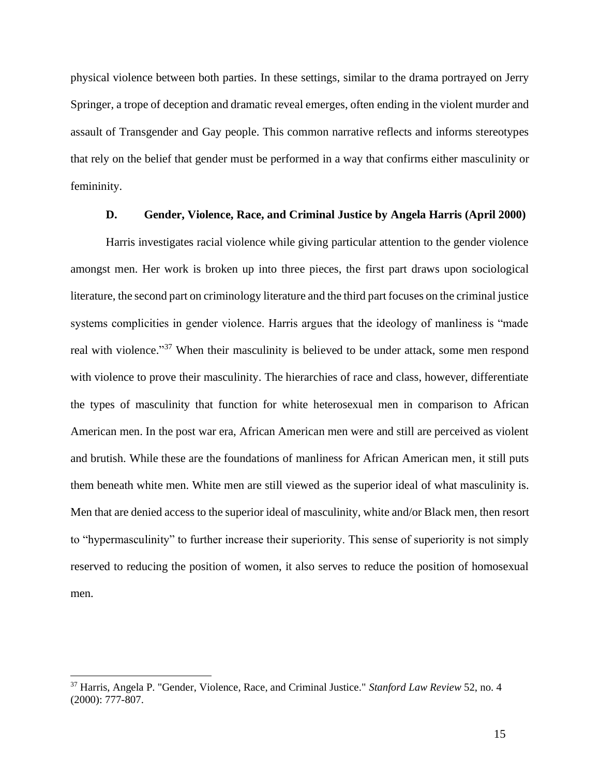physical violence between both parties. In these settings, similar to the drama portrayed on Jerry Springer, a trope of deception and dramatic reveal emerges, often ending in the violent murder and assault of Transgender and Gay people. This common narrative reflects and informs stereotypes that rely on the belief that gender must be performed in a way that confirms either masculinity or femininity.

#### <span id="page-15-0"></span>**D. Gender, Violence, Race, and Criminal Justice by Angela Harris (April 2000)**

Harris investigates racial violence while giving particular attention to the gender violence amongst men. Her work is broken up into three pieces, the first part draws upon sociological literature, the second part on criminology literature and the third part focuses on the criminal justice systems complicities in gender violence. Harris argues that the ideology of manliness is "made real with violence."<sup>37</sup> When their masculinity is believed to be under attack, some men respond with violence to prove their masculinity. The hierarchies of race and class, however, differentiate the types of masculinity that function for white heterosexual men in comparison to African American men. In the post war era, African American men were and still are perceived as violent and brutish. While these are the foundations of manliness for African American men, it still puts them beneath white men. White men are still viewed as the superior ideal of what masculinity is. Men that are denied access to the superior ideal of masculinity, white and/or Black men, then resort to "hypermasculinity" to further increase their superiority. This sense of superiority is not simply reserved to reducing the position of women, it also serves to reduce the position of homosexual men.

<sup>37</sup> Harris, Angela P. "Gender, Violence, Race, and Criminal Justice." *Stanford Law Review* 52, no. 4 (2000): 777-807.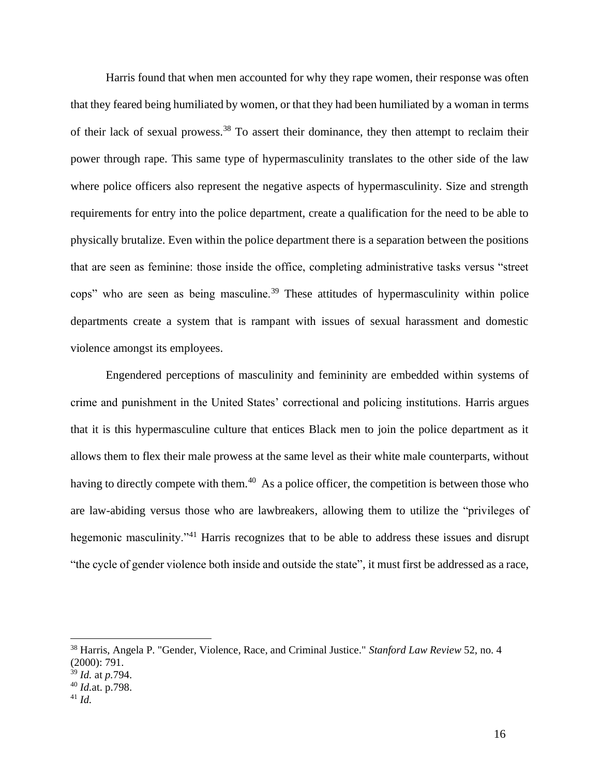Harris found that when men accounted for why they rape women, their response was often that they feared being humiliated by women, or that they had been humiliated by a woman in terms of their lack of sexual prowess.<sup>38</sup> To assert their dominance, they then attempt to reclaim their power through rape. This same type of hypermasculinity translates to the other side of the law where police officers also represent the negative aspects of hypermasculinity. Size and strength requirements for entry into the police department, create a qualification for the need to be able to physically brutalize. Even within the police department there is a separation between the positions that are seen as feminine: those inside the office, completing administrative tasks versus "street cops" who are seen as being masculine.<sup>39</sup> These attitudes of hypermasculinity within police departments create a system that is rampant with issues of sexual harassment and domestic violence amongst its employees.

Engendered perceptions of masculinity and femininity are embedded within systems of crime and punishment in the United States' correctional and policing institutions. Harris argues that it is this hypermasculine culture that entices Black men to join the police department as it allows them to flex their male prowess at the same level as their white male counterparts, without having to directly compete with them.<sup>40</sup> As a police officer, the competition is between those who are law-abiding versus those who are lawbreakers, allowing them to utilize the "privileges of hegemonic masculinity."<sup>41</sup> Harris recognizes that to be able to address these issues and disrupt "the cycle of gender violence both inside and outside the state", it must first be addressed as a race,

<sup>38</sup> Harris, Angela P. "Gender, Violence, Race, and Criminal Justice." *Stanford Law Review* 52, no. 4 (2000): 791.

<sup>39</sup> *Id.* at *p.*794.

<sup>40</sup> *Id.*at. p.798.

<sup>41</sup> *Id.*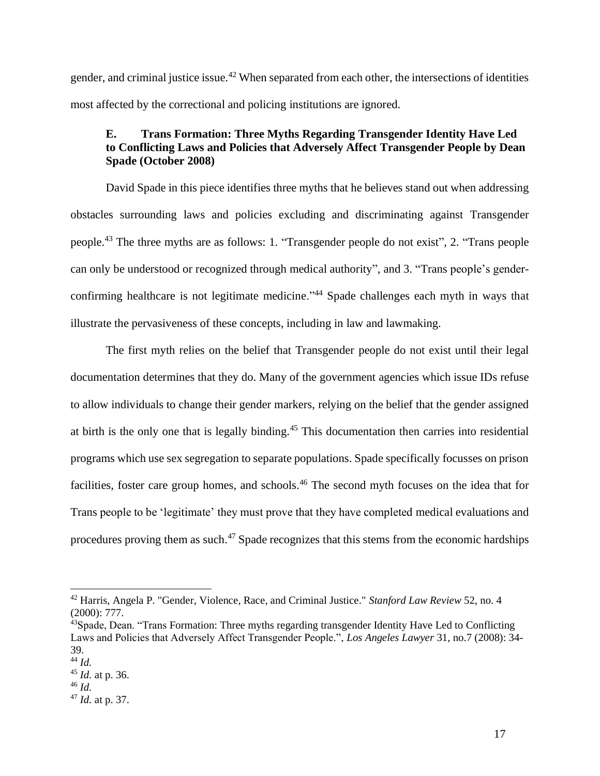gender, and criminal justice issue.<sup>42</sup> When separated from each other, the intersections of identities most affected by the correctional and policing institutions are ignored.

# <span id="page-17-0"></span>**E. Trans Formation: Three Myths Regarding Transgender Identity Have Led to Conflicting Laws and Policies that Adversely Affect Transgender People by Dean Spade (October 2008)**

David Spade in this piece identifies three myths that he believes stand out when addressing obstacles surrounding laws and policies excluding and discriminating against Transgender people.<sup>43</sup> The three myths are as follows: 1. "Transgender people do not exist", 2. "Trans people can only be understood or recognized through medical authority", and 3. "Trans people's genderconfirming healthcare is not legitimate medicine."<sup>44</sup> Spade challenges each myth in ways that illustrate the pervasiveness of these concepts, including in law and lawmaking.

The first myth relies on the belief that Transgender people do not exist until their legal documentation determines that they do. Many of the government agencies which issue IDs refuse to allow individuals to change their gender markers, relying on the belief that the gender assigned at birth is the only one that is legally binding.<sup>45</sup> This documentation then carries into residential programs which use sex segregation to separate populations. Spade specifically focusses on prison facilities, foster care group homes, and schools.<sup>46</sup> The second myth focuses on the idea that for Trans people to be 'legitimate' they must prove that they have completed medical evaluations and procedures proving them as such.<sup>47</sup> Spade recognizes that this stems from the economic hardships

<sup>42</sup> Harris, Angela P. "Gender, Violence, Race, and Criminal Justice." *Stanford Law Review* 52, no. 4 (2000): 777.

<sup>&</sup>lt;sup>43</sup>Spade, Dean. "Trans Formation: Three myths regarding transgender Identity Have Led to Conflicting Laws and Policies that Adversely Affect Transgender People.", *Los Angeles Lawyer* 31, no.7 (2008): 34- 39.

<sup>44</sup> *Id.* <sup>45</sup> *Id.* at p. 36.

<sup>46</sup> *Id.*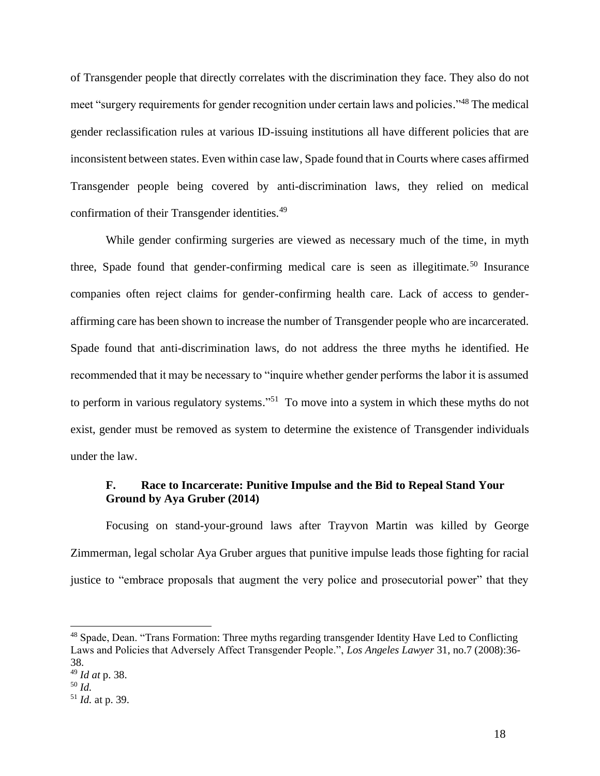of Transgender people that directly correlates with the discrimination they face. They also do not meet "surgery requirements for gender recognition under certain laws and policies."<sup>48</sup> The medical gender reclassification rules at various ID-issuing institutions all have different policies that are inconsistent between states. Even within case law, Spade found that in Courts where cases affirmed Transgender people being covered by anti-discrimination laws, they relied on medical confirmation of their Transgender identities.<sup>49</sup>

While gender confirming surgeries are viewed as necessary much of the time, in myth three, Spade found that gender-confirming medical care is seen as illegitimate.<sup>50</sup> Insurance companies often reject claims for gender-confirming health care. Lack of access to genderaffirming care has been shown to increase the number of Transgender people who are incarcerated. Spade found that anti-discrimination laws, do not address the three myths he identified. He recommended that it may be necessary to "inquire whether gender performs the labor it is assumed to perform in various regulatory systems."<sup>51</sup> To move into a system in which these myths do not exist, gender must be removed as system to determine the existence of Transgender individuals under the law.

## <span id="page-18-0"></span>**F. Race to Incarcerate: Punitive Impulse and the Bid to Repeal Stand Your Ground by Aya Gruber (2014)**

Focusing on stand-your-ground laws after Trayvon Martin was killed by George Zimmerman, legal scholar Aya Gruber argues that punitive impulse leads those fighting for racial justice to "embrace proposals that augment the very police and prosecutorial power" that they

<sup>48</sup> Spade, Dean. "Trans Formation: Three myths regarding transgender Identity Have Led to Conflicting Laws and Policies that Adversely Affect Transgender People.", *Los Angeles Lawyer* 31, no.7 (2008):36- 38.

<sup>49</sup> *Id at* p. 38.

<sup>50</sup> *Id.*

<sup>51</sup> *Id.* at p. 39.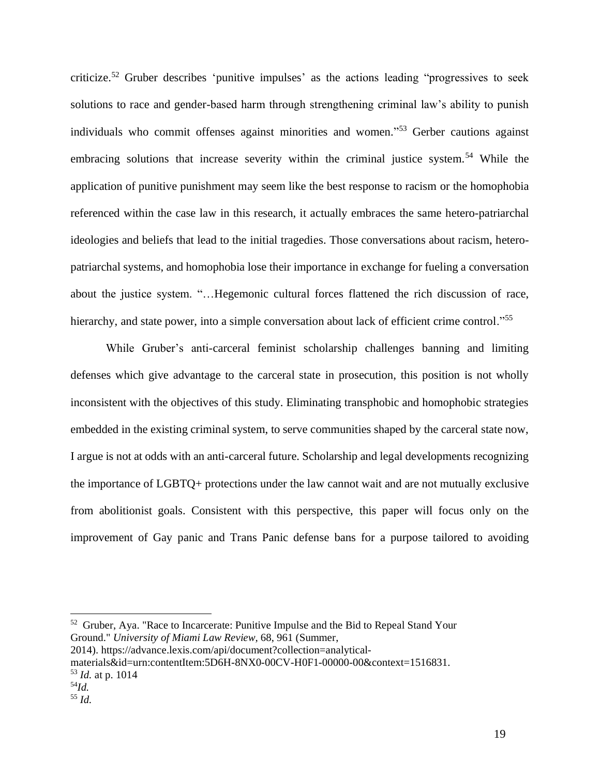criticize.<sup>52</sup> Gruber describes 'punitive impulses' as the actions leading "progressives to seek solutions to race and gender-based harm through strengthening criminal law's ability to punish individuals who commit offenses against minorities and women." <sup>53</sup> Gerber cautions against embracing solutions that increase severity within the criminal justice system.<sup>54</sup> While the application of punitive punishment may seem like the best response to racism or the homophobia referenced within the case law in this research, it actually embraces the same hetero-patriarchal ideologies and beliefs that lead to the initial tragedies. Those conversations about racism, heteropatriarchal systems, and homophobia lose their importance in exchange for fueling a conversation about the justice system. "…Hegemonic cultural forces flattened the rich discussion of race, hierarchy, and state power, into a simple conversation about lack of efficient crime control."<sup>55</sup>

While Gruber's anti-carceral feminist scholarship challenges banning and limiting defenses which give advantage to the carceral state in prosecution, this position is not wholly inconsistent with the objectives of this study. Eliminating transphobic and homophobic strategies embedded in the existing criminal system, to serve communities shaped by the carceral state now, I argue is not at odds with an anti-carceral future. Scholarship and legal developments recognizing the importance of LGBTQ+ protections under the law cannot wait and are not mutually exclusive from abolitionist goals. Consistent with this perspective, this paper will focus only on the improvement of Gay panic and Trans Panic defense bans for a purpose tailored to avoiding

2014). https://advance.lexis.com/api/document?collection=analytical-

materials&id=urn:contentItem:5D6H-8NX0-00CV-H0F1-00000-00&context=1516831. <sup>53</sup> *Id.* at p. 1014

<sup>52</sup> Gruber, Aya. "Race to Incarcerate: Punitive Impulse and the Bid to Repeal Stand Your Ground." *University of Miami Law Review,* 68, 961 (Summer,

<sup>54</sup>*Id.*

<sup>55</sup> *Id.*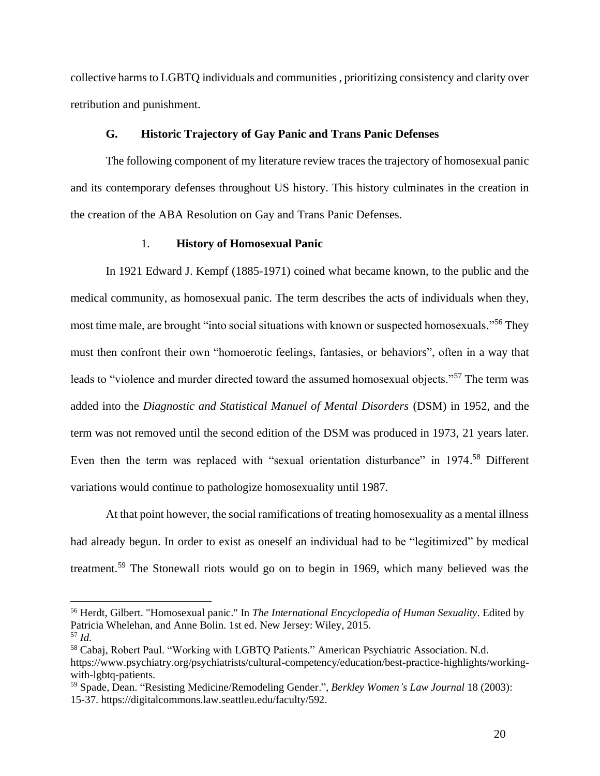collective harms to LGBTQ individuals and communities , prioritizing consistency and clarity over retribution and punishment.

#### **G. Historic Trajectory of Gay Panic and Trans Panic Defenses**

<span id="page-20-0"></span>The following component of my literature review traces the trajectory of homosexual panic and its contemporary defenses throughout US history. This history culminates in the creation in the creation of the ABA Resolution on Gay and Trans Panic Defenses.

#### 1. **History of Homosexual Panic**

<span id="page-20-1"></span>In 1921 Edward J. Kempf (1885-1971) coined what became known, to the public and the medical community, as homosexual panic. The term describes the acts of individuals when they, most time male, are brought "into social situations with known or suspected homosexuals."<sup>56</sup> They must then confront their own "homoerotic feelings, fantasies, or behaviors", often in a way that leads to "violence and murder directed toward the assumed homosexual objects."<sup>57</sup> The term was added into the *Diagnostic and Statistical Manuel of Mental Disorders* (DSM) in 1952, and the term was not removed until the second edition of the DSM was produced in 1973, 21 years later. Even then the term was replaced with "sexual orientation disturbance" in 1974.<sup>58</sup> Different variations would continue to pathologize homosexuality until 1987.

At that point however, the social ramifications of treating homosexuality as a mental illness had already begun. In order to exist as oneself an individual had to be "legitimized" by medical treatment.<sup>59</sup> The Stonewall riots would go on to begin in 1969, which many believed was the

<sup>56</sup> Herdt, Gilbert. "Homosexual panic." In *The International Encyclopedia of Human Sexuality*. Edited by Patricia Whelehan, and Anne Bolin. 1st ed. New Jersey: Wiley, 2015. <sup>57</sup> *Id.*

<sup>58</sup> Cabaj, Robert Paul. "Working with LGBTQ Patients." American Psychiatric Association. N.d. https://www.psychiatry.org/psychiatrists/cultural-competency/education/best-practice-highlights/workingwith-lgbtq-patients.

<sup>59</sup> Spade, Dean. "Resisting Medicine/Remodeling Gender.", *Berkley Women's Law Journal* 18 (2003): 15-37. https://digitalcommons.law.seattleu.edu/faculty/592.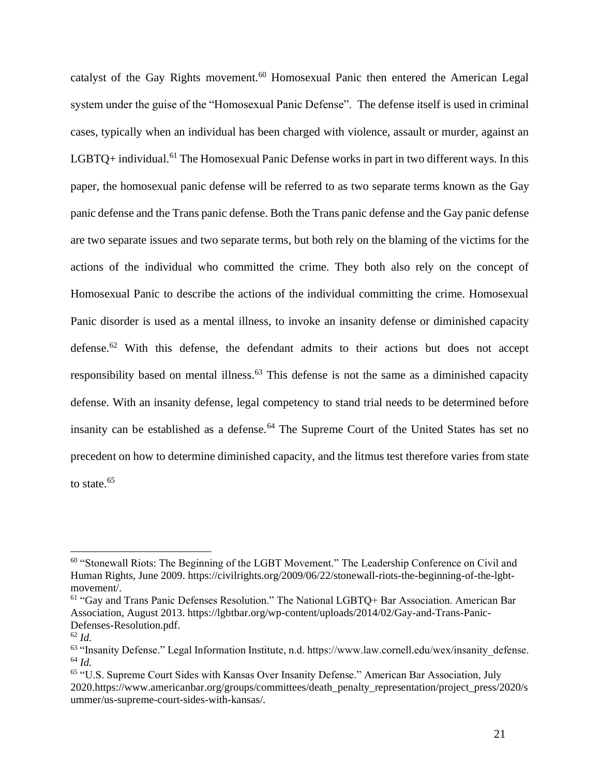catalyst of the Gay Rights movement.<sup>60</sup> Homosexual Panic then entered the American Legal system under the guise of the "Homosexual Panic Defense". The defense itself is used in criminal cases, typically when an individual has been charged with violence, assault or murder, against an LGBTQ+ individual.<sup>61</sup> The Homosexual Panic Defense works in part in two different ways. In this paper, the homosexual panic defense will be referred to as two separate terms known as the Gay panic defense and the Trans panic defense. Both the Trans panic defense and the Gay panic defense are two separate issues and two separate terms, but both rely on the blaming of the victims for the actions of the individual who committed the crime. They both also rely on the concept of Homosexual Panic to describe the actions of the individual committing the crime. Homosexual Panic disorder is used as a mental illness, to invoke an insanity defense or diminished capacity defense.<sup>62</sup> With this defense, the defendant admits to their actions but does not accept responsibility based on mental illness.<sup>63</sup> This defense is not the same as a diminished capacity defense. With an insanity defense, legal competency to stand trial needs to be determined before insanity can be established as a defense.<sup>64</sup> The Supreme Court of the United States has set no precedent on how to determine diminished capacity, and the litmus test therefore varies from state to state.<sup>65</sup>

<sup>60</sup> "Stonewall Riots: The Beginning of the LGBT Movement." The Leadership Conference on Civil and Human Rights, June 2009. https://civilrights.org/2009/06/22/stonewall-riots-the-beginning-of-the-lgbtmovement/.

<sup>&</sup>lt;sup>61</sup> "Gay and Trans Panic Defenses Resolution." The National LGBTQ+ Bar Association. American Bar Association, August 2013. https://lgbtbar.org/wp-content/uploads/2014/02/Gay-and-Trans-Panic-Defenses-Resolution.pdf.

<sup>62</sup> *Id.*

<sup>63 &</sup>quot;Insanity Defense." Legal Information Institute, n.d. https://www.law.cornell.edu/wex/insanity defense. <sup>64</sup> *Id.*

<sup>65</sup> "U.S. Supreme Court Sides with Kansas Over Insanity Defense." American Bar Association, July 2020.https://www.americanbar.org/groups/committees/death\_penalty\_representation/project\_press/2020/s ummer/us-supreme-court-sides-with-kansas/.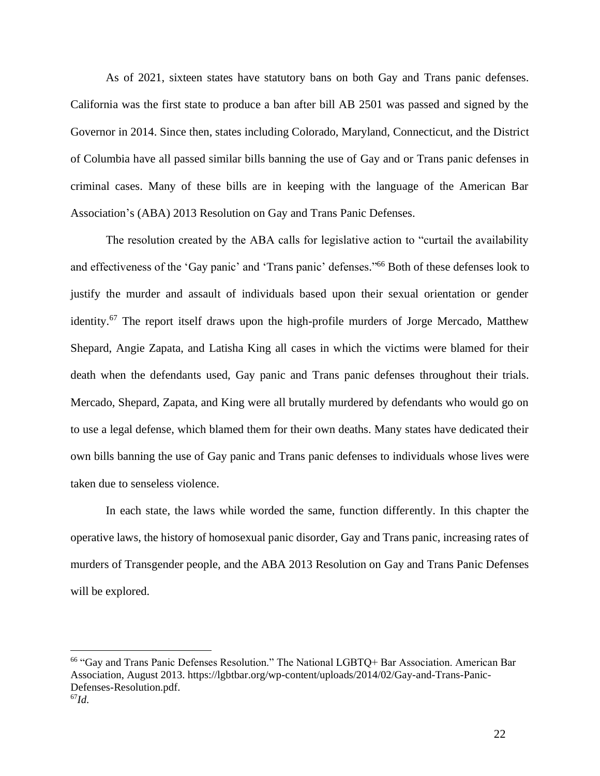As of 2021, sixteen states have statutory bans on both Gay and Trans panic defenses. California was the first state to produce a ban after bill AB 2501 was passed and signed by the Governor in 2014. Since then, states including Colorado, Maryland, Connecticut, and the District of Columbia have all passed similar bills banning the use of Gay and or Trans panic defenses in criminal cases. Many of these bills are in keeping with the language of the American Bar Association's (ABA) 2013 Resolution on Gay and Trans Panic Defenses.

The resolution created by the ABA calls for legislative action to "curtail the availability and effectiveness of the 'Gay panic' and 'Trans panic' defenses."<sup>66</sup> Both of these defenses look to justify the murder and assault of individuals based upon their sexual orientation or gender identity.<sup>67</sup> The report itself draws upon the high-profile murders of Jorge Mercado, Matthew Shepard, Angie Zapata, and Latisha King all cases in which the victims were blamed for their death when the defendants used, Gay panic and Trans panic defenses throughout their trials. Mercado, Shepard, Zapata, and King were all brutally murdered by defendants who would go on to use a legal defense, which blamed them for their own deaths. Many states have dedicated their own bills banning the use of Gay panic and Trans panic defenses to individuals whose lives were taken due to senseless violence.

In each state, the laws while worded the same, function differently. In this chapter the operative laws, the history of homosexual panic disorder, Gay and Trans panic, increasing rates of murders of Transgender people, and the ABA 2013 Resolution on Gay and Trans Panic Defenses will be explored.

<sup>66</sup> "Gay and Trans Panic Defenses Resolution." The National LGBTQ+ Bar Association. American Bar Association, August 2013. https://lgbtbar.org/wp-content/uploads/2014/02/Gay-and-Trans-Panic-Defenses-Resolution.pdf.  $^{67}Id.$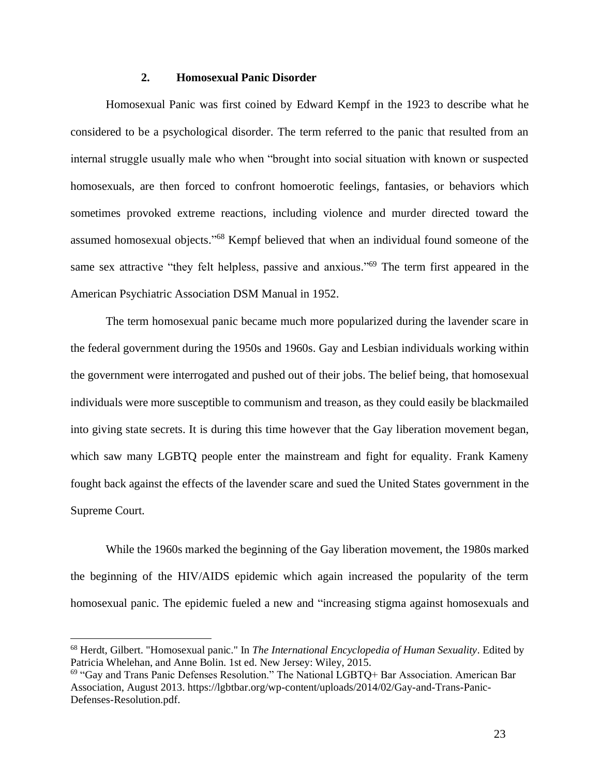#### **2. Homosexual Panic Disorder**

<span id="page-23-0"></span>Homosexual Panic was first coined by Edward Kempf in the 1923 to describe what he considered to be a psychological disorder. The term referred to the panic that resulted from an internal struggle usually male who when "brought into social situation with known or suspected homosexuals, are then forced to confront homoerotic feelings, fantasies, or behaviors which sometimes provoked extreme reactions, including violence and murder directed toward the assumed homosexual objects."<sup>68</sup> Kempf believed that when an individual found someone of the same sex attractive "they felt helpless, passive and anxious."<sup>69</sup> The term first appeared in the American Psychiatric Association DSM Manual in 1952.

The term homosexual panic became much more popularized during the lavender scare in the federal government during the 1950s and 1960s. Gay and Lesbian individuals working within the government were interrogated and pushed out of their jobs. The belief being, that homosexual individuals were more susceptible to communism and treason, as they could easily be blackmailed into giving state secrets. It is during this time however that the Gay liberation movement began, which saw many LGBTQ people enter the mainstream and fight for equality. Frank Kameny fought back against the effects of the lavender scare and sued the United States government in the Supreme Court.

While the 1960s marked the beginning of the Gay liberation movement, the 1980s marked the beginning of the HIV/AIDS epidemic which again increased the popularity of the term homosexual panic. The epidemic fueled a new and "increasing stigma against homosexuals and

<sup>68</sup> Herdt, Gilbert. "Homosexual panic." In *The International Encyclopedia of Human Sexuality*. Edited by Patricia Whelehan, and Anne Bolin. 1st ed. New Jersey: Wiley, 2015.

<sup>&</sup>lt;sup>69</sup> "Gay and Trans Panic Defenses Resolution." The National LGBTQ+ Bar Association. American Bar Association, August 2013. https://lgbtbar.org/wp-content/uploads/2014/02/Gay-and-Trans-Panic-Defenses-Resolution.pdf.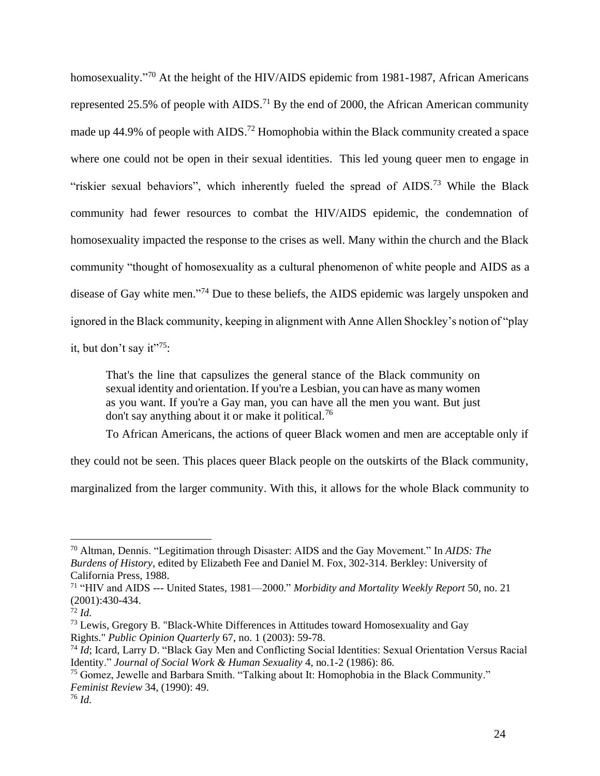homosexuality."<sup>70</sup> At the height of the HIV/AIDS epidemic from 1981-1987, African Americans represented 25.5% of people with  $AIDS$ <sup>71</sup> By the end of 2000, the African American community made up 44.9% of people with AIDS.<sup>72</sup> Homophobia within the Black community created a space where one could not be open in their sexual identities. This led young queer men to engage in "riskier sexual behaviors", which inherently fueled the spread of AIDS.<sup>73</sup> While the Black community had fewer resources to combat the HIV/AIDS epidemic, the condemnation of homosexuality impacted the response to the crises as well. Many within the church and the Black community "thought of homosexuality as a cultural phenomenon of white people and AIDS as a disease of Gay white men."<sup>74</sup> Due to these beliefs, the AIDS epidemic was largely unspoken and ignored in the Black community, keeping in alignment with Anne Allen Shockley's notion of "play

it, but don't say it"<sup>75</sup>:

That's the line that capsulizes the general stance of the Black community on sexual identity and orientation. If you're a Lesbian, you can have as many women as you want. If you're a Gay man, you can have all the men you want. But just don't say anything about it or make it political.<sup>76</sup>

To African Americans, the actions of queer Black women and men are acceptable only if

they could not be seen. This places queer Black people on the outskirts of the Black community,

marginalized from the larger community. With this, it allows for the whole Black community to

<sup>70</sup> Altman, Dennis. "Legitimation through Disaster: AIDS and the Gay Movement." In *AIDS: The Burdens of History*, edited by Elizabeth Fee and Daniel M. Fox, 302-314. Berkley: University of California Press, 1988.

<sup>71</sup> "HIV and AIDS --- United States, 1981—2000." *Morbidity and Mortality Weekly Report* 50, no. 21 (2001):430-434.

<sup>72</sup> *Id.*

<sup>73</sup> Lewis, Gregory B. "Black-White Differences in Attitudes toward Homosexuality and Gay Rights." *Public Opinion Quarterly* 67, no. 1 (2003): 59-78.

<sup>74</sup> *Id*; Icard, Larry D. "Black Gay Men and Conflicting Social Identities: Sexual Orientation Versus Racial Identity." *Journal of Social Work & Human Sexuality* 4, no.1-2 (1986): 86.

<sup>75</sup> Gomez, Jewelle and Barbara Smith. "Talking about It: Homophobia in the Black Community." *Feminist Review* 34, (1990): 49.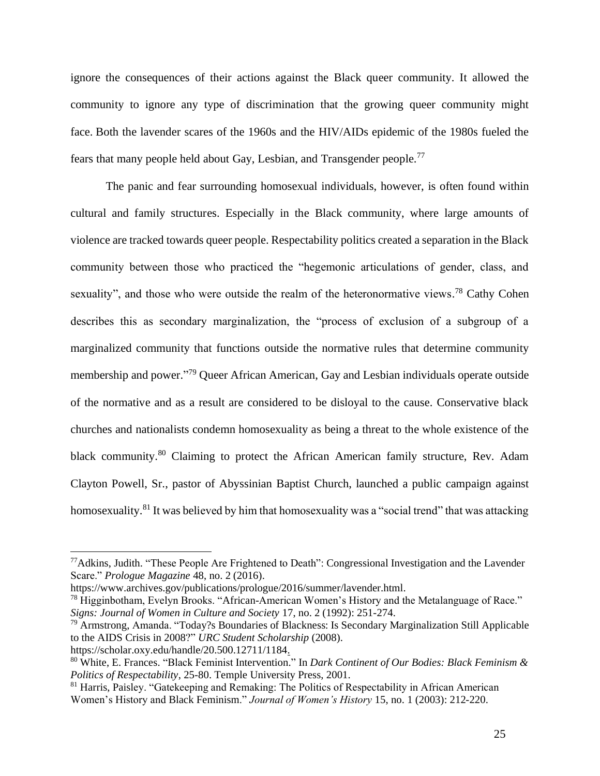ignore the consequences of their actions against the Black queer community. It allowed the community to ignore any type of discrimination that the growing queer community might face. Both the lavender scares of the 1960s and the HIV/AIDs epidemic of the 1980s fueled the fears that many people held about Gay, Lesbian, and Transgender people.<sup>77</sup>

The panic and fear surrounding homosexual individuals, however, is often found within cultural and family structures. Especially in the Black community, where large amounts of violence are tracked towards queer people. Respectability politics created a separation in the Black community between those who practiced the "hegemonic articulations of gender, class, and sexuality", and those who were outside the realm of the heteronormative views.<sup>78</sup> Cathy Cohen describes this as secondary marginalization, the "process of exclusion of a subgroup of a marginalized community that functions outside the normative rules that determine community membership and power."<sup>79</sup> Queer African American, Gay and Lesbian individuals operate outside of the normative and as a result are considered to be disloyal to the cause. Conservative black churches and nationalists condemn homosexuality as being a threat to the whole existence of the black community.<sup>80</sup> Claiming to protect the African American family structure, Rev. Adam Clayton Powell, Sr., pastor of Abyssinian Baptist Church, launched a public campaign against homosexuality.<sup>81</sup> It was believed by him that homosexuality was a "social trend" that was attacking

https://scholar.oxy.edu/handle/20.500.12711/1184.

<sup>77</sup>Adkins, Judith. "These People Are Frightened to Death": Congressional Investigation and the Lavender Scare." *Prologue Magazine* 48, no. 2 (2016).

https://www.archives.gov/publications/prologue/2016/summer/lavender.html.

<sup>&</sup>lt;sup>78</sup> Higginbotham, Evelyn Brooks. "African-American Women's History and the Metalanguage of Race." *Signs: Journal of Women in Culture and Society* 17, no. 2 (1992): 251-274.

<sup>&</sup>lt;sup>79</sup> Armstrong, Amanda. "Today?s Boundaries of Blackness: Is Secondary Marginalization Still Applicable to the AIDS Crisis in 2008?" *URC Student Scholarship* (2008).

<sup>80</sup> White, E. Frances. "Black Feminist Intervention." In *Dark Continent of Our Bodies: Black Feminism & Politics of Respectability*, 25-80. Temple University Press, 2001.

<sup>&</sup>lt;sup>81</sup> Harris, Paisley. "Gatekeeping and Remaking: The Politics of Respectability in African American Women's History and Black Feminism." *Journal of Women's History* 15, no. 1 (2003): 212-220.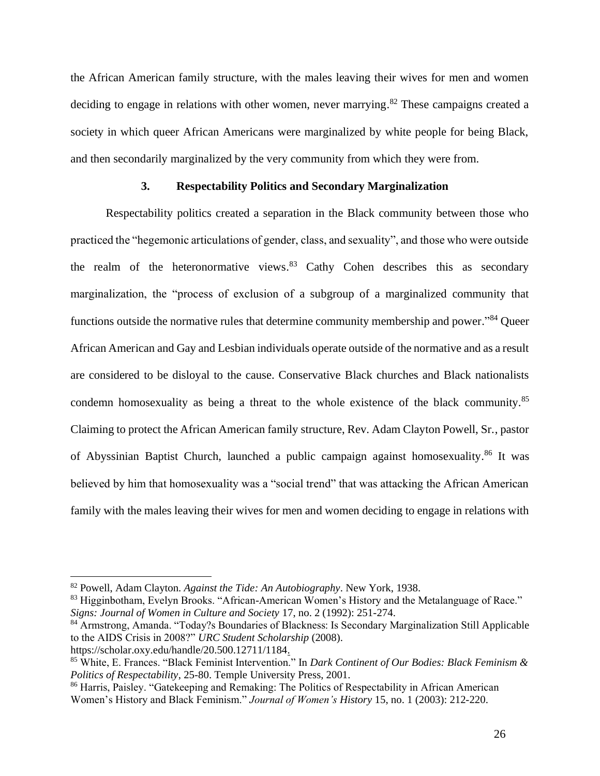the African American family structure, with the males leaving their wives for men and women deciding to engage in relations with other women, never marrying.<sup>82</sup> These campaigns created a society in which queer African Americans were marginalized by white people for being Black, and then secondarily marginalized by the very community from which they were from.

# **3. Respectability Politics and Secondary Marginalization**

<span id="page-26-0"></span>Respectability politics created a separation in the Black community between those who practiced the "hegemonic articulations of gender, class, and sexuality", and those who were outside the realm of the heteronormative views. $83$  Cathy Cohen describes this as secondary marginalization, the "process of exclusion of a subgroup of a marginalized community that functions outside the normative rules that determine community membership and power."<sup>84</sup> Queer African American and Gay and Lesbian individuals operate outside of the normative and as a result are considered to be disloyal to the cause. Conservative Black churches and Black nationalists condemn homosexuality as being a threat to the whole existence of the black community.<sup>85</sup> Claiming to protect the African American family structure, Rev. Adam Clayton Powell, Sr., pastor of Abyssinian Baptist Church, launched a public campaign against homosexuality.<sup>86</sup> It was believed by him that homosexuality was a "social trend" that was attacking the African American family with the males leaving their wives for men and women deciding to engage in relations with

<sup>83</sup> Higginbotham, Evelyn Brooks. "African-American Women's History and the Metalanguage of Race." *Signs: Journal of Women in Culture and Society* 17, no. 2 (1992): 251-274.

https://scholar.oxy.edu/handle/20.500.12711/1184.

<sup>82</sup> Powell, Adam Clayton. *Against the Tide: An Autobiography*. New York, 1938.

<sup>84</sup> Armstrong, Amanda. "Today?s Boundaries of Blackness: Is Secondary Marginalization Still Applicable to the AIDS Crisis in 2008?" *URC Student Scholarship* (2008).

<sup>85</sup> White, E. Frances. "Black Feminist Intervention." In *Dark Continent of Our Bodies: Black Feminism & Politics of Respectability*, 25-80. Temple University Press, 2001.

<sup>86</sup> Harris, Paisley. "Gatekeeping and Remaking: The Politics of Respectability in African American Women's History and Black Feminism." *Journal of Women's History* 15, no. 1 (2003): 212-220.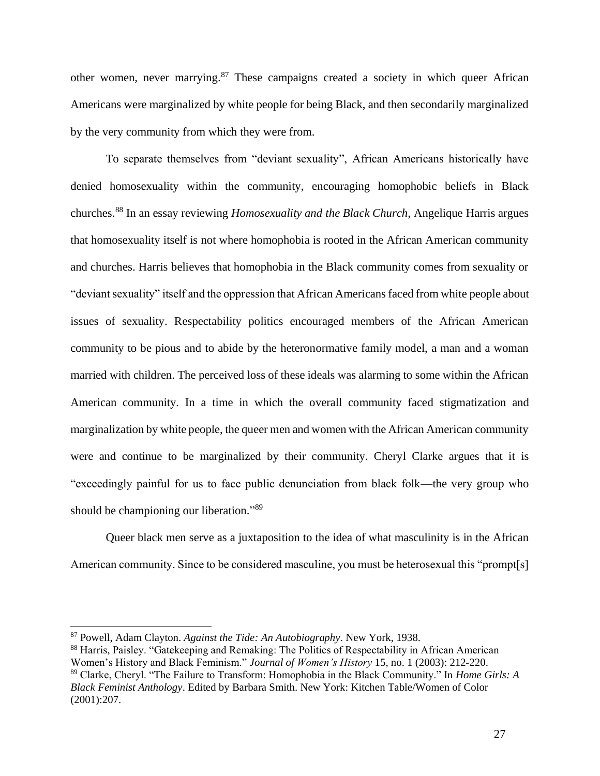other women, never marrying.<sup>87</sup> These campaigns created a society in which queer African Americans were marginalized by white people for being Black, and then secondarily marginalized by the very community from which they were from.

To separate themselves from "deviant sexuality", African Americans historically have denied homosexuality within the community, encouraging homophobic beliefs in Black churches. <sup>88</sup> In an essay reviewing *Homosexuality and the Black Church,* Angelique Harris argues that homosexuality itself is not where homophobia is rooted in the African American community and churches. Harris believes that homophobia in the Black community comes from sexuality or "deviant sexuality" itself and the oppression that African Americans faced from white people about issues of sexuality. Respectability politics encouraged members of the African American community to be pious and to abide by the heteronormative family model, a man and a woman married with children. The perceived loss of these ideals was alarming to some within the African American community. In a time in which the overall community faced stigmatization and marginalization by white people, the queer men and women with the African American community were and continue to be marginalized by their community. Cheryl Clarke argues that it is "exceedingly painful for us to face public denunciation from black folk—the very group who should be championing our liberation."<sup>89</sup>

Queer black men serve as a juxtaposition to the idea of what masculinity is in the African American community. Since to be considered masculine, you must be heterosexual this "prompt[s]

<sup>87</sup> Powell, Adam Clayton. *Against the Tide: An Autobiography*. New York, 1938.

<sup>88</sup> Harris, Paisley. "Gatekeeping and Remaking: The Politics of Respectability in African American Women's History and Black Feminism." *Journal of Women's History* 15, no. 1 (2003): 212-220.

<sup>89</sup> Clarke, Cheryl. "The Failure to Transform: Homophobia in the Black Community." In *Home Girls: A Black Feminist Anthology*. Edited by Barbara Smith. New York: Kitchen Table/Women of Color (2001):207.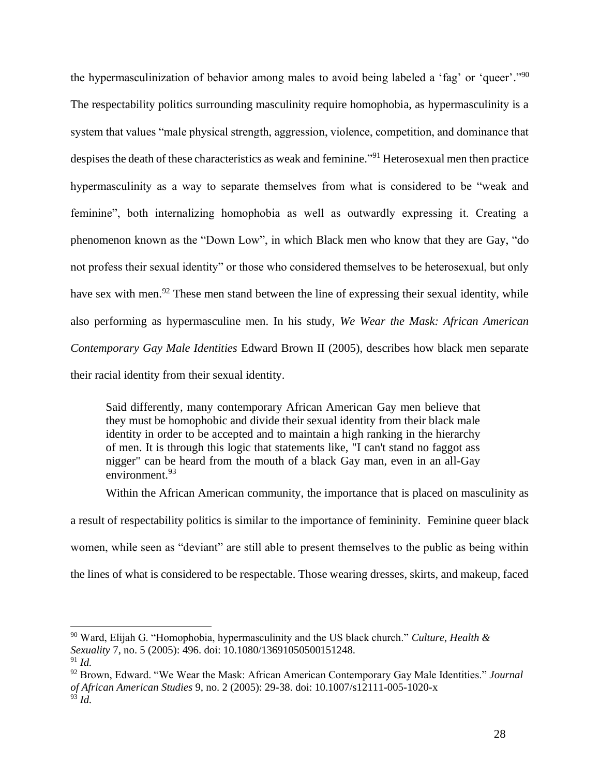the hypermasculinization of behavior among males to avoid being labeled a 'fag' or 'queer'."<sup>90</sup> The respectability politics surrounding masculinity require homophobia, as hypermasculinity is a system that values "male physical strength, aggression, violence, competition, and dominance that despises the death of these characteristics as weak and feminine."<sup>91</sup> Heterosexual men then practice hypermasculinity as a way to separate themselves from what is considered to be "weak and feminine", both internalizing homophobia as well as outwardly expressing it. Creating a phenomenon known as the "Down Low", in which Black men who know that they are Gay, "do not profess their sexual identity" or those who considered themselves to be heterosexual, but only have sex with men.<sup>92</sup> These men stand between the line of expressing their sexual identity, while also performing as hypermasculine men. In his study, *We Wear the Mask: African American Contemporary Gay Male Identities* Edward Brown II (2005), describes how black men separate their racial identity from their sexual identity.

Said differently, many contemporary African American Gay men believe that they must be homophobic and divide their sexual identity from their black male identity in order to be accepted and to maintain a high ranking in the hierarchy of men. It is through this logic that statements like, "I can't stand no faggot ass nigger" can be heard from the mouth of a black Gay man, even in an all-Gay environment. 93

Within the African American community, the importance that is placed on masculinity as

a result of respectability politics is similar to the importance of femininity. Feminine queer black women, while seen as "deviant" are still able to present themselves to the public as being within the lines of what is considered to be respectable. Those wearing dresses, skirts, and makeup, faced

<sup>90</sup> Ward, Elijah G. "Homophobia, hypermasculinity and the US black church." *Culture, Health & Sexuality* 7, no. 5 (2005): 496. doi: 10.1080/13691050500151248. <sup>91</sup> *Id.* 

<sup>92</sup> Brown, Edward. "We Wear the Mask: African American Contemporary Gay Male Identities." *Journal of African American Studies* 9, no. 2 (2005): 29-38. doi: 10.1007/s12111-005-1020-x <sup>93</sup> *Id.*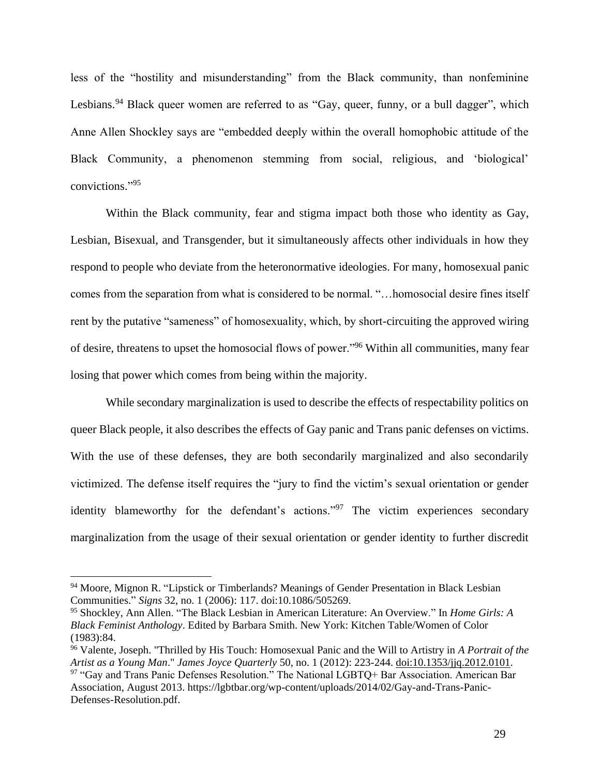less of the "hostility and misunderstanding" from the Black community, than nonfeminine Lesbians.<sup>94</sup> Black queer women are referred to as "Gay, queer, funny, or a bull dagger", which Anne Allen Shockley says are "embedded deeply within the overall homophobic attitude of the Black Community, a phenomenon stemming from social, religious, and 'biological' convictions." 95

Within the Black community, fear and stigma impact both those who identity as Gay, Lesbian, Bisexual, and Transgender, but it simultaneously affects other individuals in how they respond to people who deviate from the heteronormative ideologies. For many, homosexual panic comes from the separation from what is considered to be normal. "…homosocial desire fines itself rent by the putative "sameness" of homosexuality, which, by short-circuiting the approved wiring of desire, threatens to upset the homosocial flows of power."<sup>96</sup> Within all communities, many fear losing that power which comes from being within the majority.

While secondary marginalization is used to describe the effects of respectability politics on queer Black people, it also describes the effects of Gay panic and Trans panic defenses on victims. With the use of these defenses, they are both secondarily marginalized and also secondarily victimized. The defense itself requires the "jury to find the victim's sexual orientation or gender identity blameworthy for the defendant's actions."<sup>97</sup> The victim experiences secondary marginalization from the usage of their sexual orientation or gender identity to further discredit

<sup>&</sup>lt;sup>94</sup> Moore, Mignon R. "Lipstick or Timberlands? Meanings of Gender Presentation in Black Lesbian Communities." *Signs* 32, no. 1 (2006): 117. doi:10.1086/505269.

<sup>95</sup> Shockley, Ann Allen. "The Black Lesbian in American Literature: An Overview." In *Home Girls: A Black Feminist Anthology*. Edited by Barbara Smith. New York: Kitchen Table/Women of Color (1983):84.

<sup>96</sup> Valente, Joseph. "Thrilled by His Touch: Homosexual Panic and the Will to Artistry in *A Portrait of the Artist as a Young Man*." *James Joyce Quarterly* 50, no. 1 (2012): 223-244. [doi:10.1353/jjq.2012.0101.](http://doi.org/10.1353/jjq.2012.0101) <sup>97</sup> "Gay and Trans Panic Defenses Resolution." The National LGBTQ+ Bar Association. American Bar Association, August 2013. https://lgbtbar.org/wp-content/uploads/2014/02/Gay-and-Trans-Panic-Defenses-Resolution.pdf.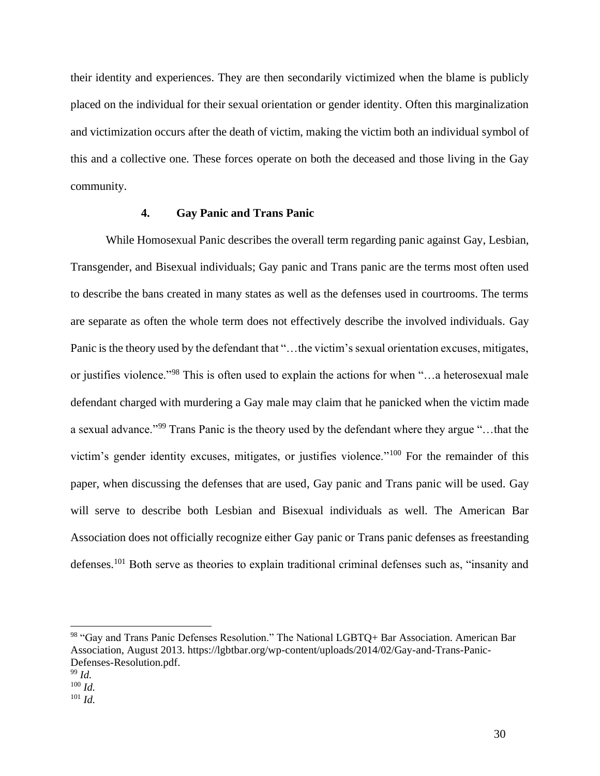their identity and experiences. They are then secondarily victimized when the blame is publicly placed on the individual for their sexual orientation or gender identity. Often this marginalization and victimization occurs after the death of victim, making the victim both an individual symbol of this and a collective one. These forces operate on both the deceased and those living in the Gay community.

#### **4. Gay Panic and Trans Panic**

<span id="page-30-0"></span>While Homosexual Panic describes the overall term regarding panic against Gay, Lesbian, Transgender, and Bisexual individuals; Gay panic and Trans panic are the terms most often used to describe the bans created in many states as well as the defenses used in courtrooms. The terms are separate as often the whole term does not effectively describe the involved individuals. Gay Panic is the theory used by the defendant that "...the victim's sexual orientation excuses, mitigates, or justifies violence."<sup>98</sup> This is often used to explain the actions for when "…a heterosexual male defendant charged with murdering a Gay male may claim that he panicked when the victim made a sexual advance."<sup>99</sup> Trans Panic is the theory used by the defendant where they argue "…that the victim's gender identity excuses, mitigates, or justifies violence."<sup>100</sup> For the remainder of this paper, when discussing the defenses that are used, Gay panic and Trans panic will be used. Gay will serve to describe both Lesbian and Bisexual individuals as well. The American Bar Association does not officially recognize either Gay panic or Trans panic defenses as freestanding defenses.<sup>101</sup> Both serve as theories to explain traditional criminal defenses such as, "insanity and

<sup>98 &</sup>quot;Gay and Trans Panic Defenses Resolution." The National LGBTQ+ Bar Association. American Bar Association, August 2013. https://lgbtbar.org/wp-content/uploads/2014/02/Gay-and-Trans-Panic-Defenses-Resolution.pdf.

<sup>99</sup> *Id.*

<sup>100</sup> *Id.*

<sup>101</sup> *Id.*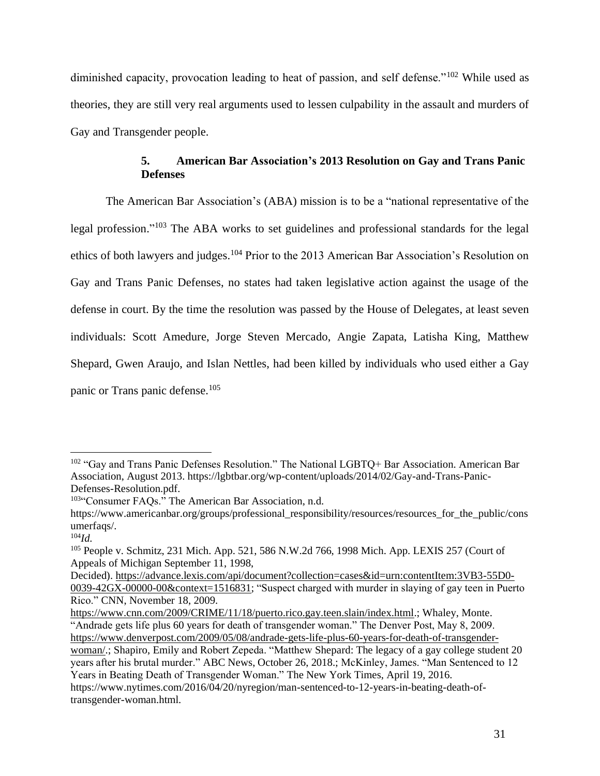diminished capacity, provocation leading to heat of passion, and self defense."<sup>102</sup> While used as theories, they are still very real arguments used to lessen culpability in the assault and murders of Gay and Transgender people.

# **5. American Bar Association's 2013 Resolution on Gay and Trans Panic Defenses**

<span id="page-31-0"></span>The American Bar Association's (ABA) mission is to be a "national representative of the legal profession."<sup>103</sup> The ABA works to set guidelines and professional standards for the legal ethics of both lawyers and judges.<sup>104</sup> Prior to the 2013 American Bar Association's Resolution on Gay and Trans Panic Defenses, no states had taken legislative action against the usage of the defense in court. By the time the resolution was passed by the House of Delegates, at least seven individuals: Scott Amedure, Jorge Steven Mercado, Angie Zapata, Latisha King, Matthew Shepard, Gwen Araujo, and Islan Nettles, had been killed by individuals who used either a Gay panic or Trans panic defense.<sup>105</sup>

<sup>&</sup>lt;sup>102</sup> "Gay and Trans Panic Defenses Resolution." The National LGBTQ+ Bar Association. American Bar Association, August 2013. https://lgbtbar.org/wp-content/uploads/2014/02/Gay-and-Trans-Panic-Defenses-Resolution.pdf.

<sup>&</sup>lt;sup>103</sup>"Consumer FAQs." The American Bar Association, n.d.

https://www.americanbar.org/groups/professional\_responsibility/resources/resources\_for\_the\_public/cons umerfaqs/.

<sup>104</sup>*Id.*

<sup>&</sup>lt;sup>105</sup> People v. Schmitz, 231 Mich. App. 521, 586 N.W.2d 766, 1998 Mich. App. LEXIS 257 (Court of Appeals of Michigan September 11, 1998,

Decided). [https://advance.lexis.com/api/document?collection=cases&id=urn:contentItem:3VB3-55D0-](https://advance.lexis.com/api/document?collection=cases&id=urn:contentItem:3VB3-55D0-0039-42GX-00000-00&context=1516831) [0039-42GX-00000-00&context=1516831;](https://advance.lexis.com/api/document?collection=cases&id=urn:contentItem:3VB3-55D0-0039-42GX-00000-00&context=1516831) "Suspect charged with murder in slaying of gay teen in Puerto Rico." CNN, November 18, 2009.

[https://www.cnn.com/2009/CRIME/11/18/puerto.rico.gay.teen.slain/index.html.](https://www.cnn.com/2009/CRIME/11/18/puerto.rico.gay.teen.slain/index.html); Whaley, Monte. "Andrade gets life plus 60 years for death of transgender woman." The Denver Post, May 8, 2009. [https://www.denverpost.com/2009/05/08/andrade-gets-life-plus-60-years-for-death-of-transgender](https://www.denverpost.com/2009/05/08/andrade-gets-life-plus-60-years-for-death-of-transgender-woman/)[woman/.](https://www.denverpost.com/2009/05/08/andrade-gets-life-plus-60-years-for-death-of-transgender-woman/); Shapiro, Emily and Robert Zepeda. "Matthew Shepard: The legacy of a gay college student 20 years after his brutal murder." ABC News, October 26, 2018.; McKinley, James. "Man Sentenced to 12 Years in Beating Death of Transgender Woman." The New York Times, April 19, 2016. https://www.nytimes.com/2016/04/20/nyregion/man-sentenced-to-12-years-in-beating-death-oftransgender-woman.html.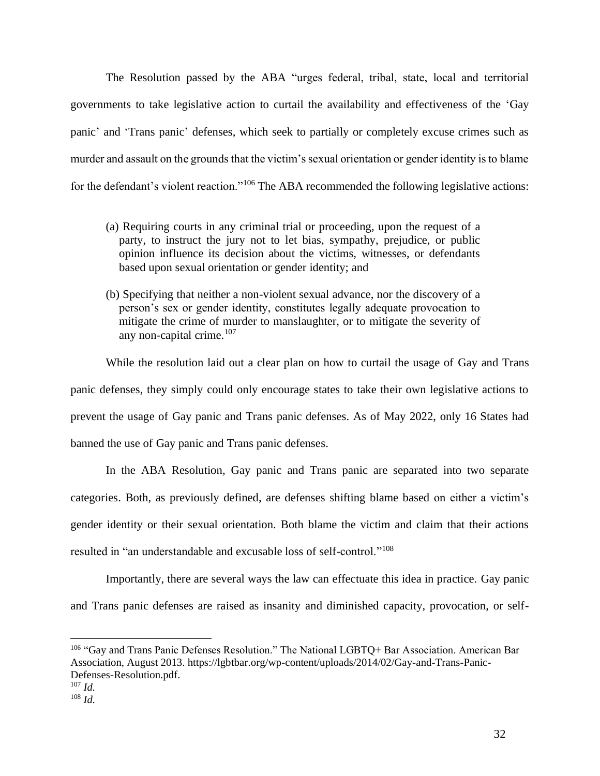The Resolution passed by the ABA "urges federal, tribal, state, local and territorial governments to take legislative action to curtail the availability and effectiveness of the 'Gay panic' and 'Trans panic' defenses, which seek to partially or completely excuse crimes such as murder and assault on the grounds that the victim's sexual orientation or gender identity is to blame for the defendant's violent reaction."<sup>106</sup> The ABA recommended the following legislative actions:

- (a) Requiring courts in any criminal trial or proceeding, upon the request of a party, to instruct the jury not to let bias, sympathy, prejudice, or public opinion influence its decision about the victims, witnesses, or defendants based upon sexual orientation or gender identity; and
- (b) Specifying that neither a non-violent sexual advance, nor the discovery of a person's sex or gender identity, constitutes legally adequate provocation to mitigate the crime of murder to manslaughter, or to mitigate the severity of any non-capital crime. $107$

While the resolution laid out a clear plan on how to curtail the usage of Gay and Trans panic defenses, they simply could only encourage states to take their own legislative actions to prevent the usage of Gay panic and Trans panic defenses. As of May 2022, only 16 States had banned the use of Gay panic and Trans panic defenses.

In the ABA Resolution, Gay panic and Trans panic are separated into two separate categories. Both, as previously defined, are defenses shifting blame based on either a victim's gender identity or their sexual orientation. Both blame the victim and claim that their actions resulted in "an understandable and excusable loss of self-control."<sup>108</sup>

Importantly, there are several ways the law can effectuate this idea in practice. Gay panic and Trans panic defenses are raised as insanity and diminished capacity, provocation, or self-

<sup>&</sup>lt;sup>106</sup> "Gay and Trans Panic Defenses Resolution." The National LGBTQ+ Bar Association. American Bar Association, August 2013. https://lgbtbar.org/wp-content/uploads/2014/02/Gay-and-Trans-Panic-Defenses-Resolution.pdf.

<sup>107</sup> *Id.*

<sup>108</sup> *Id.*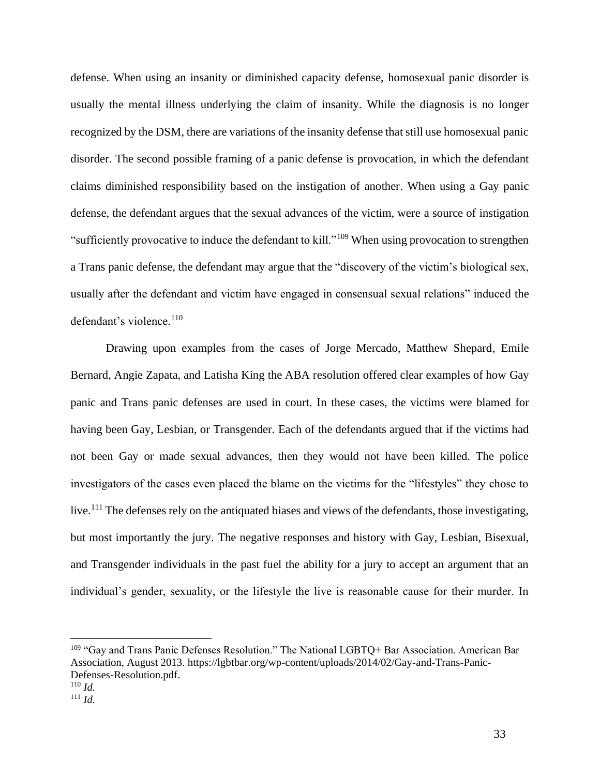defense. When using an insanity or diminished capacity defense, homosexual panic disorder is usually the mental illness underlying the claim of insanity. While the diagnosis is no longer recognized by the DSM, there are variations of the insanity defense that still use homosexual panic disorder. The second possible framing of a panic defense is provocation, in which the defendant claims diminished responsibility based on the instigation of another. When using a Gay panic defense, the defendant argues that the sexual advances of the victim, were a source of instigation "sufficiently provocative to induce the defendant to kill."<sup>109</sup> When using provocation to strengthen a Trans panic defense, the defendant may argue that the "discovery of the victim's biological sex, usually after the defendant and victim have engaged in consensual sexual relations" induced the defendant's violence. 110

Drawing upon examples from the cases of Jorge Mercado, Matthew Shepard, Emile Bernard, Angie Zapata, and Latisha King the ABA resolution offered clear examples of how Gay panic and Trans panic defenses are used in court. In these cases, the victims were blamed for having been Gay, Lesbian, or Transgender. Each of the defendants argued that if the victims had not been Gay or made sexual advances, then they would not have been killed. The police investigators of the cases even placed the blame on the victims for the "lifestyles" they chose to live.<sup>111</sup> The defenses rely on the antiquated biases and views of the defendants, those investigating, but most importantly the jury. The negative responses and history with Gay, Lesbian, Bisexual, and Transgender individuals in the past fuel the ability for a jury to accept an argument that an individual's gender, sexuality, or the lifestyle the live is reasonable cause for their murder. In

<sup>&</sup>lt;sup>109</sup> "Gay and Trans Panic Defenses Resolution." The National LGBTQ+ Bar Association. American Bar Association, August 2013. https://lgbtbar.org/wp-content/uploads/2014/02/Gay-and-Trans-Panic-Defenses-Resolution.pdf.

 $110$  *Id.* 

<sup>111</sup> *Id.*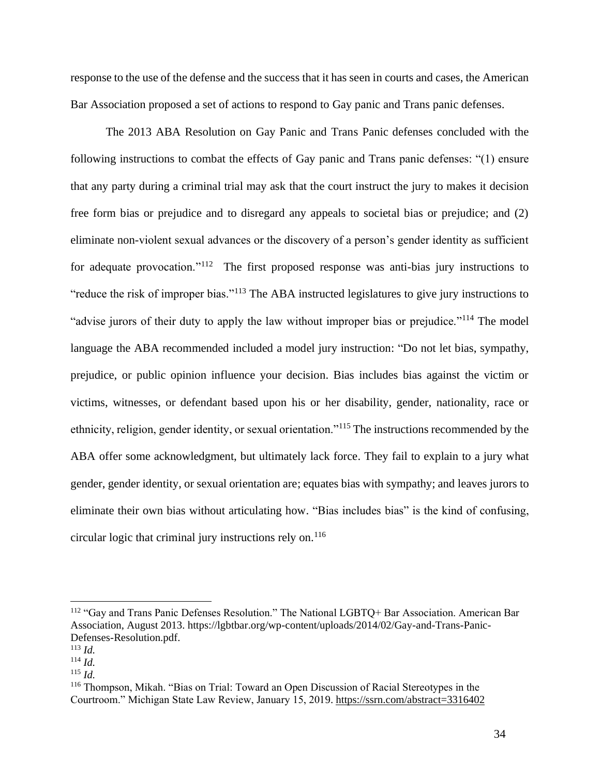response to the use of the defense and the success that it has seen in courts and cases, the American Bar Association proposed a set of actions to respond to Gay panic and Trans panic defenses.

The 2013 ABA Resolution on Gay Panic and Trans Panic defenses concluded with the following instructions to combat the effects of Gay panic and Trans panic defenses: "(1) ensure that any party during a criminal trial may ask that the court instruct the jury to makes it decision free form bias or prejudice and to disregard any appeals to societal bias or prejudice; and (2) eliminate non-violent sexual advances or the discovery of a person's gender identity as sufficient for adequate provocation."<sup>112</sup> The first proposed response was anti-bias jury instructions to "reduce the risk of improper bias."<sup>113</sup> The ABA instructed legislatures to give jury instructions to "advise jurors of their duty to apply the law without improper bias or prejudice."<sup>114</sup> The model language the ABA recommended included a model jury instruction: "Do not let bias, sympathy, prejudice, or public opinion influence your decision. Bias includes bias against the victim or victims, witnesses, or defendant based upon his or her disability, gender, nationality, race or ethnicity, religion, gender identity, or sexual orientation."<sup>115</sup> The instructions recommended by the ABA offer some acknowledgment, but ultimately lack force. They fail to explain to a jury what gender, gender identity, or sexual orientation are; equates bias with sympathy; and leaves jurors to eliminate their own bias without articulating how. "Bias includes bias" is the kind of confusing, circular logic that criminal jury instructions rely on. 116

<sup>112</sup> "Gay and Trans Panic Defenses Resolution." The National LGBTQ+ Bar Association. American Bar Association, August 2013. https://lgbtbar.org/wp-content/uploads/2014/02/Gay-and-Trans-Panic-Defenses-Resolution.pdf.

<sup>113</sup> *Id.*

 $114$  *Id.* 

<sup>115</sup> *Id.*

<sup>116</sup> Thompson, Mikah. "Bias on Trial: Toward an Open Discussion of Racial Stereotypes in the Courtroom." Michigan State Law Review, January 15, 2019[. https://ssrn.com/abstract=3316402](https://ssrn.com/abstract=3316402)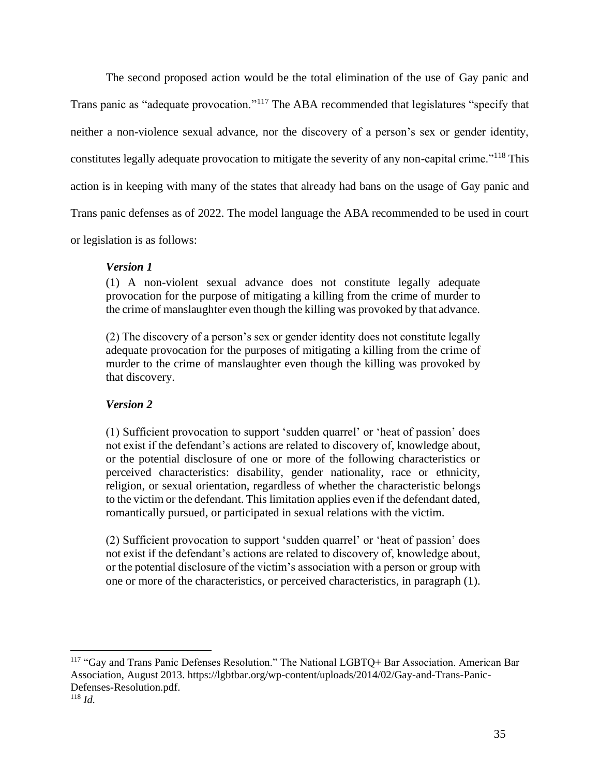The second proposed action would be the total elimination of the use of Gay panic and

Trans panic as "adequate provocation."<sup>117</sup> The ABA recommended that legislatures "specify that

neither a non-violence sexual advance, nor the discovery of a person's sex or gender identity,

constitutes legally adequate provocation to mitigate the severity of any non-capital crime."<sup>118</sup> This

action is in keeping with many of the states that already had bans on the usage of Gay panic and

Trans panic defenses as of 2022. The model language the ABA recommended to be used in court

or legislation is as follows:

## *Version 1*

(1) A non-violent sexual advance does not constitute legally adequate provocation for the purpose of mitigating a killing from the crime of murder to the crime of manslaughter even though the killing was provoked by that advance.

(2) The discovery of a person's sex or gender identity does not constitute legally adequate provocation for the purposes of mitigating a killing from the crime of murder to the crime of manslaughter even though the killing was provoked by that discovery.

# *Version 2*

(1) Sufficient provocation to support 'sudden quarrel' or 'heat of passion' does not exist if the defendant's actions are related to discovery of, knowledge about, or the potential disclosure of one or more of the following characteristics or perceived characteristics: disability, gender nationality, race or ethnicity, religion, or sexual orientation, regardless of whether the characteristic belongs to the victim or the defendant. This limitation applies even if the defendant dated, romantically pursued, or participated in sexual relations with the victim.

(2) Sufficient provocation to support 'sudden quarrel' or 'heat of passion' does not exist if the defendant's actions are related to discovery of, knowledge about, or the potential disclosure of the victim's association with a person or group with one or more of the characteristics, or perceived characteristics, in paragraph (1).

<sup>&</sup>lt;sup>117</sup> "Gay and Trans Panic Defenses Resolution." The National LGBTQ+ Bar Association. American Bar Association, August 2013. https://lgbtbar.org/wp-content/uploads/2014/02/Gay-and-Trans-Panic-Defenses-Resolution.pdf.

 $118$  *Id.*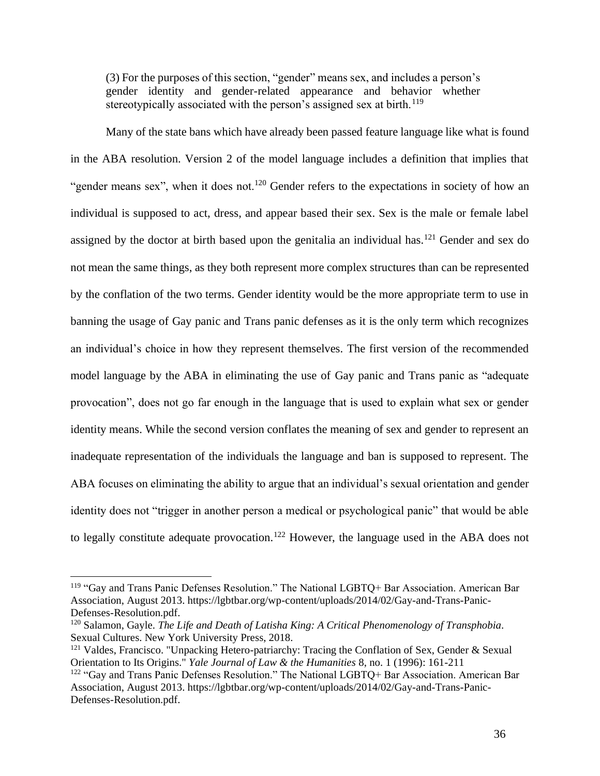(3) For the purposes of this section, "gender" means sex, and includes a person's gender identity and gender-related appearance and behavior whether stereotypically associated with the person's assigned sex at birth.<sup>119</sup>

Many of the state bans which have already been passed feature language like what is found in the ABA resolution. Version 2 of the model language includes a definition that implies that "gender means sex", when it does not.<sup>120</sup> Gender refers to the expectations in society of how an individual is supposed to act, dress, and appear based their sex. Sex is the male or female label assigned by the doctor at birth based upon the genitalia an individual has.<sup>121</sup> Gender and sex do not mean the same things, as they both represent more complex structures than can be represented by the conflation of the two terms. Gender identity would be the more appropriate term to use in banning the usage of Gay panic and Trans panic defenses as it is the only term which recognizes an individual's choice in how they represent themselves. The first version of the recommended model language by the ABA in eliminating the use of Gay panic and Trans panic as "adequate provocation", does not go far enough in the language that is used to explain what sex or gender identity means. While the second version conflates the meaning of sex and gender to represent an inadequate representation of the individuals the language and ban is supposed to represent. The ABA focuses on eliminating the ability to argue that an individual's sexual orientation and gender identity does not "trigger in another person a medical or psychological panic" that would be able to legally constitute adequate provocation.<sup>122</sup> However, the language used in the ABA does not

<sup>&</sup>lt;sup>119</sup> "Gay and Trans Panic Defenses Resolution." The National LGBTQ+ Bar Association. American Bar Association, August 2013. https://lgbtbar.org/wp-content/uploads/2014/02/Gay-and-Trans-Panic-Defenses-Resolution.pdf.

<sup>120</sup> Salamon, Gayle. *The Life and Death of Latisha King: A Critical Phenomenology of Transphobia*. Sexual Cultures. New York University Press, 2018.

<sup>&</sup>lt;sup>121</sup> Valdes, Francisco. "Unpacking Hetero-patriarchy: Tracing the Conflation of Sex, Gender & Sexual Orientation to Its Origins." *Yale Journal of Law & the Humanities* 8, no. 1 (1996): 161-211

<sup>&</sup>lt;sup>122</sup> "Gay and Trans Panic Defenses Resolution." The National LGBTQ+ Bar Association. American Bar Association, August 2013. https://lgbtbar.org/wp-content/uploads/2014/02/Gay-and-Trans-Panic-Defenses-Resolution.pdf.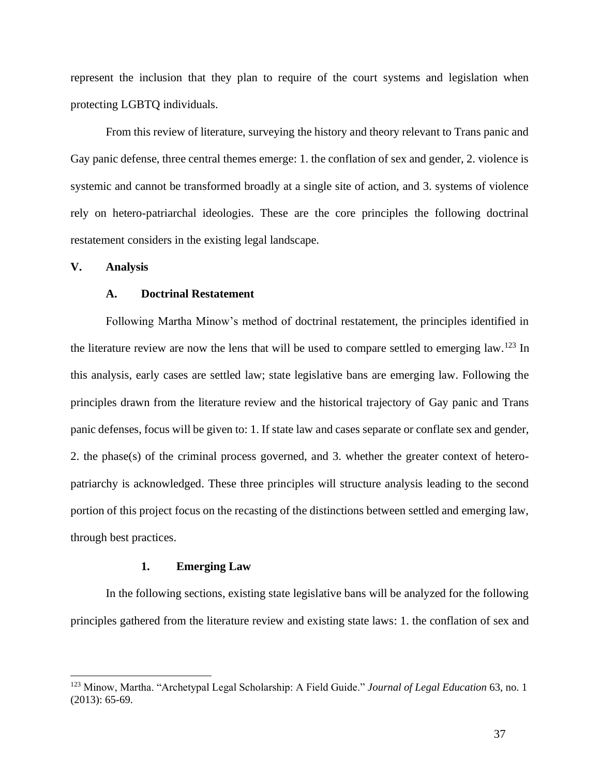represent the inclusion that they plan to require of the court systems and legislation when protecting LGBTQ individuals.

From this review of literature, surveying the history and theory relevant to Trans panic and Gay panic defense, three central themes emerge: 1. the conflation of sex and gender, 2. violence is systemic and cannot be transformed broadly at a single site of action, and 3. systems of violence rely on hetero-patriarchal ideologies. These are the core principles the following doctrinal restatement considers in the existing legal landscape.

#### **V. Analysis**

#### **A. Doctrinal Restatement**

Following Martha Minow's method of doctrinal restatement, the principles identified in the literature review are now the lens that will be used to compare settled to emerging law.<sup>123</sup> In this analysis, early cases are settled law; state legislative bans are emerging law. Following the principles drawn from the literature review and the historical trajectory of Gay panic and Trans panic defenses, focus will be given to: 1. If state law and cases separate or conflate sex and gender, 2. the phase(s) of the criminal process governed, and 3. whether the greater context of heteropatriarchy is acknowledged. These three principles will structure analysis leading to the second portion of this project focus on the recasting of the distinctions between settled and emerging law, through best practices.

#### **1. Emerging Law**

In the following sections, existing state legislative bans will be analyzed for the following principles gathered from the literature review and existing state laws: 1. the conflation of sex and

<sup>123</sup> Minow, Martha. "Archetypal Legal Scholarship: A Field Guide." *Journal of Legal Education* 63, no. 1 (2013): 65-69.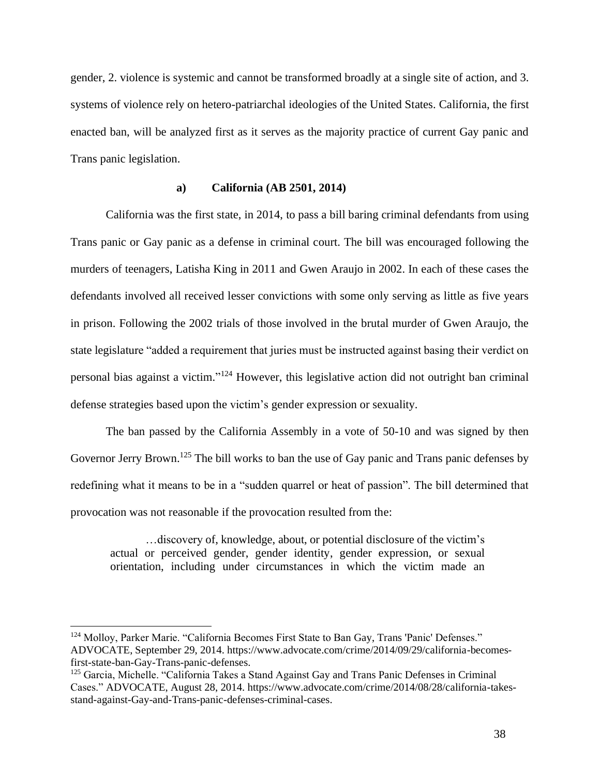gender, 2. violence is systemic and cannot be transformed broadly at a single site of action, and 3. systems of violence rely on hetero-patriarchal ideologies of the United States. California, the first enacted ban, will be analyzed first as it serves as the majority practice of current Gay panic and Trans panic legislation.

#### **a) California (AB 2501, 2014)**

California was the first state, in 2014, to pass a bill baring criminal defendants from using Trans panic or Gay panic as a defense in criminal court. The bill was encouraged following the murders of teenagers, Latisha King in 2011 and Gwen Araujo in 2002. In each of these cases the defendants involved all received lesser convictions with some only serving as little as five years in prison. Following the 2002 trials of those involved in the brutal murder of Gwen Araujo, the state legislature "added a requirement that juries must be instructed against basing their verdict on personal bias against a victim." <sup>124</sup> However, this legislative action did not outright ban criminal defense strategies based upon the victim's gender expression or sexuality.

The ban passed by the California Assembly in a vote of 50-10 and was signed by then Governor Jerry Brown.<sup>125</sup> The bill works to ban the use of Gay panic and Trans panic defenses by redefining what it means to be in a "sudden quarrel or heat of passion". The bill determined that provocation was not reasonable if the provocation resulted from the:

…discovery of, knowledge, about, or potential disclosure of the victim's actual or perceived gender, gender identity, gender expression, or sexual orientation, including under circumstances in which the victim made an

<sup>&</sup>lt;sup>124</sup> Molloy, Parker Marie. "California Becomes First State to Ban Gay, Trans 'Panic' Defenses." ADVOCATE, September 29, 2014. https://www.advocate.com/crime/2014/09/29/california-becomesfirst-state-ban-Gay-Trans-panic-defenses.

<sup>&</sup>lt;sup>125</sup> Garcia, Michelle. "California Takes a Stand Against Gay and Trans Panic Defenses in Criminal Cases." ADVOCATE, August 28, 2014. https://www.advocate.com/crime/2014/08/28/california-takesstand-against-Gay-and-Trans-panic-defenses-criminal-cases.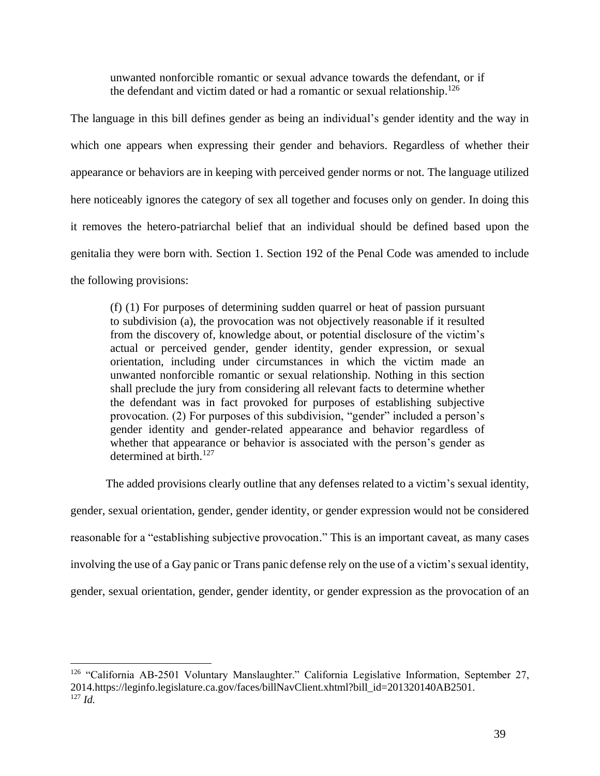unwanted nonforcible romantic or sexual advance towards the defendant, or if the defendant and victim dated or had a romantic or sexual relationship. 126

The language in this bill defines gender as being an individual's gender identity and the way in which one appears when expressing their gender and behaviors. Regardless of whether their appearance or behaviors are in keeping with perceived gender norms or not. The language utilized here noticeably ignores the category of sex all together and focuses only on gender. In doing this it removes the hetero-patriarchal belief that an individual should be defined based upon the genitalia they were born with. Section 1. Section 192 of the Penal Code was amended to include the following provisions:

(f) (1) For purposes of determining sudden quarrel or heat of passion pursuant to subdivision (a), the provocation was not objectively reasonable if it resulted from the discovery of, knowledge about, or potential disclosure of the victim's actual or perceived gender, gender identity, gender expression, or sexual orientation, including under circumstances in which the victim made an unwanted nonforcible romantic or sexual relationship. Nothing in this section shall preclude the jury from considering all relevant facts to determine whether the defendant was in fact provoked for purposes of establishing subjective provocation. (2) For purposes of this subdivision, "gender" included a person's gender identity and gender-related appearance and behavior regardless of whether that appearance or behavior is associated with the person's gender as determined at birth.<sup>127</sup>

The added provisions clearly outline that any defenses related to a victim's sexual identity, gender, sexual orientation, gender, gender identity, or gender expression would not be considered reasonable for a "establishing subjective provocation." This is an important caveat, as many cases involving the use of a Gay panic or Trans panic defense rely on the use of a victim's sexual identity, gender, sexual orientation, gender, gender identity, or gender expression as the provocation of an

<sup>&</sup>lt;sup>126</sup> "California AB-2501 Voluntary Manslaughter." California Legislative Information, September 27, 2014.https://leginfo.legislature.ca.gov/faces/billNavClient.xhtml?bill\_id=201320140AB2501. <sup>127</sup> *Id.*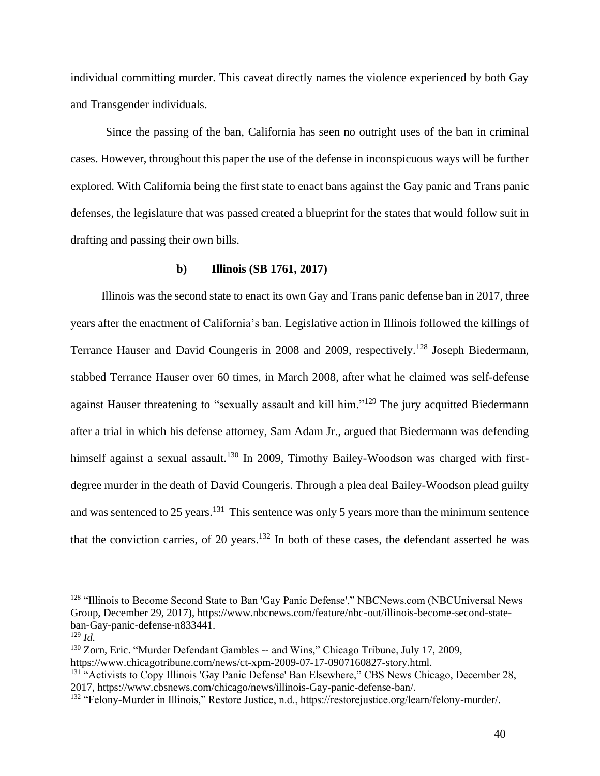individual committing murder. This caveat directly names the violence experienced by both Gay and Transgender individuals.

Since the passing of the ban, California has seen no outright uses of the ban in criminal cases. However, throughout this paper the use of the defense in inconspicuous ways will be further explored. With California being the first state to enact bans against the Gay panic and Trans panic defenses, the legislature that was passed created a blueprint for the states that would follow suit in drafting and passing their own bills.

#### **b) Illinois (SB 1761, 2017)**

Illinois was the second state to enact its own Gay and Trans panic defense ban in 2017, three years after the enactment of California's ban. Legislative action in Illinois followed the killings of Terrance Hauser and David Coungeris in 2008 and 2009, respectively.<sup>128</sup> Joseph Biedermann, stabbed Terrance Hauser over 60 times, in March 2008, after what he claimed was self-defense against Hauser threatening to "sexually assault and kill him."<sup>129</sup> The jury acquitted Biedermann after a trial in which his defense attorney, Sam Adam Jr., argued that Biedermann was defending himself against a sexual assault.<sup>130</sup> In 2009, Timothy Bailey-Woodson was charged with firstdegree murder in the death of David Coungeris. Through a plea deal Bailey-Woodson plead guilty and was sentenced to 25 years.<sup>131</sup> This sentence was only 5 years more than the minimum sentence that the conviction carries, of 20 years.<sup>132</sup> In both of these cases, the defendant asserted he was

<sup>&</sup>lt;sup>128</sup> "Illinois to Become Second State to Ban 'Gay Panic Defense'," NBCNews.com (NBCUniversal News Group, December 29, 2017), https://www.nbcnews.com/feature/nbc-out/illinois-become-second-stateban-Gay-panic-defense-n833441.

<sup>129</sup> *Id.*

<sup>&</sup>lt;sup>130</sup> Zorn, Eric. "Murder Defendant Gambles -- and Wins," Chicago Tribune, July 17, 2009, https://www.chicagotribune.com/news/ct-xpm-2009-07-17-0907160827-story.html.

<sup>&</sup>lt;sup>131</sup> "Activists to Copy Illinois 'Gay Panic Defense' Ban Elsewhere," CBS News Chicago, December 28, 2017, https://www.cbsnews.com/chicago/news/illinois-Gay-panic-defense-ban/.

<sup>132</sup> "Felony-Murder in Illinois," Restore Justice, n.d., https://restorejustice.org/learn/felony-murder/.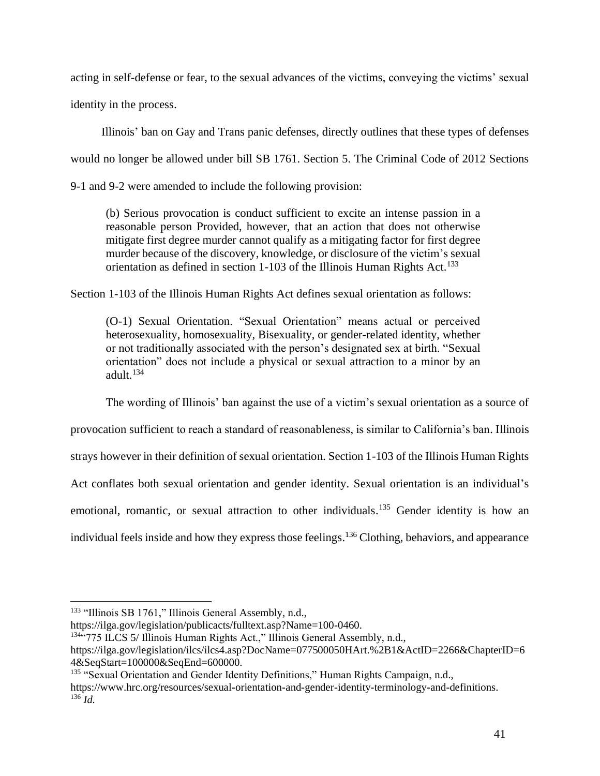acting in self-defense or fear, to the sexual advances of the victims, conveying the victims' sexual

identity in the process.

Illinois' ban on Gay and Trans panic defenses, directly outlines that these types of defenses would no longer be allowed under bill SB 1761. Section 5. The Criminal Code of 2012 Sections

9-1 and 9-2 were amended to include the following provision:

(b) Serious provocation is conduct sufficient to excite an intense passion in a reasonable person Provided, however, that an action that does not otherwise mitigate first degree murder cannot qualify as a mitigating factor for first degree murder because of the discovery, knowledge, or disclosure of the victim's sexual orientation as defined in section 1-103 of the Illinois Human Rights Act.<sup>133</sup>

Section 1-103 of the Illinois Human Rights Act defines sexual orientation as follows:

(O-1) Sexual Orientation. "Sexual Orientation" means actual or perceived heterosexuality, homosexuality, Bisexuality, or gender-related identity, whether or not traditionally associated with the person's designated sex at birth. "Sexual orientation" does not include a physical or sexual attraction to a minor by an adult. 134

The wording of Illinois' ban against the use of a victim's sexual orientation as a source of

provocation sufficient to reach a standard of reasonableness, is similar to California's ban. Illinois strays however in their definition of sexual orientation. Section 1-103 of the Illinois Human Rights Act conflates both sexual orientation and gender identity. Sexual orientation is an individual's emotional, romantic, or sexual attraction to other individuals.<sup>135</sup> Gender identity is how an individual feels inside and how they express those feelings. <sup>136</sup> Clothing, behaviors, and appearance

<sup>133</sup> "Illinois SB 1761," Illinois General Assembly, n.d.,

https://ilga.gov/legislation/publicacts/fulltext.asp?Name=100-0460.

<sup>134&</sup>quot;775 ILCS 5/ Illinois Human Rights Act.," Illinois General Assembly, n.d.,

https://ilga.gov/legislation/ilcs/ilcs4.asp?DocName=077500050HArt.%2B1&ActID=2266&ChapterID=6 4&SeqStart=100000&SeqEnd=600000.

<sup>&</sup>lt;sup>135</sup> "Sexual Orientation and Gender Identity Definitions," Human Rights Campaign, n.d.,

https://www.hrc.org/resources/sexual-orientation-and-gender-identity-terminology-and-definitions. <sup>136</sup> *Id.*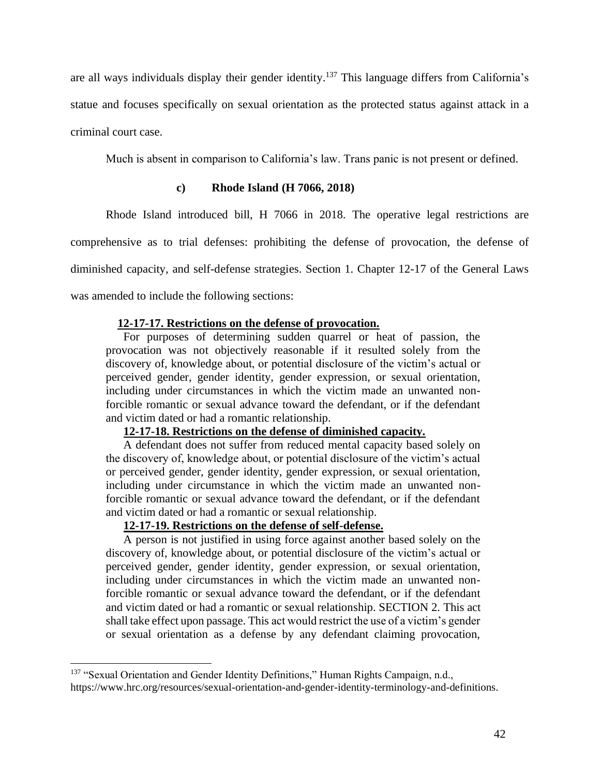are all ways individuals display their gender identity.<sup>137</sup> This language differs from California's statue and focuses specifically on sexual orientation as the protected status against attack in a criminal court case.

Much is absent in comparison to California's law. Trans panic is not present or defined.

### **c) Rhode Island (H 7066, 2018)**

Rhode Island introduced bill, H 7066 in 2018. The operative legal restrictions are

comprehensive as to trial defenses: prohibiting the defense of provocation, the defense of

diminished capacity, and self-defense strategies. Section 1. Chapter 12-17 of the General Laws

was amended to include the following sections:

### **12-17-17. Restrictions on the defense of provocation.**

For purposes of determining sudden quarrel or heat of passion, the provocation was not objectively reasonable if it resulted solely from the discovery of, knowledge about, or potential disclosure of the victim's actual or perceived gender, gender identity, gender expression, or sexual orientation, including under circumstances in which the victim made an unwanted nonforcible romantic or sexual advance toward the defendant, or if the defendant and victim dated or had a romantic relationship.

## **12-17-18. Restrictions on the defense of diminished capacity.**

A defendant does not suffer from reduced mental capacity based solely on the discovery of, knowledge about, or potential disclosure of the victim's actual or perceived gender, gender identity, gender expression, or sexual orientation, including under circumstance in which the victim made an unwanted nonforcible romantic or sexual advance toward the defendant, or if the defendant and victim dated or had a romantic or sexual relationship.

## **12-17-19. Restrictions on the defense of self-defense.**

A person is not justified in using force against another based solely on the discovery of, knowledge about, or potential disclosure of the victim's actual or perceived gender, gender identity, gender expression, or sexual orientation, including under circumstances in which the victim made an unwanted nonforcible romantic or sexual advance toward the defendant, or if the defendant and victim dated or had a romantic or sexual relationship. SECTION 2. This act shall take effect upon passage. This act would restrict the use of a victim's gender or sexual orientation as a defense by any defendant claiming provocation,

<sup>&</sup>lt;sup>137</sup> "Sexual Orientation and Gender Identity Definitions," Human Rights Campaign, n.d., https://www.hrc.org/resources/sexual-orientation-and-gender-identity-terminology-and-definitions.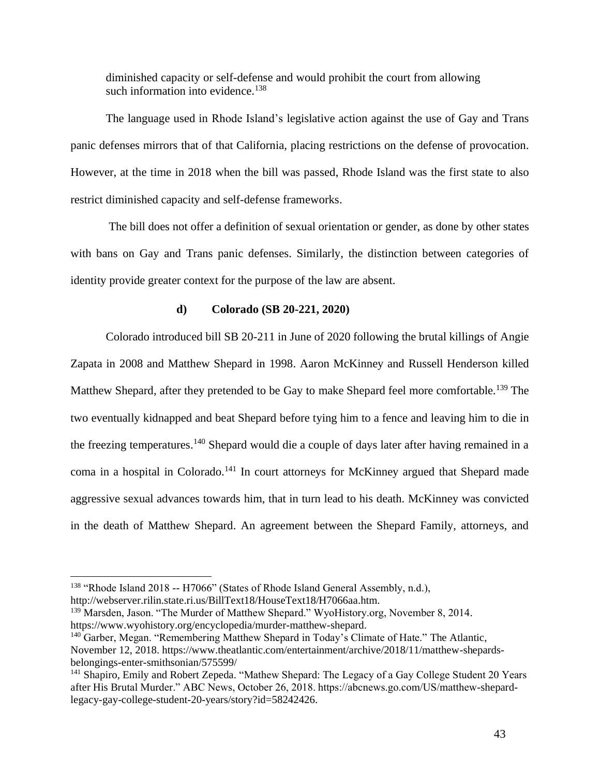diminished capacity or self-defense and would prohibit the court from allowing such information into evidence.<sup>138</sup>

The language used in Rhode Island's legislative action against the use of Gay and Trans panic defenses mirrors that of that California, placing restrictions on the defense of provocation. However, at the time in 2018 when the bill was passed, Rhode Island was the first state to also restrict diminished capacity and self-defense frameworks.

The bill does not offer a definition of sexual orientation or gender, as done by other states with bans on Gay and Trans panic defenses. Similarly, the distinction between categories of identity provide greater context for the purpose of the law are absent.

## **d) Colorado (SB 20-221, 2020)**

Colorado introduced bill SB 20-211 in June of 2020 following the brutal killings of Angie Zapata in 2008 and Matthew Shepard in 1998. Aaron McKinney and Russell Henderson killed Matthew Shepard, after they pretended to be Gay to make Shepard feel more comfortable.<sup>139</sup> The two eventually kidnapped and beat Shepard before tying him to a fence and leaving him to die in the freezing temperatures.<sup>140</sup> Shepard would die a couple of days later after having remained in a coma in a hospital in Colorado.<sup>141</sup> In court attorneys for McKinney argued that Shepard made aggressive sexual advances towards him, that in turn lead to his death. McKinney was convicted in the death of Matthew Shepard. An agreement between the Shepard Family, attorneys, and

<sup>138</sup> "Rhode Island 2018 -- H7066" (States of Rhode Island General Assembly, n.d.), http://webserver.rilin.state.ri.us/BillText18/HouseText18/H7066aa.htm.

<sup>&</sup>lt;sup>139</sup> Marsden, Jason. "The Murder of Matthew Shepard." WyoHistory.org, November 8, 2014.

https://www.wyohistory.org/encyclopedia/murder-matthew-shepard.

<sup>140</sup> Garber, Megan. "Remembering Matthew Shepard in Today's Climate of Hate." The Atlantic, November 12, 2018. https://www.theatlantic.com/entertainment/archive/2018/11/matthew-shepardsbelongings-enter-smithsonian/575599/

<sup>&</sup>lt;sup>141</sup> Shapiro, Emily and Robert Zepeda. "Mathew Shepard: The Legacy of a Gay College Student 20 Years after His Brutal Murder." ABC News, October 26, 2018. https://abcnews.go.com/US/matthew-shepardlegacy-gay-college-student-20-years/story?id=58242426.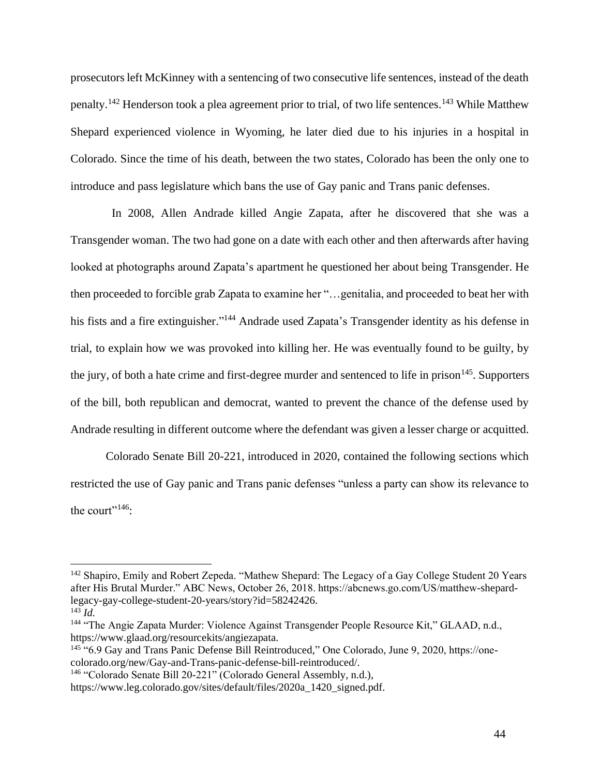prosecutors left McKinney with a sentencing of two consecutive life sentences, instead of the death penalty.<sup>142</sup> Henderson took a plea agreement prior to trial, of two life sentences.<sup>143</sup> While Matthew Shepard experienced violence in Wyoming, he later died due to his injuries in a hospital in Colorado. Since the time of his death, between the two states, Colorado has been the only one to introduce and pass legislature which bans the use of Gay panic and Trans panic defenses.

In 2008, Allen Andrade killed Angie Zapata, after he discovered that she was a Transgender woman. The two had gone on a date with each other and then afterwards after having looked at photographs around Zapata's apartment he questioned her about being Transgender. He then proceeded to forcible grab Zapata to examine her "…genitalia, and proceeded to beat her with his fists and a fire extinguisher."<sup>144</sup> Andrade used Zapata's Transgender identity as his defense in trial, to explain how we was provoked into killing her. He was eventually found to be guilty, by the jury, of both a hate crime and first-degree murder and sentenced to life in prison<sup>145</sup>. Supporters of the bill, both republican and democrat, wanted to prevent the chance of the defense used by Andrade resulting in different outcome where the defendant was given a lesser charge or acquitted.

Colorado Senate Bill 20-221, introduced in 2020, contained the following sections which restricted the use of Gay panic and Trans panic defenses "unless a party can show its relevance to the court"<sup>146</sup>:

<sup>&</sup>lt;sup>142</sup> Shapiro, Emily and Robert Zepeda. "Mathew Shepard: The Legacy of a Gay College Student 20 Years after His Brutal Murder." ABC News, October 26, 2018. https://abcnews.go.com/US/matthew-shepardlegacy-gay-college-student-20-years/story?id=58242426.  $^{143}$  *Id.* 

<sup>&</sup>lt;sup>144</sup> "The Angie Zapata Murder: Violence Against Transgender People Resource Kit," GLAAD, n.d., https://www.glaad.org/resourcekits/angiezapata.

<sup>145</sup> "6.9 Gay and Trans Panic Defense Bill Reintroduced," One Colorado, June 9, 2020, https://onecolorado.org/new/Gay-and-Trans-panic-defense-bill-reintroduced/.

 $146$  "Colorado Senate Bill 20-221" (Colorado General Assembly, n.d.),

https://www.leg.colorado.gov/sites/default/files/2020a\_1420\_signed.pdf.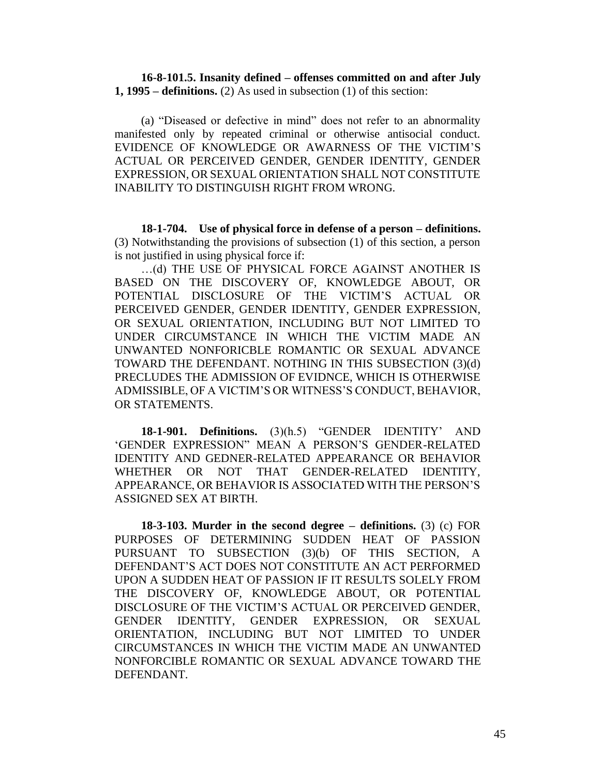**16-8-101.5. Insanity defined – offenses committed on and after July 1, 1995 – definitions.** (2) As used in subsection (1) of this section:

(a) "Diseased or defective in mind" does not refer to an abnormality manifested only by repeated criminal or otherwise antisocial conduct. EVIDENCE OF KNOWLEDGE OR AWARNESS OF THE VICTIM'S ACTUAL OR PERCEIVED GENDER, GENDER IDENTITY, GENDER EXPRESSION, OR SEXUAL ORIENTATION SHALL NOT CONSTITUTE INABILITY TO DISTINGUISH RIGHT FROM WRONG.

**18-1-704. Use of physical force in defense of a person – definitions.**  (3) Notwithstanding the provisions of subsection (1) of this section, a person is not justified in using physical force if:

…(d) THE USE OF PHYSICAL FORCE AGAINST ANOTHER IS BASED ON THE DISCOVERY OF, KNOWLEDGE ABOUT, OR POTENTIAL DISCLOSURE OF THE VICTIM'S ACTUAL OR PERCEIVED GENDER, GENDER IDENTITY, GENDER EXPRESSION, OR SEXUAL ORIENTATION, INCLUDING BUT NOT LIMITED TO UNDER CIRCUMSTANCE IN WHICH THE VICTIM MADE AN UNWANTED NONFORICBLE ROMANTIC OR SEXUAL ADVANCE TOWARD THE DEFENDANT. NOTHING IN THIS SUBSECTION (3)(d) PRECLUDES THE ADMISSION OF EVIDNCE, WHICH IS OTHERWISE ADMISSIBLE, OF A VICTIM'S OR WITNESS'S CONDUCT, BEHAVIOR, OR STATEMENTS.

**18-1-901. Definitions.** (3)(h.5) "GENDER IDENTITY' AND 'GENDER EXPRESSION" MEAN A PERSON'S GENDER-RELATED IDENTITY AND GEDNER-RELATED APPEARANCE OR BEHAVIOR WHETHER OR NOT THAT GENDER-RELATED IDENTITY, APPEARANCE, OR BEHAVIOR IS ASSOCIATED WITH THE PERSON'S ASSIGNED SEX AT BIRTH.

**18-3-103. Murder in the second degree – definitions.** (3) (c) FOR PURPOSES OF DETERMINING SUDDEN HEAT OF PASSION PURSUANT TO SUBSECTION (3)(b) OF THIS SECTION, A DEFENDANT'S ACT DOES NOT CONSTITUTE AN ACT PERFORMED UPON A SUDDEN HEAT OF PASSION IF IT RESULTS SOLELY FROM THE DISCOVERY OF, KNOWLEDGE ABOUT, OR POTENTIAL DISCLOSURE OF THE VICTIM'S ACTUAL OR PERCEIVED GENDER, GENDER IDENTITY, GENDER EXPRESSION, OR SEXUAL ORIENTATION, INCLUDING BUT NOT LIMITED TO UNDER CIRCUMSTANCES IN WHICH THE VICTIM MADE AN UNWANTED NONFORCIBLE ROMANTIC OR SEXUAL ADVANCE TOWARD THE DEFENDANT.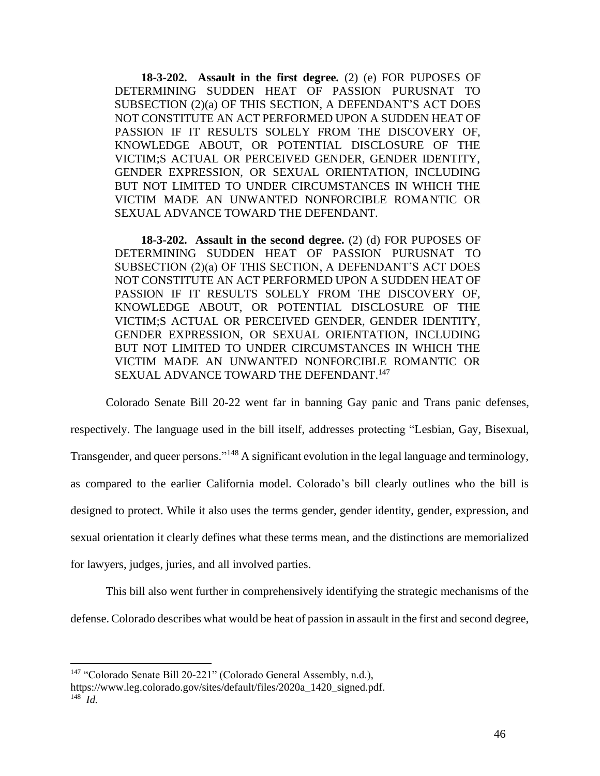**18-3-202. Assault in the first degree.** (2) (e) FOR PUPOSES OF DETERMINING SUDDEN HEAT OF PASSION PURUSNAT TO SUBSECTION (2)(a) OF THIS SECTION, A DEFENDANT'S ACT DOES NOT CONSTITUTE AN ACT PERFORMED UPON A SUDDEN HEAT OF PASSION IF IT RESULTS SOLELY FROM THE DISCOVERY OF, KNOWLEDGE ABOUT, OR POTENTIAL DISCLOSURE OF THE VICTIM;S ACTUAL OR PERCEIVED GENDER, GENDER IDENTITY, GENDER EXPRESSION, OR SEXUAL ORIENTATION, INCLUDING BUT NOT LIMITED TO UNDER CIRCUMSTANCES IN WHICH THE VICTIM MADE AN UNWANTED NONFORCIBLE ROMANTIC OR SEXUAL ADVANCE TOWARD THE DEFENDANT.

**18-3-202. Assault in the second degree.** (2) (d) FOR PUPOSES OF DETERMINING SUDDEN HEAT OF PASSION PURUSNAT TO SUBSECTION (2)(a) OF THIS SECTION, A DEFENDANT'S ACT DOES NOT CONSTITUTE AN ACT PERFORMED UPON A SUDDEN HEAT OF PASSION IF IT RESULTS SOLELY FROM THE DISCOVERY OF, KNOWLEDGE ABOUT, OR POTENTIAL DISCLOSURE OF THE VICTIM;S ACTUAL OR PERCEIVED GENDER, GENDER IDENTITY, GENDER EXPRESSION, OR SEXUAL ORIENTATION, INCLUDING BUT NOT LIMITED TO UNDER CIRCUMSTANCES IN WHICH THE VICTIM MADE AN UNWANTED NONFORCIBLE ROMANTIC OR SEXUAL ADVANCE TOWARD THE DEFENDANT.<sup>147</sup>

Colorado Senate Bill 20-22 went far in banning Gay panic and Trans panic defenses, respectively. The language used in the bill itself, addresses protecting "Lesbian, Gay, Bisexual, Transgender, and queer persons."<sup>148</sup> A significant evolution in the legal language and terminology, as compared to the earlier California model. Colorado's bill clearly outlines who the bill is designed to protect. While it also uses the terms gender, gender identity, gender, expression, and sexual orientation it clearly defines what these terms mean, and the distinctions are memorialized for lawyers, judges, juries, and all involved parties.

This bill also went further in comprehensively identifying the strategic mechanisms of the defense. Colorado describes what would be heat of passion in assault in the first and second degree,

<sup>&</sup>lt;sup>147</sup> "Colorado Senate Bill 20-221" (Colorado General Assembly, n.d.),

https://www.leg.colorado.gov/sites/default/files/2020a\_1420\_signed.pdf.  $^{148}$  *Id.*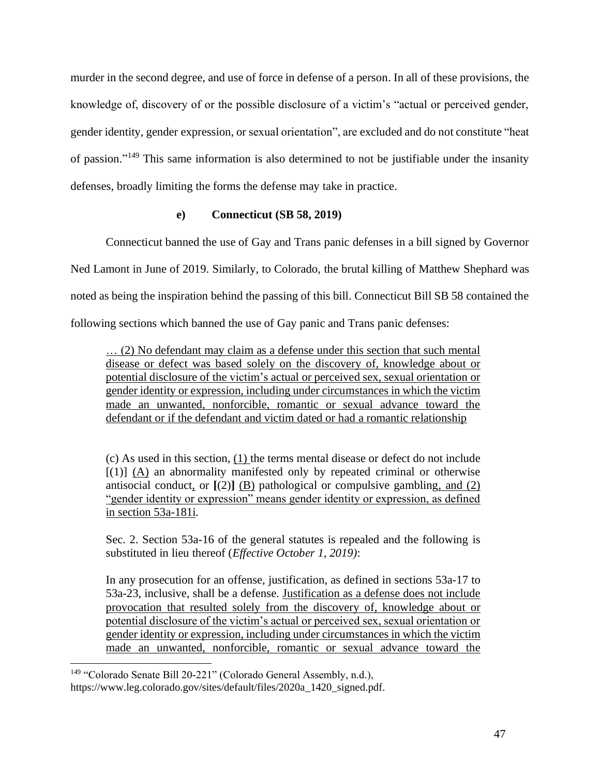murder in the second degree, and use of force in defense of a person. In all of these provisions, the knowledge of, discovery of or the possible disclosure of a victim's "actual or perceived gender, gender identity, gender expression, or sexual orientation", are excluded and do not constitute "heat of passion."<sup>149</sup> This same information is also determined to not be justifiable under the insanity defenses, broadly limiting the forms the defense may take in practice.

## **e) Connecticut (SB 58, 2019)**

Connecticut banned the use of Gay and Trans panic defenses in a bill signed by Governor Ned Lamont in June of 2019. Similarly, to Colorado, the brutal killing of Matthew Shephard was noted as being the inspiration behind the passing of this bill. Connecticut Bill SB 58 contained the following sections which banned the use of Gay panic and Trans panic defenses:

… (2) No defendant may claim as a defense under this section that such mental disease or defect was based solely on the discovery of, knowledge about or potential disclosure of the victim's actual or perceived sex, sexual orientation or gender identity or expression, including under circumstances in which the victim made an unwanted, nonforcible, romantic or sexual advance toward the defendant or if the defendant and victim dated or had a romantic relationship

(c) As used in this section, (1) the terms mental disease or defect do not include  $[(1)]$  (A) an abnormality manifested only by repeated criminal or otherwise antisocial conduct, or  $[(2)]$  (B) pathological or compulsive gambling, and  $(2)$ "gender identity or expression" means gender identity or expression, as defined in section 53a-181i.

Sec. 2. Section 53a-16 of the general statutes is repealed and the following is substituted in lieu thereof (*Effective October 1, 2019)*:

In any prosecution for an offense, justification, as defined in sections 53a-17 to 53a-23, inclusive, shall be a defense. Justification as a defense does not include provocation that resulted solely from the discovery of, knowledge about or potential disclosure of the victim's actual or perceived sex, sexual orientation or gender identity or expression, including under circumstances in which the victim made an unwanted, nonforcible, romantic or sexual advance toward the

<sup>149</sup> "Colorado Senate Bill 20-221" (Colorado General Assembly, n.d.), https://www.leg.colorado.gov/sites/default/files/2020a\_1420\_signed.pdf.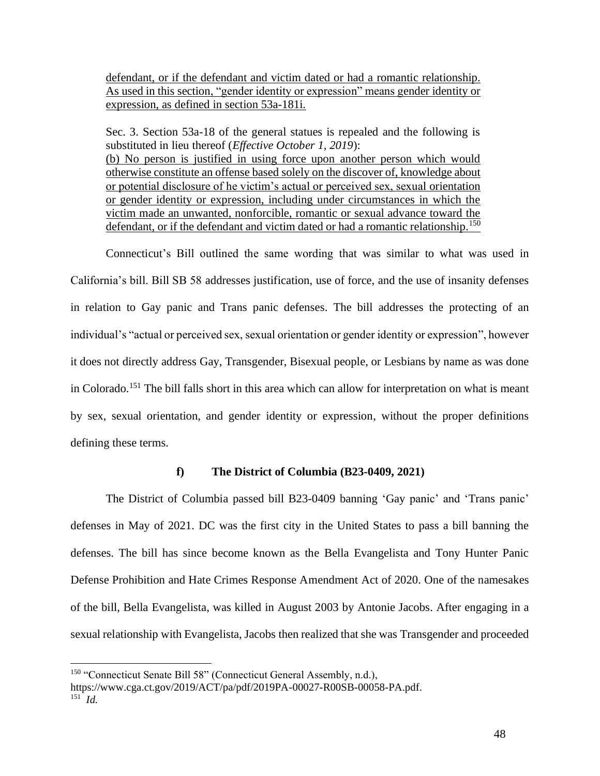defendant, or if the defendant and victim dated or had a romantic relationship. As used in this section, "gender identity or expression" means gender identity or expression, as defined in section 53a-181i.

Sec. 3. Section 53a-18 of the general statues is repealed and the following is substituted in lieu thereof (*Effective October 1, 2019*): (b) No person is justified in using force upon another person which would otherwise constitute an offense based solely on the discover of, knowledge about or potential disclosure of he victim's actual or perceived sex, sexual orientation or gender identity or expression, including under circumstances in which the victim made an unwanted, nonforcible, romantic or sexual advance toward the defendant, or if the defendant and victim dated or had a romantic relationship.<sup>150</sup>

Connecticut's Bill outlined the same wording that was similar to what was used in California's bill. Bill SB 58 addresses justification, use of force, and the use of insanity defenses in relation to Gay panic and Trans panic defenses. The bill addresses the protecting of an individual's "actual or perceived sex, sexual orientation or gender identity or expression", however it does not directly address Gay, Transgender, Bisexual people, or Lesbians by name as was done in Colorado. <sup>151</sup> The bill falls short in this area which can allow for interpretation on what is meant by sex, sexual orientation, and gender identity or expression, without the proper definitions defining these terms.

#### **f) The District of Columbia (B23-0409, 2021)**

The District of Columbia passed bill B23-0409 banning 'Gay panic' and 'Trans panic' defenses in May of 2021. DC was the first city in the United States to pass a bill banning the defenses. The bill has since become known as the Bella Evangelista and Tony Hunter Panic Defense Prohibition and Hate Crimes Response Amendment Act of 2020. One of the namesakes of the bill, Bella Evangelista, was killed in August 2003 by Antonie Jacobs. After engaging in a sexual relationship with Evangelista, Jacobs then realized that she was Transgender and proceeded

<sup>150</sup> "Connecticut Senate Bill 58" (Connecticut General Assembly, n.d.),

https://www.cga.ct.gov/2019/ACT/pa/pdf/2019PA-00027-R00SB-00058-PA.pdf. <sup>151</sup> *Id.*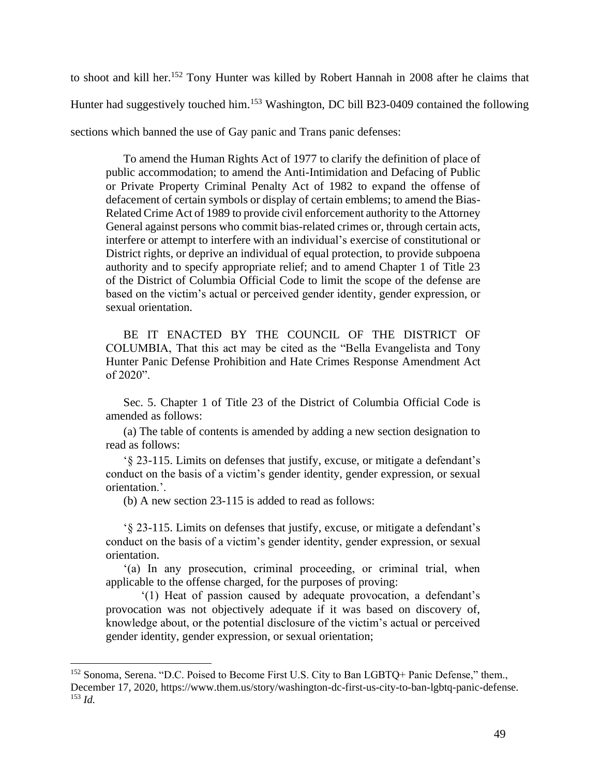to shoot and kill her.<sup>152</sup> Tony Hunter was killed by Robert Hannah in 2008 after he claims that Hunter had suggestively touched him.<sup>153</sup> Washington, DC bill B23-0409 contained the following sections which banned the use of Gay panic and Trans panic defenses:

To amend the Human Rights Act of 1977 to clarify the definition of place of public accommodation; to amend the Anti-Intimidation and Defacing of Public or Private Property Criminal Penalty Act of 1982 to expand the offense of defacement of certain symbols or display of certain emblems; to amend the Bias-Related Crime Act of 1989 to provide civil enforcement authority to the Attorney General against persons who commit bias-related crimes or, through certain acts, interfere or attempt to interfere with an individual's exercise of constitutional or District rights, or deprive an individual of equal protection, to provide subpoena authority and to specify appropriate relief; and to amend Chapter 1 of Title 23 of the District of Columbia Official Code to limit the scope of the defense are based on the victim's actual or perceived gender identity, gender expression, or sexual orientation.

BE IT ENACTED BY THE COUNCIL OF THE DISTRICT OF COLUMBIA, That this act may be cited as the "Bella Evangelista and Tony Hunter Panic Defense Prohibition and Hate Crimes Response Amendment Act of  $2020$ ".

Sec. 5. Chapter 1 of Title 23 of the District of Columbia Official Code is amended as follows:

(a) The table of contents is amended by adding a new section designation to read as follows:

'§ 23-115. Limits on defenses that justify, excuse, or mitigate a defendant's conduct on the basis of a victim's gender identity, gender expression, or sexual orientation.'.

(b) A new section 23-115 is added to read as follows:

'§ 23-115. Limits on defenses that justify, excuse, or mitigate a defendant's conduct on the basis of a victim's gender identity, gender expression, or sexual orientation.

'(a) In any prosecution, criminal proceeding, or criminal trial, when applicable to the offense charged, for the purposes of proving:

'(1) Heat of passion caused by adequate provocation, a defendant's provocation was not objectively adequate if it was based on discovery of, knowledge about, or the potential disclosure of the victim's actual or perceived gender identity, gender expression, or sexual orientation;

<sup>&</sup>lt;sup>152</sup> Sonoma, Serena. "D.C. Poised to Become First U.S. City to Ban LGBTO+ Panic Defense." them., December 17, 2020, https://www.them.us/story/washington-dc-first-us-city-to-ban-lgbtq-panic-defense. <sup>153</sup> *Id.*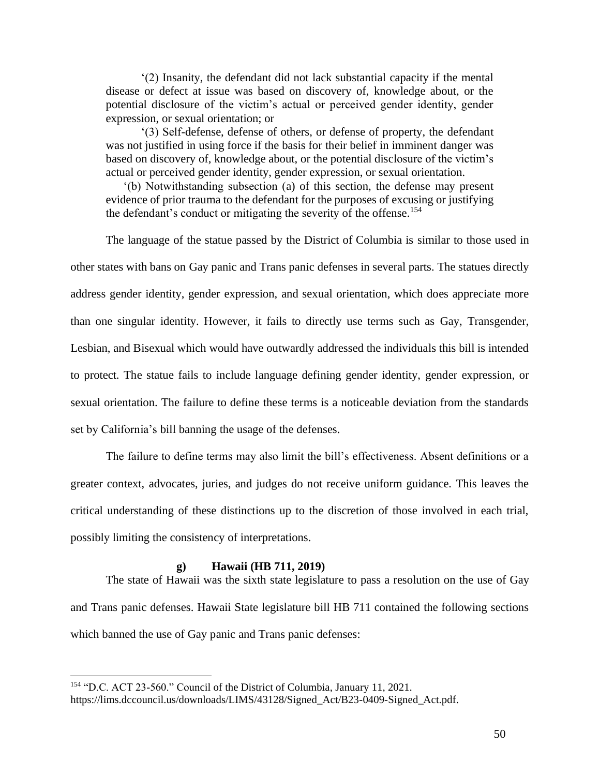'(2) Insanity, the defendant did not lack substantial capacity if the mental disease or defect at issue was based on discovery of, knowledge about, or the potential disclosure of the victim's actual or perceived gender identity, gender expression, or sexual orientation; or

'(3) Self-defense, defense of others, or defense of property, the defendant was not justified in using force if the basis for their belief in imminent danger was based on discovery of, knowledge about, or the potential disclosure of the victim's actual or perceived gender identity, gender expression, or sexual orientation.

'(b) Notwithstanding subsection (a) of this section, the defense may present evidence of prior trauma to the defendant for the purposes of excusing or justifying the defendant's conduct or mitigating the severity of the offense. 154

The language of the statue passed by the District of Columbia is similar to those used in other states with bans on Gay panic and Trans panic defenses in several parts. The statues directly address gender identity, gender expression, and sexual orientation, which does appreciate more than one singular identity. However, it fails to directly use terms such as Gay, Transgender, Lesbian, and Bisexual which would have outwardly addressed the individuals this bill is intended to protect. The statue fails to include language defining gender identity, gender expression, or sexual orientation. The failure to define these terms is a noticeable deviation from the standards set by California's bill banning the usage of the defenses.

The failure to define terms may also limit the bill's effectiveness. Absent definitions or a greater context, advocates, juries, and judges do not receive uniform guidance. This leaves the critical understanding of these distinctions up to the discretion of those involved in each trial, possibly limiting the consistency of interpretations.

#### **g) Hawaii (HB 711, 2019)**

The state of Hawaii was the sixth state legislature to pass a resolution on the use of Gay and Trans panic defenses. Hawaii State legislature bill HB 711 contained the following sections which banned the use of Gay panic and Trans panic defenses:

<sup>154</sup> "D.C. ACT 23-560." Council of the District of Columbia, January 11, 2021. [https://lims.dccouncil.us/downloads/LIMS/43128/Signed\\_Act/B23-0409-Signed\\_Act.pdf.](https://lims.dccouncil.us/downloads/LIMS/43128/Signed_Act/B23-0409-Signed_Act.pdf)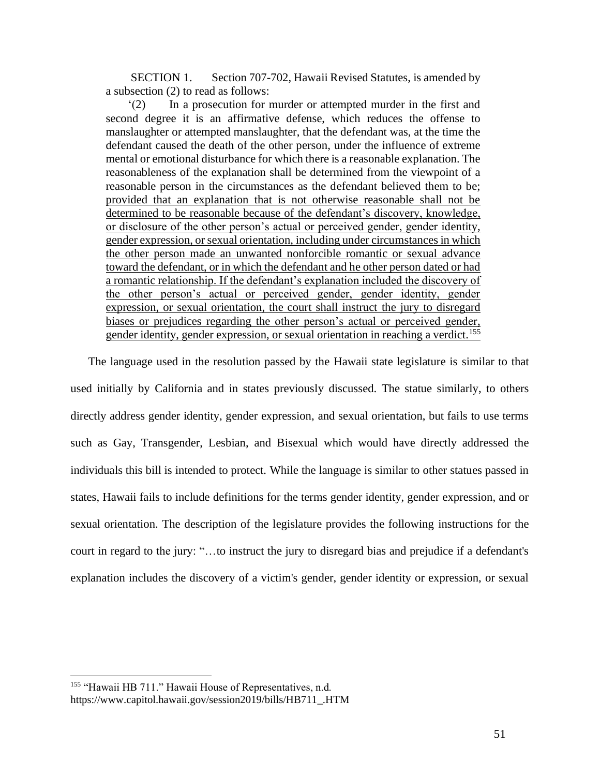SECTION 1. Section 707-702, Hawaii Revised Statutes, is amended by a subsection (2) to read as follows:

'(2) In a prosecution for murder or attempted murder in the first and second degree it is an affirmative defense, which reduces the offense to manslaughter or attempted manslaughter, that the defendant was, at the time the defendant caused the death of the other person, under the influence of extreme mental or emotional disturbance for which there is a reasonable explanation. The reasonableness of the explanation shall be determined from the viewpoint of a reasonable person in the circumstances as the defendant believed them to be; provided that an explanation that is not otherwise reasonable shall not be determined to be reasonable because of the defendant's discovery, knowledge, or disclosure of the other person's actual or perceived gender, gender identity, gender expression, or sexual orientation, including under circumstances in which the other person made an unwanted nonforcible romantic or sexual advance toward the defendant, or in which the defendant and he other person dated or had a romantic relationship. If the defendant's explanation included the discovery of the other person's actual or perceived gender, gender identity, gender expression, or sexual orientation, the court shall instruct the jury to disregard biases or prejudices regarding the other person's actual or perceived gender, gender identity, gender expression, or sexual orientation in reaching a verdict. 155

The language used in the resolution passed by the Hawaii state legislature is similar to that used initially by California and in states previously discussed. The statue similarly, to others directly address gender identity, gender expression, and sexual orientation, but fails to use terms such as Gay, Transgender, Lesbian, and Bisexual which would have directly addressed the individuals this bill is intended to protect. While the language is similar to other statues passed in states, Hawaii fails to include definitions for the terms gender identity, gender expression, and or sexual orientation. The description of the legislature provides the following instructions for the court in regard to the jury: "…to instruct the jury to disregard bias and prejudice if a defendant's explanation includes the discovery of a victim's gender, gender identity or expression, or sexual

<sup>155</sup> "Hawaii HB 711." Hawaii House of Representatives, n.d. https://www.capitol.hawaii.gov/session2019/bills/HB711\_.HTM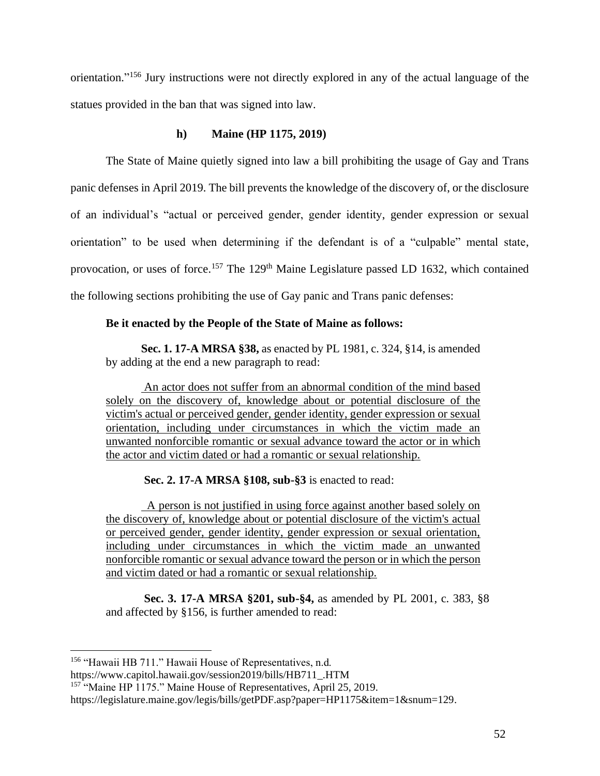orientation."<sup>156</sup> Jury instructions were not directly explored in any of the actual language of the statues provided in the ban that was signed into law.

# **h) Maine (HP 1175, 2019)**

The State of Maine quietly signed into law a bill prohibiting the usage of Gay and Trans panic defenses in April 2019. The bill prevents the knowledge of the discovery of, or the disclosure of an individual's "actual or perceived gender, gender identity, gender expression or sexual orientation" to be used when determining if the defendant is of a "culpable" mental state, provocation, or uses of force.<sup>157</sup> The 129<sup>th</sup> Maine Legislature passed LD 1632, which contained the following sections prohibiting the use of Gay panic and Trans panic defenses:

# **Be it enacted by the People of the State of Maine as follows:**

**Sec. 1. 17-A MRSA §38,** as enacted by PL 1981, c. 324, §14, is amended by adding at the end a new paragraph to read:

An actor does not suffer from an abnormal condition of the mind based solely on the discovery of, knowledge about or potential disclosure of the victim's actual or perceived gender, gender identity, gender expression or sexual orientation, including under circumstances in which the victim made an unwanted nonforcible romantic or sexual advance toward the actor or in which the actor and victim dated or had a romantic or sexual relationship.

**Sec. 2. 17-A MRSA §108, sub-§3** is enacted to read:

A person is not justified in using force against another based solely on the discovery of, knowledge about or potential disclosure of the victim's actual or perceived gender, gender identity, gender expression or sexual orientation, including under circumstances in which the victim made an unwanted nonforcible romantic or sexual advance toward the person or in which the person and victim dated or had a romantic or sexual relationship.

**Sec. 3. 17-A MRSA §201, sub-§4,** as amended by PL 2001, c. 383, §8 and affected by §156, is further amended to read:

<sup>&</sup>lt;sup>156</sup> "Hawaii HB 711." Hawaii House of Representatives, n.d.

https://www.capitol.hawaii.gov/session2019/bills/HB711\_.HTM

<sup>&</sup>lt;sup>157</sup> "Maine HP 1175." Maine House of Representatives, April 25, 2019.

https://legislature.maine.gov/legis/bills/getPDF.asp?paper=HP1175&item=1&snum=129.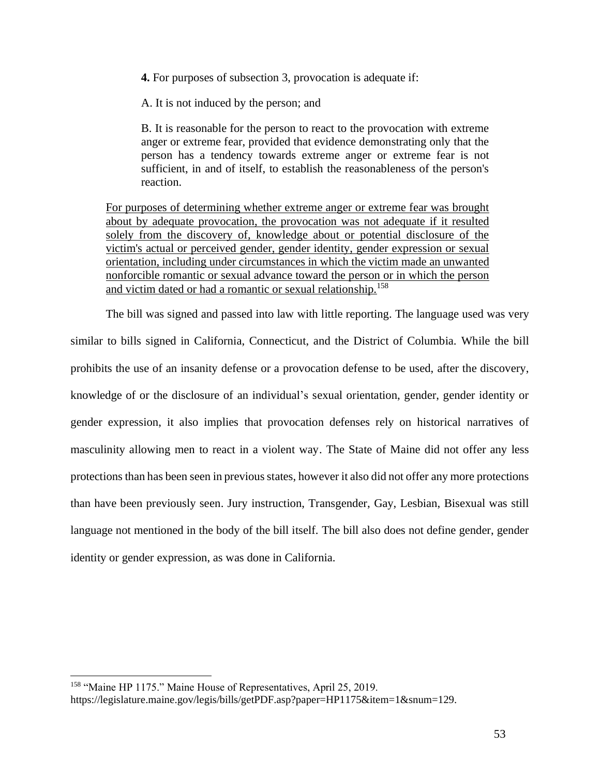**4.** For purposes of subsection 3, provocation is adequate if:

A. It is not induced by the person; and

B. It is reasonable for the person to react to the provocation with extreme anger or extreme fear, provided that evidence demonstrating only that the person has a tendency towards extreme anger or extreme fear is not sufficient, in and of itself, to establish the reasonableness of the person's reaction.

For purposes of determining whether extreme anger or extreme fear was brought about by adequate provocation, the provocation was not adequate if it resulted solely from the discovery of, knowledge about or potential disclosure of the victim's actual or perceived gender, gender identity, gender expression or sexual orientation, including under circumstances in which the victim made an unwanted nonforcible romantic or sexual advance toward the person or in which the person and victim dated or had a romantic or sexual relationship.<sup>158</sup>

The bill was signed and passed into law with little reporting. The language used was very similar to bills signed in California, Connecticut, and the District of Columbia. While the bill prohibits the use of an insanity defense or a provocation defense to be used, after the discovery, knowledge of or the disclosure of an individual's sexual orientation, gender, gender identity or gender expression, it also implies that provocation defenses rely on historical narratives of masculinity allowing men to react in a violent way. The State of Maine did not offer any less protections than has been seen in previous states, however it also did not offer any more protections than have been previously seen. Jury instruction, Transgender, Gay, Lesbian, Bisexual was still language not mentioned in the body of the bill itself. The bill also does not define gender, gender identity or gender expression, as was done in California.

<sup>158</sup> "Maine HP 1175." Maine House of Representatives, April 25, 2019. https://legislature.maine.gov/legis/bills/getPDF.asp?paper=HP1175&item=1&snum=129.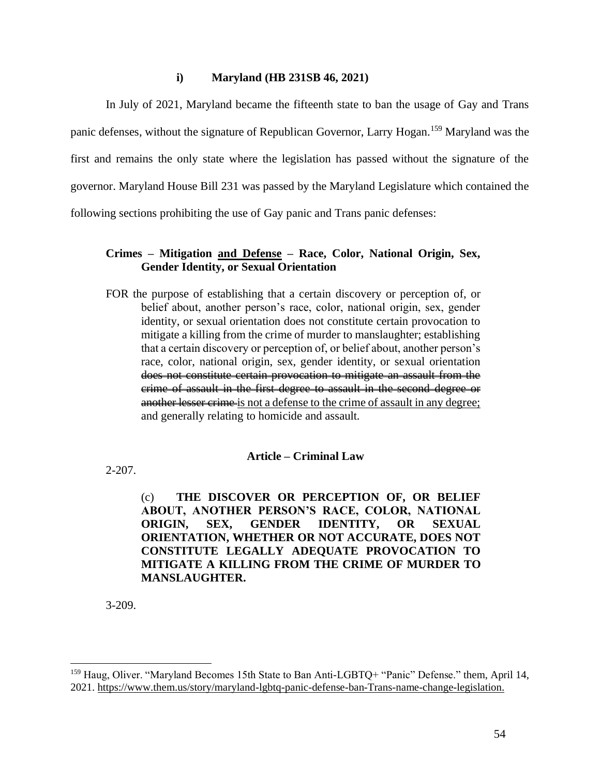### **i) Maryland (HB 231SB 46, 2021)**

In July of 2021, Maryland became the fifteenth state to ban the usage of Gay and Trans panic defenses, without the signature of Republican Governor, Larry Hogan.<sup>159</sup> Maryland was the first and remains the only state where the legislation has passed without the signature of the governor. Maryland House Bill 231 was passed by the Maryland Legislature which contained the following sections prohibiting the use of Gay panic and Trans panic defenses:

## **Crimes – Mitigation and Defense – Race, Color, National Origin, Sex, Gender Identity, or Sexual Orientation**

FOR the purpose of establishing that a certain discovery or perception of, or belief about, another person's race, color, national origin, sex, gender identity, or sexual orientation does not constitute certain provocation to mitigate a killing from the crime of murder to manslaughter; establishing that a certain discovery or perception of, or belief about, another person's race, color, national origin, sex, gender identity, or sexual orientation does not constitute certain provocation to mitigate an assault from the crime of assault in the first degree to assault in the second degree or another lesser crime is not a defense to the crime of assault in any degree; and generally relating to homicide and assault.

## **Article – Criminal Law**

2-207.

(c) **THE DISCOVER OR PERCEPTION OF, OR BELIEF ABOUT, ANOTHER PERSON'S RACE, COLOR, NATIONAL ORIGIN, SEX, GENDER IDENTITY, OR SEXUAL ORIENTATION, WHETHER OR NOT ACCURATE, DOES NOT CONSTITUTE LEGALLY ADEQUATE PROVOCATION TO MITIGATE A KILLING FROM THE CRIME OF MURDER TO MANSLAUGHTER.** 

3-209.

<sup>159</sup> Haug, Oliver. "Maryland Becomes 15th State to Ban Anti-LGBTQ+ "Panic" Defense." them, April 14, 2021. [https://www.them.us/story/maryland-lgbtq-panic-defense-ban-Trans-name-change-legislation.](https://www.them.us/story/maryland-lgbtq-panic-defense-ban-trans-name-change-legislation)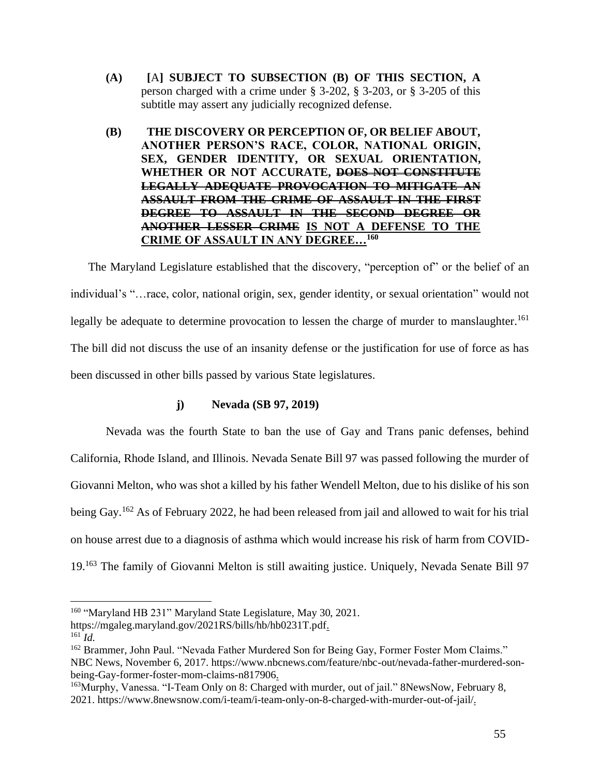- **(A) [**A**] SUBJECT TO SUBSECTION (B) OF THIS SECTION, A**  person charged with a crime under § 3-202, § 3-203, or § 3-205 of this subtitle may assert any judicially recognized defense.
- **(B) THE DISCOVERY OR PERCEPTION OF, OR BELIEF ABOUT, ANOTHER PERSON'S RACE, COLOR, NATIONAL ORIGIN, SEX, GENDER IDENTITY, OR SEXUAL ORIENTATION, WHETHER OR NOT ACCURATE, DOES NOT CONSTITUTE LEGALLY ADEQUATE PROVOCATION TO MITIGATE AN ASSAULT FROM THE CRIME OF ASSAULT IN THE FIRST DEGREE TO ASSAULT IN THE SECOND DEGREE OR ANOTHER LESSER CRIME IS NOT A DEFENSE TO THE CRIME OF ASSAULT IN ANY DEGREE…<sup>160</sup>**

The Maryland Legislature established that the discovery, "perception of" or the belief of an individual's "…race, color, national origin, sex, gender identity, or sexual orientation" would not legally be adequate to determine provocation to lessen the charge of murder to manslaughter.<sup>161</sup> The bill did not discuss the use of an insanity defense or the justification for use of force as has been discussed in other bills passed by various State legislatures.

# **j) Nevada (SB 97, 2019)**

Nevada was the fourth State to ban the use of Gay and Trans panic defenses, behind California, Rhode Island, and Illinois. Nevada Senate Bill 97 was passed following the murder of Giovanni Melton, who was shot a killed by his father Wendell Melton, due to his dislike of his son being Gay.<sup>162</sup> As of February 2022, he had been released from jail and allowed to wait for his trial on house arrest due to a diagnosis of asthma which would increase his risk of harm from COVID-19. <sup>163</sup> The family of Giovanni Melton is still awaiting justice. Uniquely, Nevada Senate Bill 97

<sup>&</sup>lt;sup>160</sup> "Maryland HB 231" Maryland State Legislature, May 30, 2021.

https://mgaleg.maryland.gov/2021RS/bills/hb/hb0231T.pdf.

<sup>161</sup> *Id.*

<sup>&</sup>lt;sup>162</sup> Brammer, John Paul. "Nevada Father Murdered Son for Being Gay, Former Foster Mom Claims." NBC News, November 6, 2017. https://www.nbcnews.com/feature/nbc-out/nevada-father-murdered-sonbeing-Gay-former-foster-mom-claims-n817906.

<sup>163</sup>Murphy, Vanessa. "I-Team Only on 8: Charged with murder, out of jail." 8NewsNow, February 8, 2021. https://www.8newsnow.com/i-team/i-team-only-on-8-charged-with-murder-out-of-jail/.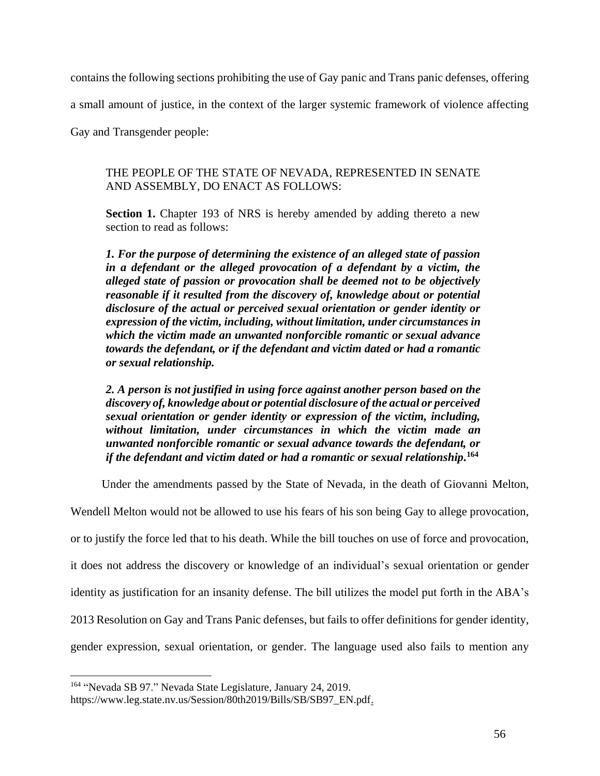contains the following sections prohibiting the use of Gay panic and Trans panic defenses, offering

a small amount of justice, in the context of the larger systemic framework of violence affecting

Gay and Transgender people:

# THE PEOPLE OF THE STATE OF NEVADA, REPRESENTED IN SENATE AND ASSEMBLY, DO ENACT AS FOLLOWS:

**Section 1.** Chapter 193 of NRS is hereby amended by adding thereto a new section to read as follows:

*1. For the purpose of determining the existence of an alleged state of passion in a defendant or the alleged provocation of a defendant by a victim, the alleged state of passion or provocation shall be deemed not to be objectively reasonable if it resulted from the discovery of, knowledge about or potential disclosure of the actual or perceived sexual orientation or gender identity or expression of the victim, including, without limitation, under circumstances in which the victim made an unwanted nonforcible romantic or sexual advance towards the defendant, or if the defendant and victim dated or had a romantic or sexual relationship.* 

*2. A person is not justified in using force against another person based on the discovery of, knowledge about or potential disclosure of the actual or perceived sexual orientation or gender identity or expression of the victim, including, without limitation, under circumstances in which the victim made an unwanted nonforcible romantic or sexual advance towards the defendant, or if the defendant and victim dated or had a romantic or sexual relationship.* **164**

Under the amendments passed by the State of Nevada, in the death of Giovanni Melton,

Wendell Melton would not be allowed to use his fears of his son being Gay to allege provocation,

or to justify the force led that to his death. While the bill touches on use of force and provocation,

it does not address the discovery or knowledge of an individual's sexual orientation or gender

identity as justification for an insanity defense. The bill utilizes the model put forth in the ABA's

2013 Resolution on Gay and Trans Panic defenses, but fails to offer definitions for gender identity,

gender expression, sexual orientation, or gender. The language used also fails to mention any

<sup>&</sup>lt;sup>164</sup> "Nevada SB 97." Nevada State Legislature, January 24, 2019.

https://www.leg.state.nv.us/Session/80th2019/Bills/SB/SB97\_EN.pdf.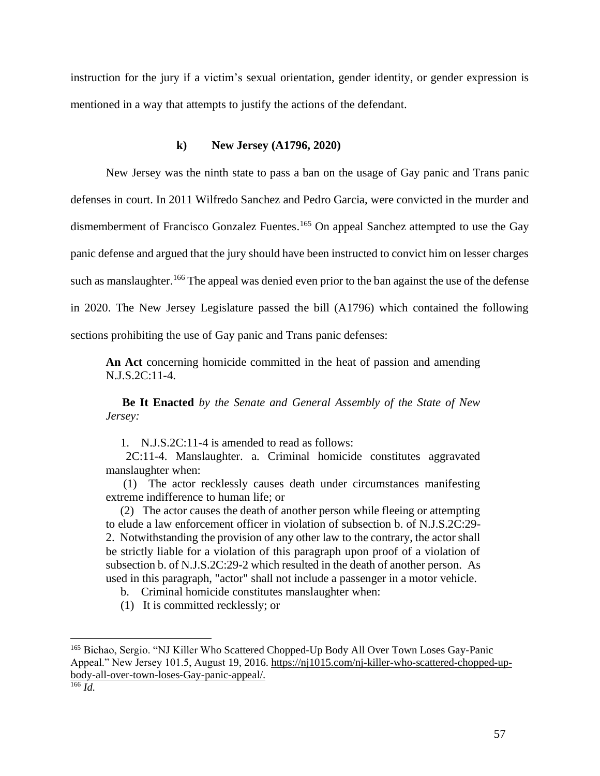instruction for the jury if a victim's sexual orientation, gender identity, or gender expression is mentioned in a way that attempts to justify the actions of the defendant.

### **k) New Jersey (A1796, 2020)**

New Jersey was the ninth state to pass a ban on the usage of Gay panic and Trans panic defenses in court. In 2011 Wilfredo Sanchez and Pedro Garcia, were convicted in the murder and dismemberment of Francisco Gonzalez Fuentes.<sup>165</sup> On appeal Sanchez attempted to use the Gay panic defense and argued that the jury should have been instructed to convict him on lesser charges such as manslaughter.<sup>166</sup> The appeal was denied even prior to the ban against the use of the defense in 2020. The New Jersey Legislature passed the bill (A1796) which contained the following sections prohibiting the use of Gay panic and Trans panic defenses:

**An Act** concerning homicide committed in the heat of passion and amending N.J.S.2C:11-4.

 **Be It Enacted** *by the Senate and General Assembly of the State of New Jersey:*

1. N.J.S.2C:11-4 is amended to read as follows:

 2C:11-4. Manslaughter. a. Criminal homicide constitutes aggravated manslaughter when:

 (1) The actor recklessly causes death under circumstances manifesting extreme indifference to human life; or

 (2) The actor causes the death of another person while fleeing or attempting to elude a law enforcement officer in violation of subsection b. of N.J.S.2C:29- 2. Notwithstanding the provision of any other law to the contrary, the actor shall be strictly liable for a violation of this paragraph upon proof of a violation of subsection b. of N.J.S.2C:29-2 which resulted in the death of another person. As used in this paragraph, "actor" shall not include a passenger in a motor vehicle.

b. Criminal homicide constitutes manslaughter when:

(1) It is committed recklessly; or

<sup>165</sup> Bichao, Sergio. "NJ Killer Who Scattered Chopped-Up Body All Over Town Loses Gay-Panic Appeal." New Jersey 101.5, August 19, 2016. [https://nj1015.com/nj-killer-who-scattered-chopped-up](https://nj1015.com/nj-killer-who-scattered-chopped-up-body-all-over-town-loses-gay-panic-appeal/)[body-all-over-town-loses-Gay-panic-appeal/.](https://nj1015.com/nj-killer-who-scattered-chopped-up-body-all-over-town-loses-gay-panic-appeal/)

 $^{166}$  *Id.*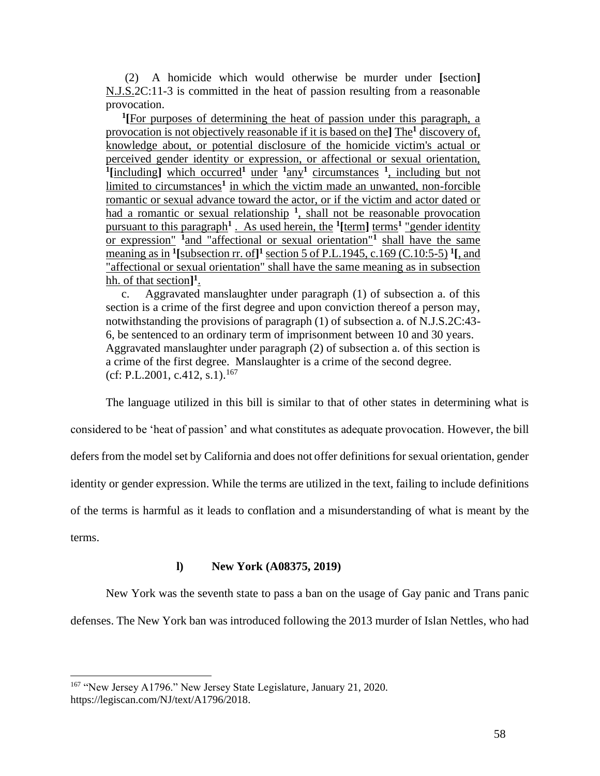(2) A homicide which would otherwise be murder under **[**section**]** N.J.S.2C:11-3 is committed in the heat of passion resulting from a reasonable provocation.

**1 [**For purposes of determining the heat of passion under this paragraph, a provocation is not objectively reasonable if it is based on the**]** The**<sup>1</sup>** discovery of, knowledge about, or potential disclosure of the homicide victim's actual or perceived gender identity or expression, or affectional or sexual orientation, **1 [**including**]** which occurred**<sup>1</sup>** under **<sup>1</sup>** any**<sup>1</sup>** circumstances **<sup>1</sup>** , including but not limited to circumstances<sup>1</sup> in which the victim made an unwanted, non-forcible romantic or sexual advance toward the actor, or if the victim and actor dated or had a romantic or sexual relationship **<sup>1</sup>** , shall not be reasonable provocation pursuant to this paragraph**<sup>1</sup>** . As used herein, the **<sup>1</sup> [**term**]** terms**<sup>1</sup>** "gender identity or expression" **<sup>1</sup>** and "affectional or sexual orientation"**<sup>1</sup>** shall have the same meaning as in **<sup>1</sup> [**subsection rr. of**] 1** section 5 of P.L.1945, c.169 (C.10:5-5) **<sup>1</sup> [**, and "affectional or sexual orientation" shall have the same meaning as in subsection hh. of that section**] 1** .

 c. Aggravated manslaughter under paragraph (1) of subsection a. of this section is a crime of the first degree and upon conviction thereof a person may, notwithstanding the provisions of paragraph (1) of subsection a. of N.J.S.2C:43- 6, be sentenced to an ordinary term of imprisonment between 10 and 30 years. Aggravated manslaughter under paragraph (2) of subsection a. of this section is a crime of the first degree. Manslaughter is a crime of the second degree.  $(cf: P.L.2001, c.412, s.1).$ <sup>167</sup>

The language utilized in this bill is similar to that of other states in determining what is considered to be 'heat of passion' and what constitutes as adequate provocation. However, the bill defers from the model set by California and does not offer definitions for sexual orientation, gender identity or gender expression. While the terms are utilized in the text, failing to include definitions of the terms is harmful as it leads to conflation and a misunderstanding of what is meant by the terms.

## **l) New York (A08375, 2019)**

New York was the seventh state to pass a ban on the usage of Gay panic and Trans panic defenses. The New York ban was introduced following the 2013 murder of Islan Nettles, who had

<sup>&</sup>lt;sup>167</sup> "New Jersey A1796." New Jersey State Legislature, January 21, 2020. https://legiscan.com/NJ/text/A1796/2018.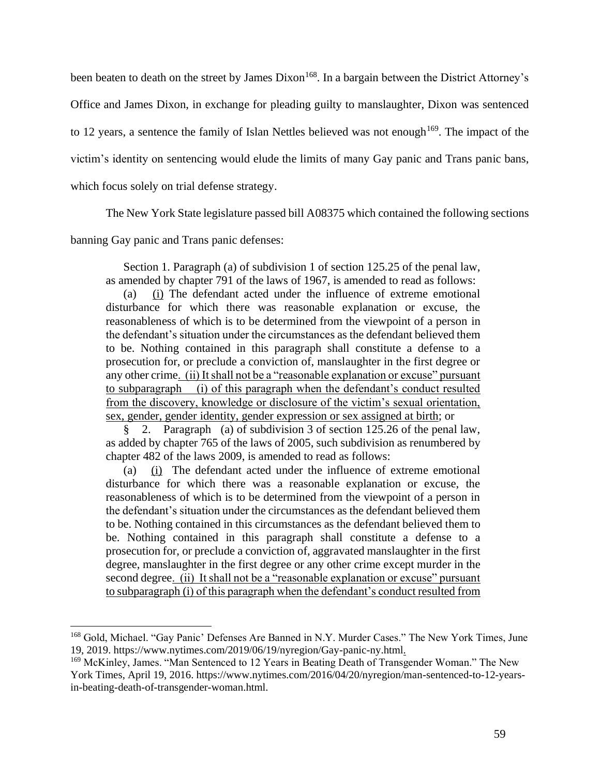been beaten to death on the street by James Dixon<sup>168</sup>. In a bargain between the District Attorney's Office and James Dixon, in exchange for pleading guilty to manslaughter, Dixon was sentenced to 12 years, a sentence the family of Islan Nettles believed was not enough  $169$ . The impact of the victim's identity on sentencing would elude the limits of many Gay panic and Trans panic bans, which focus solely on trial defense strategy.

The New York State legislature passed bill A08375 which contained the following sections

banning Gay panic and Trans panic defenses:

Section 1. Paragraph (a) of subdivision 1 of section 125.25 of the penal law, as amended by chapter 791 of the laws of 1967, is amended to read as follows:

(a) (i) The defendant acted under the influence of extreme emotional disturbance for which there was reasonable explanation or excuse, the reasonableness of which is to be determined from the viewpoint of a person in the defendant's situation under the circumstances as the defendant believed them to be. Nothing contained in this paragraph shall constitute a defense to a prosecution for, or preclude a conviction of, manslaughter in the first degree or any other crime. (ii) It shall not be a "reasonable explanation or excuse" pursuant to subparagraph (i) of this paragraph when the defendant's conduct resulted from the discovery, knowledge or disclosure of the victim's sexual orientation, sex, gender, gender identity, gender expression or sex assigned at birth; or

§ 2. Paragraph (a) of subdivision 3 of section 125.26 of the penal law, as added by chapter 765 of the laws of 2005, such subdivision as renumbered by chapter 482 of the laws 2009, is amended to read as follows:

(i) The defendant acted under the influence of extreme emotional disturbance for which there was a reasonable explanation or excuse, the reasonableness of which is to be determined from the viewpoint of a person in the defendant's situation under the circumstances as the defendant believed them to be. Nothing contained in this circumstances as the defendant believed them to be. Nothing contained in this paragraph shall constitute a defense to a prosecution for, or preclude a conviction of, aggravated manslaughter in the first degree, manslaughter in the first degree or any other crime except murder in the second degree. (ii) It shall not be a "reasonable explanation or excuse" pursuant to subparagraph (i) of this paragraph when the defendant's conduct resulted from

<sup>&</sup>lt;sup>168</sup> Gold, Michael. "Gay Panic' Defenses Are Banned in N.Y. Murder Cases." The New York Times, June 19, 2019. https://www.nytimes.com/2019/06/19/nyregion/Gay-panic-ny.html.

<sup>&</sup>lt;sup>169</sup> McKinley, James. "Man Sentenced to 12 Years in Beating Death of Transgender Woman." The New York Times, April 19, 2016. https://www.nytimes.com/2016/04/20/nyregion/man-sentenced-to-12-yearsin-beating-death-of-transgender-woman.html.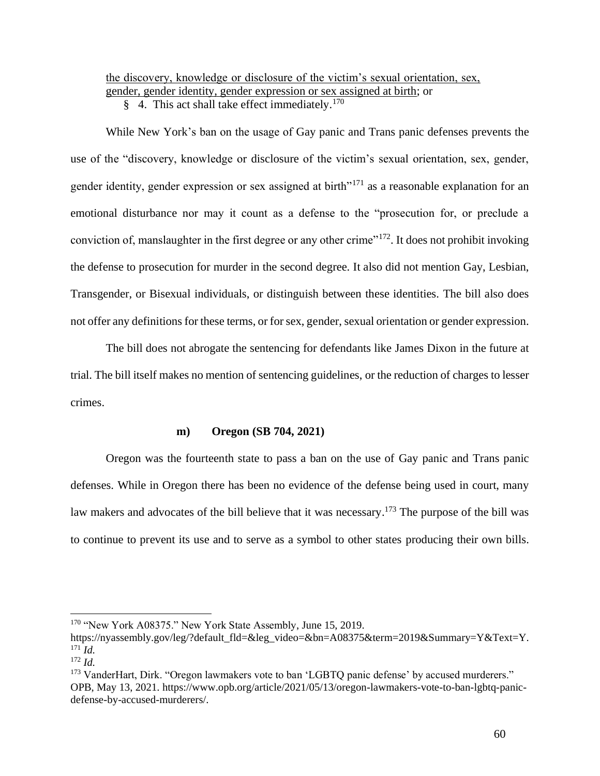the discovery, knowledge or disclosure of the victim's sexual orientation, sex, gender, gender identity, gender expression or sex assigned at birth; or

§ 4. This act shall take effect immediately.<sup>170</sup>

While New York's ban on the usage of Gay panic and Trans panic defenses prevents the use of the "discovery, knowledge or disclosure of the victim's sexual orientation, sex, gender, gender identity, gender expression or sex assigned at birth<sup>"171</sup> as a reasonable explanation for an emotional disturbance nor may it count as a defense to the "prosecution for, or preclude a conviction of, manslaughter in the first degree or any other crime"<sup>172</sup>. It does not prohibit invoking the defense to prosecution for murder in the second degree. It also did not mention Gay, Lesbian, Transgender, or Bisexual individuals, or distinguish between these identities. The bill also does not offer any definitions for these terms, or for sex, gender, sexual orientation or gender expression.

The bill does not abrogate the sentencing for defendants like James Dixon in the future at trial. The bill itself makes no mention of sentencing guidelines, or the reduction of charges to lesser crimes.

## **m) Oregon (SB 704, 2021)**

Oregon was the fourteenth state to pass a ban on the use of Gay panic and Trans panic defenses. While in Oregon there has been no evidence of the defense being used in court, many law makers and advocates of the bill believe that it was necessary.<sup>173</sup> The purpose of the bill was to continue to prevent its use and to serve as a symbol to other states producing their own bills.

<sup>&</sup>lt;sup>170</sup> "New York A08375." New York State Assembly, June 15, 2019.

https://nyassembly.gov/leg/?default\_fld=&leg\_video=&bn=A08375&term=2019&Summary=Y&Text=Y. <sup>171</sup> *Id.*

<sup>172</sup> *Id.*

<sup>&</sup>lt;sup>173</sup> VanderHart, Dirk. "Oregon lawmakers vote to ban 'LGBTO panic defense' by accused murderers." OPB, May 13, 2021. https://www.opb.org/article/2021/05/13/oregon-lawmakers-vote-to-ban-lgbtq-panicdefense-by-accused-murderers/.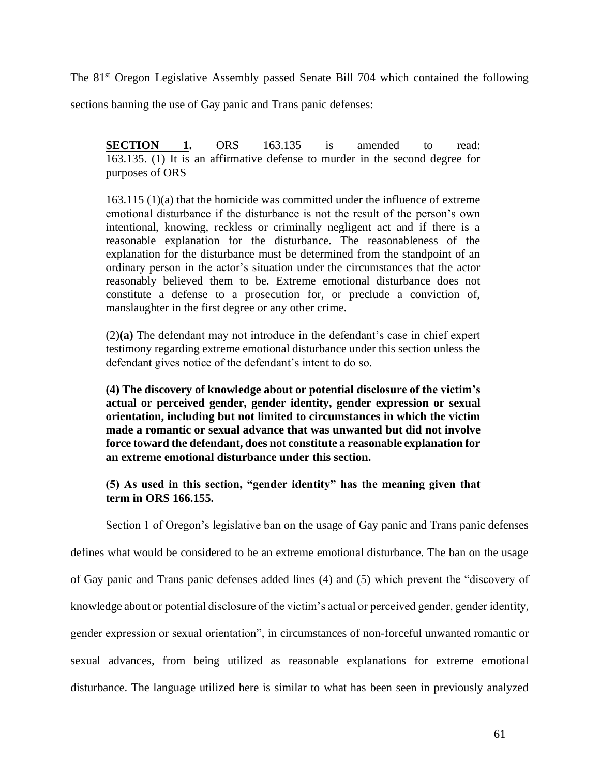The 81st Oregon Legislative Assembly passed Senate Bill 704 which contained the following

sections banning the use of Gay panic and Trans panic defenses:

**SECTION 1.** ORS 163.135 is amended to read: 163.135. (1) It is an affirmative defense to murder in the second degree for purposes of ORS

163.115 (1)(a) that the homicide was committed under the influence of extreme emotional disturbance if the disturbance is not the result of the person's own intentional, knowing, reckless or criminally negligent act and if there is a reasonable explanation for the disturbance. The reasonableness of the explanation for the disturbance must be determined from the standpoint of an ordinary person in the actor's situation under the circumstances that the actor reasonably believed them to be. Extreme emotional disturbance does not constitute a defense to a prosecution for, or preclude a conviction of, manslaughter in the first degree or any other crime.

(2)**(a)** The defendant may not introduce in the defendant's case in chief expert testimony regarding extreme emotional disturbance under this section unless the defendant gives notice of the defendant's intent to do so.

**(4) The discovery of knowledge about or potential disclosure of the victim's actual or perceived gender, gender identity, gender expression or sexual orientation, including but not limited to circumstances in which the victim made a romantic or sexual advance that was unwanted but did not involve force toward the defendant, does not constitute a reasonable explanation for an extreme emotional disturbance under this section.** 

**(5) As used in this section, "gender identity" has the meaning given that term in ORS 166.155.** 

Section 1 of Oregon's legislative ban on the usage of Gay panic and Trans panic defenses defines what would be considered to be an extreme emotional disturbance. The ban on the usage of Gay panic and Trans panic defenses added lines (4) and (5) which prevent the "discovery of knowledge about or potential disclosure of the victim's actual or perceived gender, gender identity, gender expression or sexual orientation", in circumstances of non-forceful unwanted romantic or sexual advances, from being utilized as reasonable explanations for extreme emotional disturbance. The language utilized here is similar to what has been seen in previously analyzed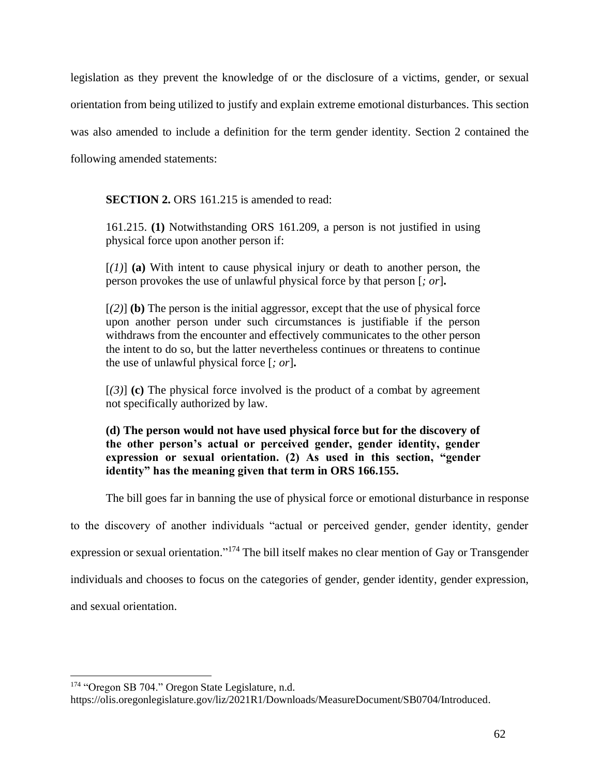legislation as they prevent the knowledge of or the disclosure of a victims, gender, or sexual orientation from being utilized to justify and explain extreme emotional disturbances. This section was also amended to include a definition for the term gender identity. Section 2 contained the following amended statements:

**SECTION 2.** ORS 161.215 is amended to read:

161.215. **(1)** Notwithstanding ORS 161.209, a person is not justified in using physical force upon another person if:

 $[(1)]$  (a) With intent to cause physical injury or death to another person, the person provokes the use of unlawful physical force by that person [*; or*]**.** 

 $[2]$  (b) The person is the initial aggressor, except that the use of physical force upon another person under such circumstances is justifiable if the person withdraws from the encounter and effectively communicates to the other person the intent to do so, but the latter nevertheless continues or threatens to continue the use of unlawful physical force [*; or*]**.** 

 $[(3)]$  (c) The physical force involved is the product of a combat by agreement not specifically authorized by law.

# **(d) The person would not have used physical force but for the discovery of the other person's actual or perceived gender, gender identity, gender expression or sexual orientation. (2) As used in this section, "gender identity" has the meaning given that term in ORS 166.155.**

The bill goes far in banning the use of physical force or emotional disturbance in response

to the discovery of another individuals "actual or perceived gender, gender identity, gender

expression or sexual orientation."<sup>174</sup> The bill itself makes no clear mention of Gay or Transgender

individuals and chooses to focus on the categories of gender, gender identity, gender expression,

and sexual orientation.

<sup>174</sup> "Oregon SB 704." Oregon State Legislature, n.d.

https://olis.oregonlegislature.gov/liz/2021R1/Downloads/MeasureDocument/SB0704/Introduced.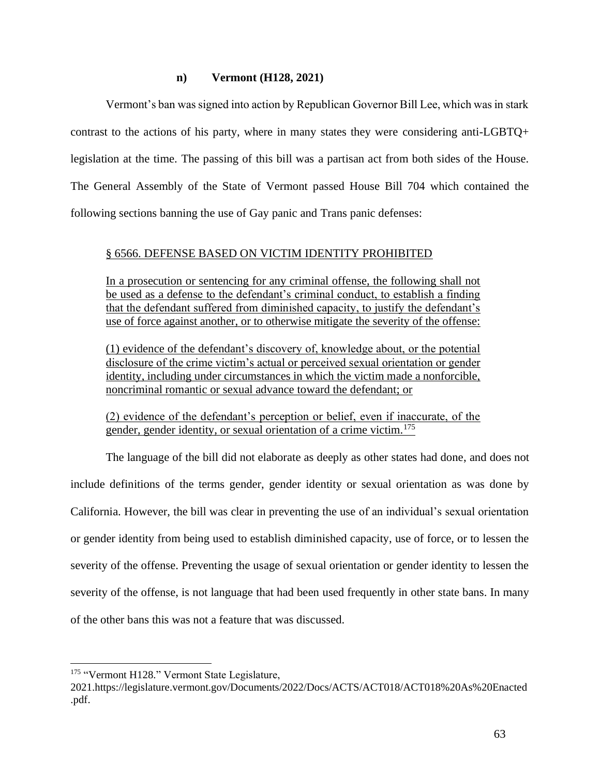#### **n) Vermont (H128, 2021)**

Vermont's ban was signed into action by Republican Governor Bill Lee, which was in stark contrast to the actions of his party, where in many states they were considering anti-LGBTQ+ legislation at the time. The passing of this bill was a partisan act from both sides of the House. The General Assembly of the State of Vermont passed House Bill 704 which contained the following sections banning the use of Gay panic and Trans panic defenses:

#### § 6566. DEFENSE BASED ON VICTIM IDENTITY PROHIBITED

In a prosecution or sentencing for any criminal offense, the following shall not be used as a defense to the defendant's criminal conduct, to establish a finding that the defendant suffered from diminished capacity, to justify the defendant's use of force against another, or to otherwise mitigate the severity of the offense:

(1) evidence of the defendant's discovery of, knowledge about, or the potential disclosure of the crime victim's actual or perceived sexual orientation or gender identity, including under circumstances in which the victim made a nonforcible, noncriminal romantic or sexual advance toward the defendant; or

(2) evidence of the defendant's perception or belief, even if inaccurate, of the gender, gender identity, or sexual orientation of a crime victim.<sup>175</sup>

The language of the bill did not elaborate as deeply as other states had done, and does not include definitions of the terms gender, gender identity or sexual orientation as was done by California. However, the bill was clear in preventing the use of an individual's sexual orientation or gender identity from being used to establish diminished capacity, use of force, or to lessen the severity of the offense. Preventing the usage of sexual orientation or gender identity to lessen the severity of the offense, is not language that had been used frequently in other state bans. In many of the other bans this was not a feature that was discussed.

<sup>&</sup>lt;sup>175</sup> "Vermont H128." Vermont State Legislature,

<sup>2021.</sup>https://legislature.vermont.gov/Documents/2022/Docs/ACTS/ACT018/ACT018%20As%20Enacted .pdf.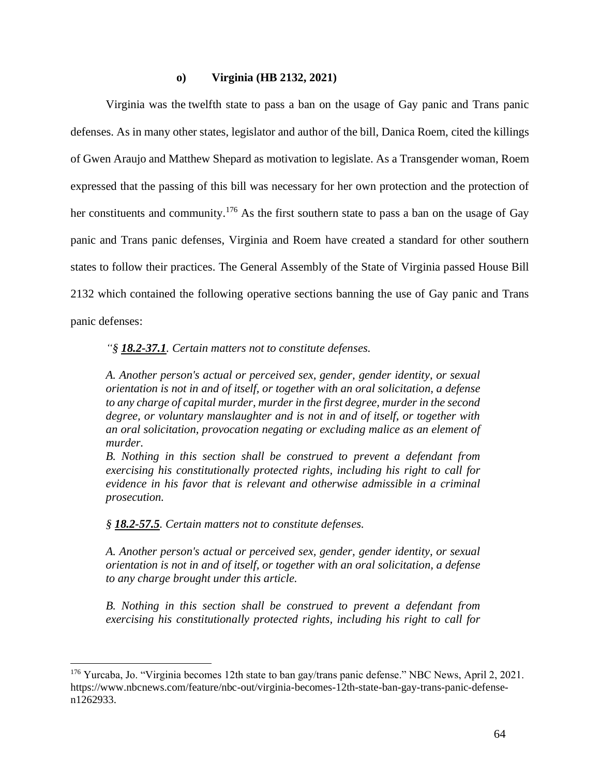#### **o) Virginia (HB 2132, 2021)**

Virginia was the twelfth state to pass a ban on the usage of Gay panic and Trans panic defenses. As in many other states, legislator and author of the bill, Danica Roem, cited the killings of Gwen Araujo and Matthew Shepard as motivation to legislate. As a Transgender woman, Roem expressed that the passing of this bill was necessary for her own protection and the protection of her constituents and community.<sup>176</sup> As the first southern state to pass a ban on the usage of Gay panic and Trans panic defenses, Virginia and Roem have created a standard for other southern states to follow their practices. The General Assembly of the State of Virginia passed House Bill 2132 which contained the following operative sections banning the use of Gay panic and Trans panic defenses:

*"§ [18.2-37.1](http://law.lis.virginia.gov/vacode/18.2-37.1). Certain matters not to constitute defenses.*

*A. Another person's actual or perceived sex, gender, gender identity, or sexual orientation is not in and of itself, or together with an oral solicitation, a defense to any charge of capital murder, murder in the first degree, murder in the second degree, or voluntary manslaughter and is not in and of itself, or together with an oral solicitation, provocation negating or excluding malice as an element of murder.*

*B. Nothing in this section shall be construed to prevent a defendant from exercising his constitutionally protected rights, including his right to call for evidence in his favor that is relevant and otherwise admissible in a criminal prosecution.*

*§ [18.2-57.5](http://law.lis.virginia.gov/vacode/18.2-57.5). Certain matters not to constitute defenses.*

*A. Another person's actual or perceived sex, gender, gender identity, or sexual orientation is not in and of itself, or together with an oral solicitation, a defense to any charge brought under this article.*

*B. Nothing in this section shall be construed to prevent a defendant from exercising his constitutionally protected rights, including his right to call for* 

<sup>&</sup>lt;sup>176</sup> Yurcaba, Jo. "Virginia becomes 12th state to ban gay/trans panic defense." NBC News, April 2, 2021. https://www.nbcnews.com/feature/nbc-out/virginia-becomes-12th-state-ban-gay-trans-panic-defensen1262933.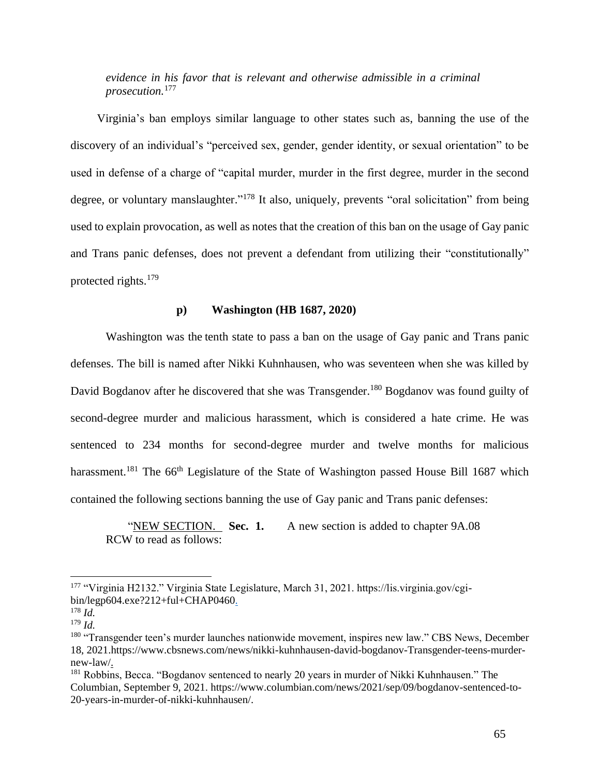*evidence in his favor that is relevant and otherwise admissible in a criminal prosecution.*<sup>177</sup>

Virginia's ban employs similar language to other states such as, banning the use of the discovery of an individual's "perceived sex, gender, gender identity, or sexual orientation" to be used in defense of a charge of "capital murder, murder in the first degree, murder in the second degree, or voluntary manslaughter."<sup>178</sup> It also, uniquely, prevents "oral solicitation" from being used to explain provocation, as well as notes that the creation of this ban on the usage of Gay panic and Trans panic defenses, does not prevent a defendant from utilizing their "constitutionally" protected rights.<sup>179</sup>

#### **p) Washington (HB 1687, 2020)**

Washington was the tenth state to pass a ban on the usage of Gay panic and Trans panic defenses. The bill is named after Nikki Kuhnhausen, who was seventeen when she was killed by David Bogdanov after he discovered that she was Transgender.<sup>180</sup> Bogdanov was found guilty of second-degree murder and malicious harassment, which is considered a hate crime. He was sentenced to 234 months for second-degree murder and twelve months for malicious harassment.<sup>181</sup> The 66<sup>th</sup> Legislature of the State of Washington passed House Bill 1687 which contained the following sections banning the use of Gay panic and Trans panic defenses:

"NEW SECTION. **Sec. 1.** A new section is added to chapter 9A.08 RCW to read as follows:

<sup>177</sup> "Virginia H2132." Virginia State Legislature, March 31, 2021. https://lis.virginia.gov/cgibin/legp604.exe?212+ful+CHAP0460.

<sup>178</sup> *Id.*

<sup>179</sup> *Id.*

<sup>&</sup>lt;sup>180</sup> "Transgender teen's murder launches nationwide movement, inspires new law." CBS News, December 18, 2021.https://www.cbsnews.com/news/nikki-kuhnhausen-david-bogdanov-Transgender-teens-murdernew-law/.

<sup>&</sup>lt;sup>181</sup> Robbins, Becca. "Bogdanov sentenced to nearly 20 years in murder of Nikki Kuhnhausen." The Columbian, September 9, 2021. https://www.columbian.com/news/2021/sep/09/bogdanov-sentenced-to-20-years-in-murder-of-nikki-kuhnhausen/.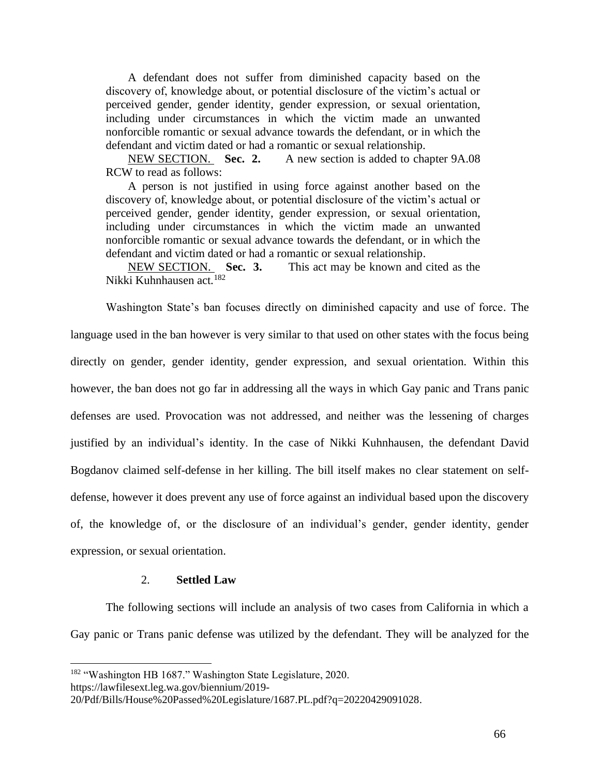A defendant does not suffer from diminished capacity based on the discovery of, knowledge about, or potential disclosure of the victim's actual or perceived gender, gender identity, gender expression, or sexual orientation, including under circumstances in which the victim made an unwanted nonforcible romantic or sexual advance towards the defendant, or in which the defendant and victim dated or had a romantic or sexual relationship.

NEW SECTION. **Sec. 2.** A new section is added to chapter 9A.08 RCW to read as follows:

A person is not justified in using force against another based on the discovery of, knowledge about, or potential disclosure of the victim's actual or perceived gender, gender identity, gender expression, or sexual orientation, including under circumstances in which the victim made an unwanted nonforcible romantic or sexual advance towards the defendant, or in which the defendant and victim dated or had a romantic or sexual relationship.

NEW SECTION. **Sec. 3.** This act may be known and cited as the Nikki Kuhnhausen act.<sup>182</sup>

Washington State's ban focuses directly on diminished capacity and use of force. The language used in the ban however is very similar to that used on other states with the focus being directly on gender, gender identity, gender expression, and sexual orientation. Within this however, the ban does not go far in addressing all the ways in which Gay panic and Trans panic defenses are used. Provocation was not addressed, and neither was the lessening of charges justified by an individual's identity. In the case of Nikki Kuhnhausen, the defendant David Bogdanov claimed self-defense in her killing. The bill itself makes no clear statement on selfdefense, however it does prevent any use of force against an individual based upon the discovery of, the knowledge of, or the disclosure of an individual's gender, gender identity, gender expression, or sexual orientation.

#### 2. **Settled Law**

The following sections will include an analysis of two cases from California in which a Gay panic or Trans panic defense was utilized by the defendant. They will be analyzed for the

<sup>&</sup>lt;sup>182</sup> "Washington HB 1687." Washington State Legislature, 2020.

https://lawfilesext.leg.wa.gov/biennium/2019-

<sup>20/</sup>Pdf/Bills/House%20Passed%20Legislature/1687.PL.pdf?q=20220429091028.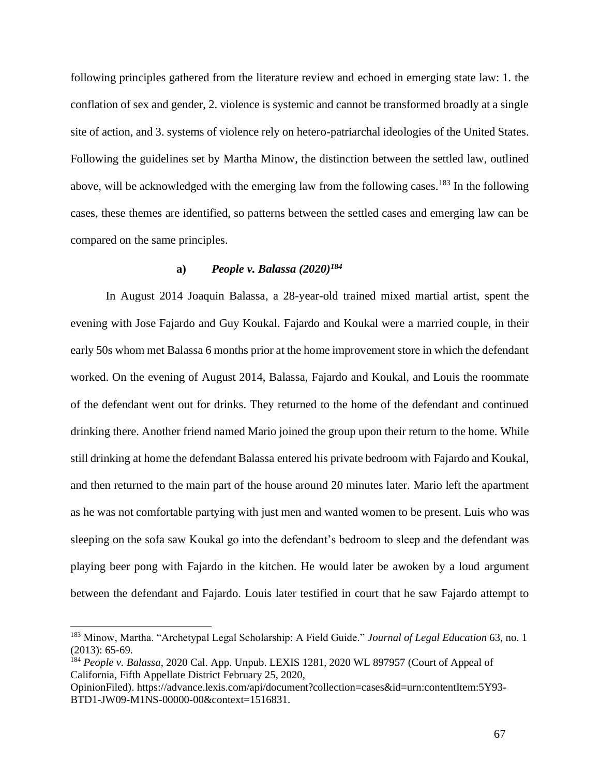following principles gathered from the literature review and echoed in emerging state law: 1. the conflation of sex and gender, 2. violence is systemic and cannot be transformed broadly at a single site of action, and 3. systems of violence rely on hetero-patriarchal ideologies of the United States. Following the guidelines set by Martha Minow, the distinction between the settled law, outlined above, will be acknowledged with the emerging law from the following cases.<sup>183</sup> In the following cases, these themes are identified, so patterns between the settled cases and emerging law can be compared on the same principles.

#### **a)** *People v. Balassa (2020)<sup>184</sup>*

In August 2014 Joaquin Balassa, a 28-year-old trained mixed martial artist, spent the evening with Jose Fajardo and Guy Koukal. Fajardo and Koukal were a married couple, in their early 50s whom met Balassa 6 months prior at the home improvement store in which the defendant worked. On the evening of August 2014, Balassa, Fajardo and Koukal, and Louis the roommate of the defendant went out for drinks. They returned to the home of the defendant and continued drinking there. Another friend named Mario joined the group upon their return to the home. While still drinking at home the defendant Balassa entered his private bedroom with Fajardo and Koukal, and then returned to the main part of the house around 20 minutes later. Mario left the apartment as he was not comfortable partying with just men and wanted women to be present. Luis who was sleeping on the sofa saw Koukal go into the defendant's bedroom to sleep and the defendant was playing beer pong with Fajardo in the kitchen. He would later be awoken by a loud argument between the defendant and Fajardo. Louis later testified in court that he saw Fajardo attempt to

<sup>183</sup> Minow, Martha. "Archetypal Legal Scholarship: A Field Guide." *Journal of Legal Education* 63, no. 1 (2013): 65-69.

<sup>184</sup> *People v. Balassa*, 2020 Cal. App. Unpub. LEXIS 1281, 2020 WL 897957 (Court of Appeal of California, Fifth Appellate District February 25, 2020,

OpinionFiled). https://advance.lexis.com/api/document?collection=cases&id=urn:contentItem:5Y93- BTD1-JW09-M1NS-00000-00&context=1516831.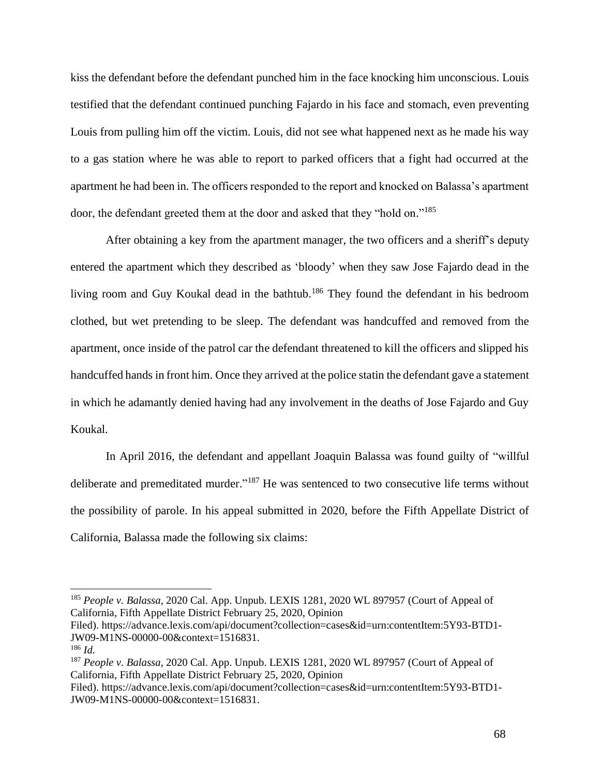kiss the defendant before the defendant punched him in the face knocking him unconscious. Louis testified that the defendant continued punching Fajardo in his face and stomach, even preventing Louis from pulling him off the victim. Louis, did not see what happened next as he made his way to a gas station where he was able to report to parked officers that a fight had occurred at the apartment he had been in. The officers responded to the report and knocked on Balassa's apartment door, the defendant greeted them at the door and asked that they "hold on."<sup>185</sup>

After obtaining a key from the apartment manager, the two officers and a sheriff's deputy entered the apartment which they described as 'bloody' when they saw Jose Fajardo dead in the living room and Guy Koukal dead in the bathtub.<sup>186</sup> They found the defendant in his bedroom clothed, but wet pretending to be sleep. The defendant was handcuffed and removed from the apartment, once inside of the patrol car the defendant threatened to kill the officers and slipped his handcuffed hands in front him. Once they arrived at the police statin the defendant gave a statement in which he adamantly denied having had any involvement in the deaths of Jose Fajardo and Guy Koukal.

In April 2016, the defendant and appellant Joaquin Balassa was found guilty of "willful deliberate and premeditated murder."<sup>187</sup> He was sentenced to two consecutive life terms without the possibility of parole. In his appeal submitted in 2020, before the Fifth Appellate District of California, Balassa made the following six claims:

Filed). https://advance.lexis.com/api/document?collection=cases&id=urn:contentItem:5Y93-BTD1- JW09-M1NS-00000-00&context=1516831.

<sup>185</sup> *People v. Balassa*, 2020 Cal. App. Unpub. LEXIS 1281, 2020 WL 897957 (Court of Appeal of California, Fifth Appellate District February 25, 2020, Opinion

<sup>186</sup> *Id.*

<sup>187</sup> *People v. Balassa*, 2020 Cal. App. Unpub. LEXIS 1281, 2020 WL 897957 (Court of Appeal of California, Fifth Appellate District February 25, 2020, Opinion

Filed). https://advance.lexis.com/api/document?collection=cases&id=urn:contentItem:5Y93-BTD1- JW09-M1NS-00000-00&context=1516831.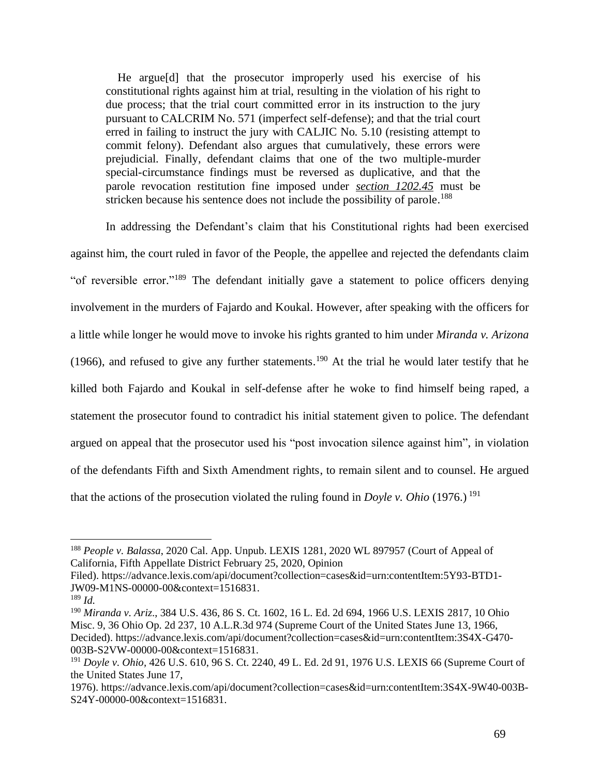He argue[d] that the prosecutor improperly used his exercise of his constitutional rights against him at trial, resulting in the violation of his right to due process; that the trial court committed error in its instruction to the jury pursuant to CALCRIM No. 571 (imperfect self-defense); and that the trial court erred in failing to instruct the jury with CALJIC No. 5.10 (resisting attempt to commit felony). Defendant also argues that cumulatively, these errors were prejudicial. Finally, defendant claims that one of the two multiple-murder special-circumstance findings must be reversed as duplicative, and that the parole revocation restitution fine imposed under *section 1202.45* must be stricken because his sentence does not include the possibility of parole.<sup>188</sup>

In addressing the Defendant's claim that his Constitutional rights had been exercised against him, the court ruled in favor of the People, the appellee and rejected the defendants claim "of reversible error."<sup>189</sup> The defendant initially gave a statement to police officers denying involvement in the murders of Fajardo and Koukal. However, after speaking with the officers for a little while longer he would move to invoke his rights granted to him under *Miranda v. Arizona*  (1966), and refused to give any further statements.<sup>190</sup> At the trial he would later testify that he killed both Fajardo and Koukal in self-defense after he woke to find himself being raped, a statement the prosecutor found to contradict his initial statement given to police. The defendant argued on appeal that the prosecutor used his "post invocation silence against him", in violation of the defendants Fifth and Sixth Amendment rights, to remain silent and to counsel. He argued that the actions of the prosecution violated the ruling found in *Doyle v. Ohio* (1976.) 191

<sup>188</sup> *People v. Balassa*, 2020 Cal. App. Unpub. LEXIS 1281, 2020 WL 897957 (Court of Appeal of California, Fifth Appellate District February 25, 2020, Opinion

Filed). https://advance.lexis.com/api/document?collection=cases&id=urn:contentItem:5Y93-BTD1- JW09-M1NS-00000-00&context=1516831.

<sup>189</sup> *Id.*

<sup>190</sup> *Miranda v. Ariz*., 384 U.S. 436, 86 S. Ct. 1602, 16 L. Ed. 2d 694, 1966 U.S. LEXIS 2817, 10 Ohio Misc. 9, 36 Ohio Op. 2d 237, 10 A.L.R.3d 974 (Supreme Court of the United States June 13, 1966, Decided). https://advance.lexis.com/api/document?collection=cases&id=urn:contentItem:3S4X-G470- 003B-S2VW-00000-00&context=1516831.

<sup>191</sup> *Doyle v. Ohio,* 426 U.S. 610, 96 S. Ct. 2240, 49 L. Ed. 2d 91, 1976 U.S. LEXIS 66 (Supreme Court of the United States June 17,

<sup>1976).</sup> https://advance.lexis.com/api/document?collection=cases&id=urn:contentItem:3S4X-9W40-003B-S24Y-00000-00&context=1516831.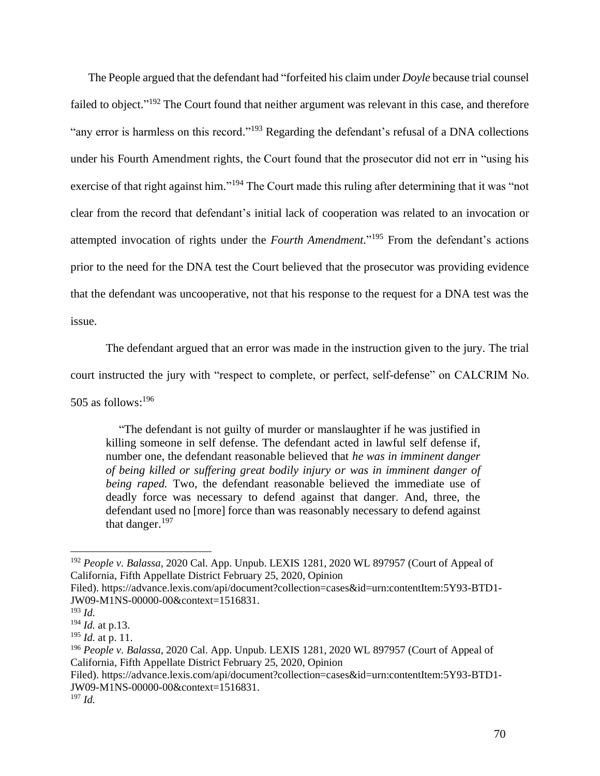The People argued that the defendant had "forfeited his claim under *Doyle* because trial counsel failed to object."<sup>192</sup> The Court found that neither argument was relevant in this case, and therefore "any error is harmless on this record."<sup>193</sup> Regarding the defendant's refusal of a DNA collections under his Fourth Amendment rights, the Court found that the prosecutor did not err in "using his exercise of that right against him."<sup>194</sup> The Court made this ruling after determining that it was "not clear from the record that defendant's initial lack of cooperation was related to an invocation or attempted invocation of rights under the *Fourth Amendment*." <sup>195</sup> From the defendant's actions prior to the need for the DNA test the Court believed that the prosecutor was providing evidence that the defendant was uncooperative, not that his response to the request for a DNA test was the issue.

The defendant argued that an error was made in the instruction given to the jury. The trial

court instructed the jury with "respect to complete, or perfect, self-defense" on CALCRIM No.

505 as follows: $196$ 

"The defendant is not guilty of murder or manslaughter if he was justified in killing someone in self defense. The defendant acted in lawful self defense if, number one, the defendant reasonable believed that *he was in imminent danger of being killed or suffering great bodily injury or was in imminent danger of being raped.* Two, the defendant reasonable believed the immediate use of deadly force was necessary to defend against that danger. And, three, the defendant used no [more] force than was reasonably necessary to defend against that danger.<sup>197</sup>

<sup>192</sup> *People v. Balassa*, 2020 Cal. App. Unpub. LEXIS 1281, 2020 WL 897957 (Court of Appeal of California, Fifth Appellate District February 25, 2020, Opinion

Filed). https://advance.lexis.com/api/document?collection=cases&id=urn:contentItem:5Y93-BTD1- JW09-M1NS-00000-00&context=1516831.

<sup>193</sup> *Id.*

<sup>194</sup> *Id.* at p.13.

<sup>195</sup> *Id.* at p. 11.

<sup>196</sup> *People v. Balassa*, 2020 Cal. App. Unpub. LEXIS 1281, 2020 WL 897957 (Court of Appeal of California, Fifth Appellate District February 25, 2020, Opinion

Filed). https://advance.lexis.com/api/document?collection=cases&id=urn:contentItem:5Y93-BTD1- JW09-M1NS-00000-00&context=1516831.

<sup>197</sup> *Id.*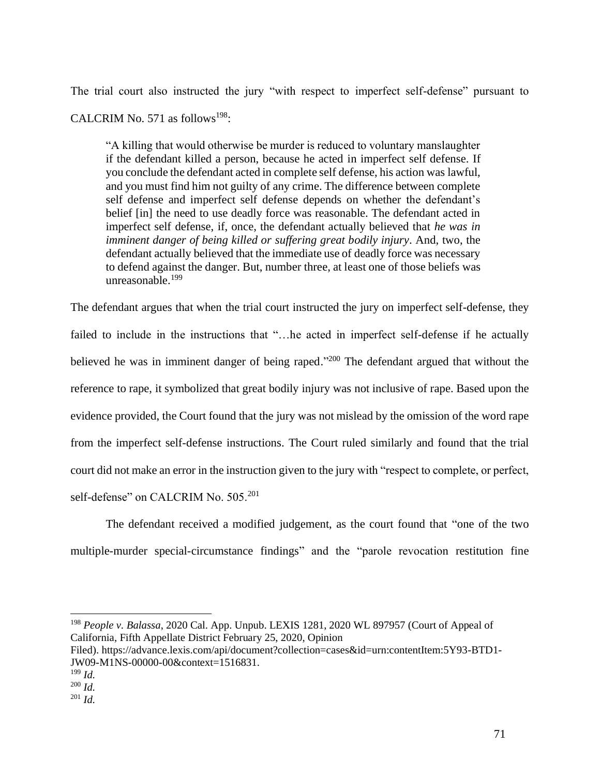The trial court also instructed the jury "with respect to imperfect self-defense" pursuant to

CALCRIM No. 571 as follows<sup>198</sup>:

"A killing that would otherwise be murder is reduced to voluntary manslaughter if the defendant killed a person, because he acted in imperfect self defense. If you conclude the defendant acted in complete self defense, his action was lawful, and you must find him not guilty of any crime. The difference between complete self defense and imperfect self defense depends on whether the defendant's belief [in] the need to use deadly force was reasonable. The defendant acted in imperfect self defense, if, once, the defendant actually believed that *he was in imminent danger of being killed or suffering great bodily injury*. And, two, the defendant actually believed that the immediate use of deadly force was necessary to defend against the danger. But, number three, at least one of those beliefs was unreasonable. 199

The defendant argues that when the trial court instructed the jury on imperfect self-defense, they failed to include in the instructions that "…he acted in imperfect self-defense if he actually believed he was in imminent danger of being raped."<sup>200</sup> The defendant argued that without the reference to rape, it symbolized that great bodily injury was not inclusive of rape. Based upon the evidence provided, the Court found that the jury was not mislead by the omission of the word rape from the imperfect self-defense instructions. The Court ruled similarly and found that the trial court did not make an error in the instruction given to the jury with "respect to complete, or perfect, self-defense" on CALCRIM No. 505.<sup>201</sup>

The defendant received a modified judgement, as the court found that "one of the two multiple-murder special-circumstance findings" and the "parole revocation restitution fine

<sup>198</sup> *People v. Balassa*, 2020 Cal. App. Unpub. LEXIS 1281, 2020 WL 897957 (Court of Appeal of California, Fifth Appellate District February 25, 2020, Opinion

Filed). https://advance.lexis.com/api/document?collection=cases&id=urn:contentItem:5Y93-BTD1- JW09-M1NS-00000-00&context=1516831.

<sup>199</sup> *Id.*

<sup>200</sup> *Id.*

<sup>201</sup> *Id.*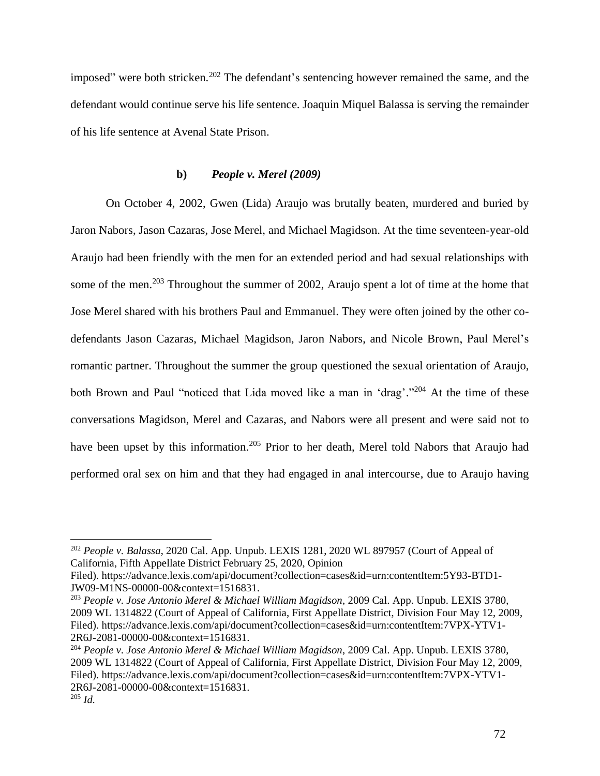imposed" were both stricken.<sup>202</sup> The defendant's sentencing however remained the same, and the defendant would continue serve his life sentence. Joaquin Miquel Balassa is serving the remainder of his life sentence at Avenal State Prison.

### **b)** *People v. Merel (2009)*

On October 4, 2002, Gwen (Lida) Araujo was brutally beaten, murdered and buried by Jaron Nabors, Jason Cazaras, Jose Merel, and Michael Magidson. At the time seventeen-year-old Araujo had been friendly with the men for an extended period and had sexual relationships with some of the men.<sup>203</sup> Throughout the summer of 2002, Araujo spent a lot of time at the home that Jose Merel shared with his brothers Paul and Emmanuel. They were often joined by the other codefendants Jason Cazaras, Michael Magidson, Jaron Nabors, and Nicole Brown, Paul Merel's romantic partner. Throughout the summer the group questioned the sexual orientation of Araujo, both Brown and Paul "noticed that Lida moved like a man in 'drag'."<sup>204</sup> At the time of these conversations Magidson, Merel and Cazaras, and Nabors were all present and were said not to have been upset by this information.<sup>205</sup> Prior to her death, Merel told Nabors that Araujo had performed oral sex on him and that they had engaged in anal intercourse, due to Araujo having

<sup>202</sup> *People v. Balassa*, 2020 Cal. App. Unpub. LEXIS 1281, 2020 WL 897957 (Court of Appeal of California, Fifth Appellate District February 25, 2020, Opinion

Filed). https://advance.lexis.com/api/document?collection=cases&id=urn:contentItem:5Y93-BTD1- JW09-M1NS-00000-00&context=1516831.

<sup>203</sup> *People v. Jose Antonio Merel & Michael William Magidson*, 2009 Cal. App. Unpub. LEXIS 3780, 2009 WL 1314822 (Court of Appeal of California, First Appellate District, Division Four May 12, 2009, Filed). https://advance.lexis.com/api/document?collection=cases&id=urn:contentItem:7VPX-YTV1- 2R6J-2081-00000-00&context=1516831.

<sup>204</sup> *People v. Jose Antonio Merel & Michael William Magidson*, 2009 Cal. App. Unpub. LEXIS 3780, 2009 WL 1314822 (Court of Appeal of California, First Appellate District, Division Four May 12, 2009, Filed). https://advance.lexis.com/api/document?collection=cases&id=urn:contentItem:7VPX-YTV1- 2R6J-2081-00000-00&context=1516831.

<sup>205</sup> *Id.*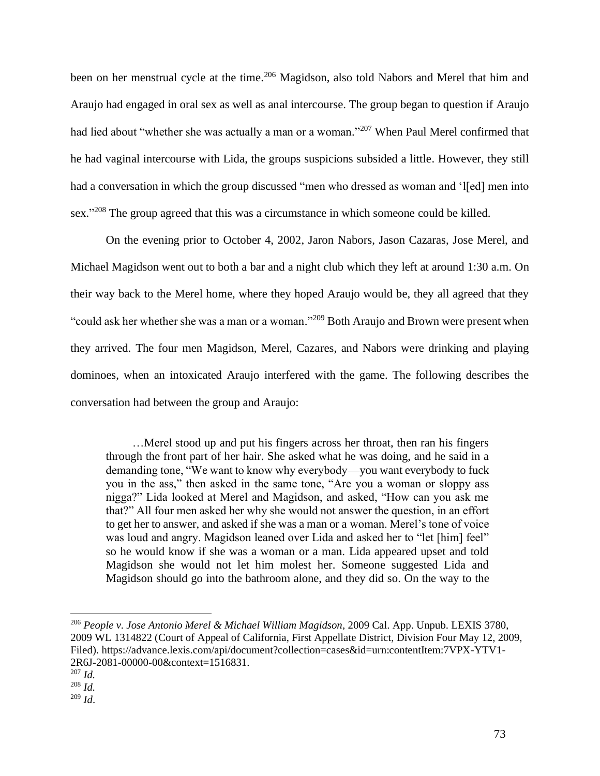been on her menstrual cycle at the time.<sup>206</sup> Magidson, also told Nabors and Merel that him and Araujo had engaged in oral sex as well as anal intercourse. The group began to question if Araujo had lied about "whether she was actually a man or a woman."<sup>207</sup> When Paul Merel confirmed that he had vaginal intercourse with Lida, the groups suspicions subsided a little. However, they still had a conversation in which the group discussed "men who dressed as woman and 'l[ed] men into sex."<sup>208</sup> The group agreed that this was a circumstance in which someone could be killed.

On the evening prior to October 4, 2002, Jaron Nabors, Jason Cazaras, Jose Merel, and Michael Magidson went out to both a bar and a night club which they left at around 1:30 a.m. On their way back to the Merel home, where they hoped Araujo would be, they all agreed that they "could ask her whether she was a man or a woman."<sup>209</sup> Both Araujo and Brown were present when they arrived. The four men Magidson, Merel, Cazares, and Nabors were drinking and playing dominoes, when an intoxicated Araujo interfered with the game. The following describes the conversation had between the group and Araujo:

…Merel stood up and put his fingers across her throat, then ran his fingers through the front part of her hair. She asked what he was doing, and he said in a demanding tone, "We want to know why everybody—you want everybody to fuck you in the ass," then asked in the same tone, "Are you a woman or sloppy ass nigga?" Lida looked at Merel and Magidson, and asked, "How can you ask me that?" All four men asked her why she would not answer the question, in an effort to get her to answer, and asked if she was a man or a woman. Merel's tone of voice was loud and angry. Magidson leaned over Lida and asked her to "let [him] feel" so he would know if she was a woman or a man. Lida appeared upset and told Magidson she would not let him molest her. Someone suggested Lida and Magidson should go into the bathroom alone, and they did so. On the way to the

<sup>206</sup> *People v. Jose Antonio Merel & Michael William Magidson*, 2009 Cal. App. Unpub. LEXIS 3780, 2009 WL 1314822 (Court of Appeal of California, First Appellate District, Division Four May 12, 2009, Filed). https://advance.lexis.com/api/document?collection=cases&id=urn:contentItem:7VPX-YTV1- 2R6J-2081-00000-00&context=1516831.

<sup>207</sup> *Id.*

<sup>208</sup> *Id.*

<sup>209</sup> *Id*.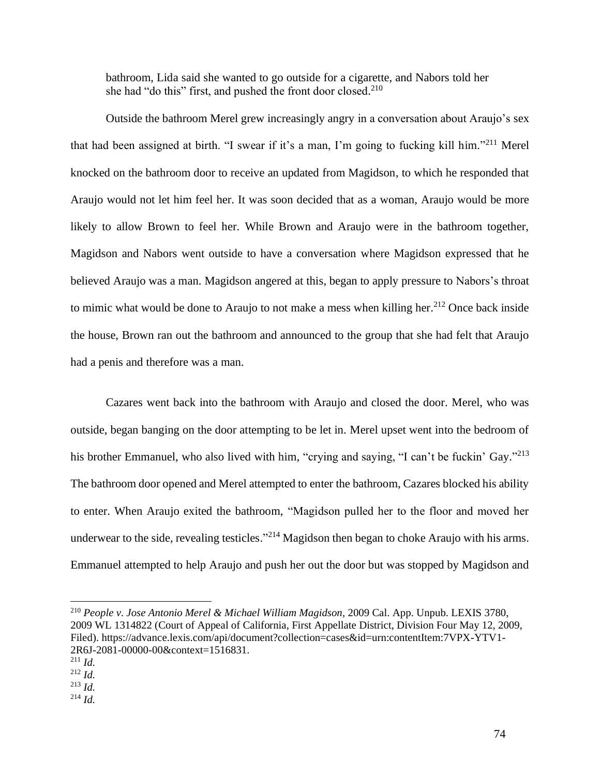bathroom, Lida said she wanted to go outside for a cigarette, and Nabors told her she had "do this" first, and pushed the front door closed.<sup>210</sup>

Outside the bathroom Merel grew increasingly angry in a conversation about Araujo's sex that had been assigned at birth. "I swear if it's a man, I'm going to fucking kill him."<sup>211</sup> Merel knocked on the bathroom door to receive an updated from Magidson, to which he responded that Araujo would not let him feel her. It was soon decided that as a woman, Araujo would be more likely to allow Brown to feel her. While Brown and Araujo were in the bathroom together, Magidson and Nabors went outside to have a conversation where Magidson expressed that he believed Araujo was a man. Magidson angered at this, began to apply pressure to Nabors's throat to mimic what would be done to Araujo to not make a mess when killing her.<sup>212</sup> Once back inside the house, Brown ran out the bathroom and announced to the group that she had felt that Araujo had a penis and therefore was a man.

Cazares went back into the bathroom with Araujo and closed the door. Merel, who was outside, began banging on the door attempting to be let in. Merel upset went into the bedroom of his brother Emmanuel, who also lived with him, "crying and saying, "I can't be fuckin' Gay."<sup>213</sup> The bathroom door opened and Merel attempted to enter the bathroom, Cazares blocked his ability to enter. When Araujo exited the bathroom, "Magidson pulled her to the floor and moved her underwear to the side, revealing testicles."<sup>214</sup> Magidson then began to choke Araujo with his arms. Emmanuel attempted to help Araujo and push her out the door but was stopped by Magidson and

<sup>210</sup> *People v. Jose Antonio Merel & Michael William Magidson*, 2009 Cal. App. Unpub. LEXIS 3780, 2009 WL 1314822 (Court of Appeal of California, First Appellate District, Division Four May 12, 2009, Filed). https://advance.lexis.com/api/document?collection=cases&id=urn:contentItem:7VPX-YTV1- 2R6J-2081-00000-00&context=1516831.

 $^{211}$  *Id.* 

<sup>212</sup> *Id.*

<sup>213</sup> *Id.*

 $^{214}$  *Id.*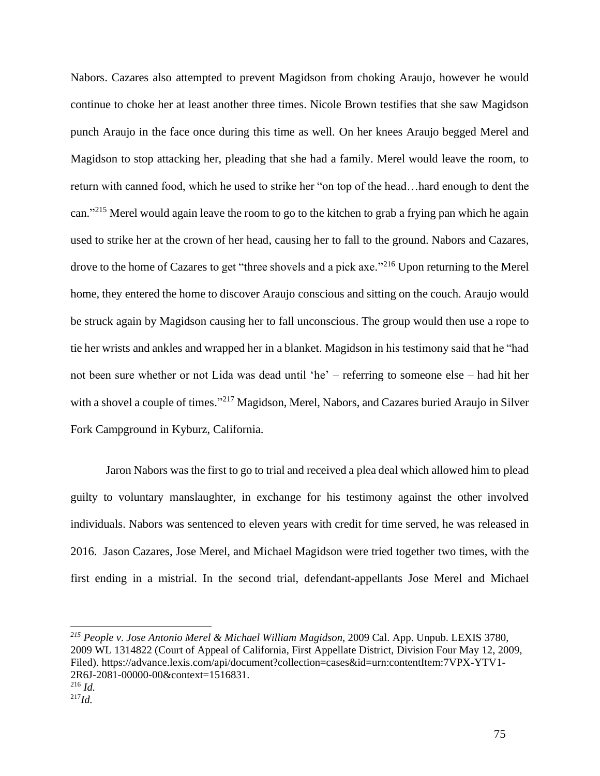Nabors. Cazares also attempted to prevent Magidson from choking Araujo, however he would continue to choke her at least another three times. Nicole Brown testifies that she saw Magidson punch Araujo in the face once during this time as well. On her knees Araujo begged Merel and Magidson to stop attacking her, pleading that she had a family. Merel would leave the room, to return with canned food, which he used to strike her "on top of the head…hard enough to dent the can."<sup>215</sup> Merel would again leave the room to go to the kitchen to grab a frying pan which he again used to strike her at the crown of her head, causing her to fall to the ground. Nabors and Cazares, drove to the home of Cazares to get "three shovels and a pick axe."<sup>216</sup> Upon returning to the Merel home, they entered the home to discover Araujo conscious and sitting on the couch. Araujo would be struck again by Magidson causing her to fall unconscious. The group would then use a rope to tie her wrists and ankles and wrapped her in a blanket. Magidson in his testimony said that he "had not been sure whether or not Lida was dead until 'he' – referring to someone else – had hit her with a shovel a couple of times."<sup>217</sup> Magidson, Merel, Nabors, and Cazares buried Araujo in Silver Fork Campground in Kyburz, California.

Jaron Nabors was the first to go to trial and received a plea deal which allowed him to plead guilty to voluntary manslaughter, in exchange for his testimony against the other involved individuals. Nabors was sentenced to eleven years with credit for time served, he was released in 2016. Jason Cazares, Jose Merel, and Michael Magidson were tried together two times, with the first ending in a mistrial. In the second trial, defendant-appellants Jose Merel and Michael

*<sup>215</sup> People v. Jose Antonio Merel & Michael William Magidson*, 2009 Cal. App. Unpub. LEXIS 3780, 2009 WL 1314822 (Court of Appeal of California, First Appellate District, Division Four May 12, 2009, Filed). https://advance.lexis.com/api/document?collection=cases&id=urn:contentItem:7VPX-YTV1- 2R6J-2081-00000-00&context=1516831.

<sup>216</sup> *Id.*

<sup>217</sup>*Id.*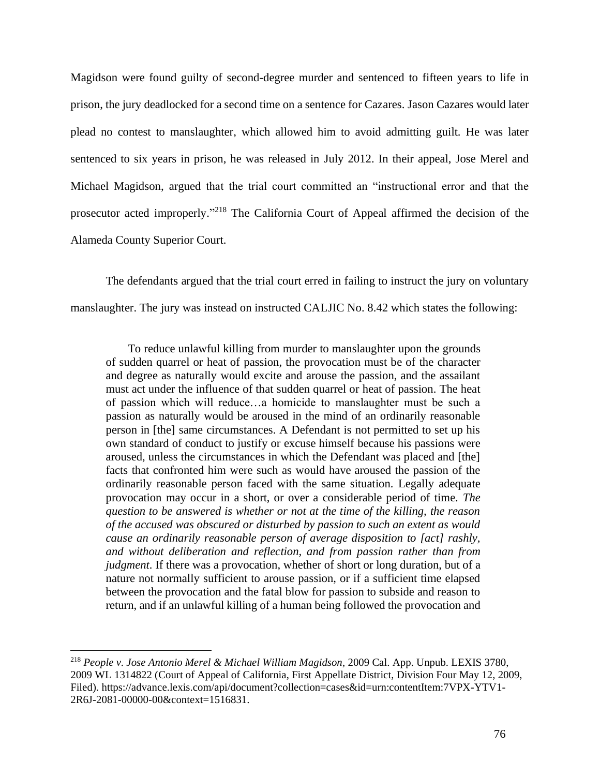Magidson were found guilty of second-degree murder and sentenced to fifteen years to life in prison, the jury deadlocked for a second time on a sentence for Cazares. Jason Cazares would later plead no contest to manslaughter, which allowed him to avoid admitting guilt. He was later sentenced to six years in prison, he was released in July 2012. In their appeal, Jose Merel and Michael Magidson, argued that the trial court committed an "instructional error and that the prosecutor acted improperly."<sup>218</sup> The California Court of Appeal affirmed the decision of the Alameda County Superior Court.

The defendants argued that the trial court erred in failing to instruct the jury on voluntary manslaughter. The jury was instead on instructed CALJIC No. 8.42 which states the following:

To reduce unlawful killing from murder to manslaughter upon the grounds of sudden quarrel or heat of passion, the provocation must be of the character and degree as naturally would excite and arouse the passion, and the assailant must act under the influence of that sudden quarrel or heat of passion. The heat of passion which will reduce…a homicide to manslaughter must be such a passion as naturally would be aroused in the mind of an ordinarily reasonable person in [the] same circumstances. A Defendant is not permitted to set up his own standard of conduct to justify or excuse himself because his passions were aroused, unless the circumstances in which the Defendant was placed and [the] facts that confronted him were such as would have aroused the passion of the ordinarily reasonable person faced with the same situation. Legally adequate provocation may occur in a short, or over a considerable period of time. *The question to be answered is whether or not at the time of the killing, the reason of the accused was obscured or disturbed by passion to such an extent as would cause an ordinarily reasonable person of average disposition to [act] rashly, and without deliberation and reflection, and from passion rather than from judgment*. If there was a provocation, whether of short or long duration, but of a nature not normally sufficient to arouse passion, or if a sufficient time elapsed between the provocation and the fatal blow for passion to subside and reason to return, and if an unlawful killing of a human being followed the provocation and

<sup>218</sup> *People v. Jose Antonio Merel & Michael William Magidson*, 2009 Cal. App. Unpub. LEXIS 3780, 2009 WL 1314822 (Court of Appeal of California, First Appellate District, Division Four May 12, 2009, Filed). https://advance.lexis.com/api/document?collection=cases&id=urn:contentItem:7VPX-YTV1- 2R6J-2081-00000-00&context=1516831.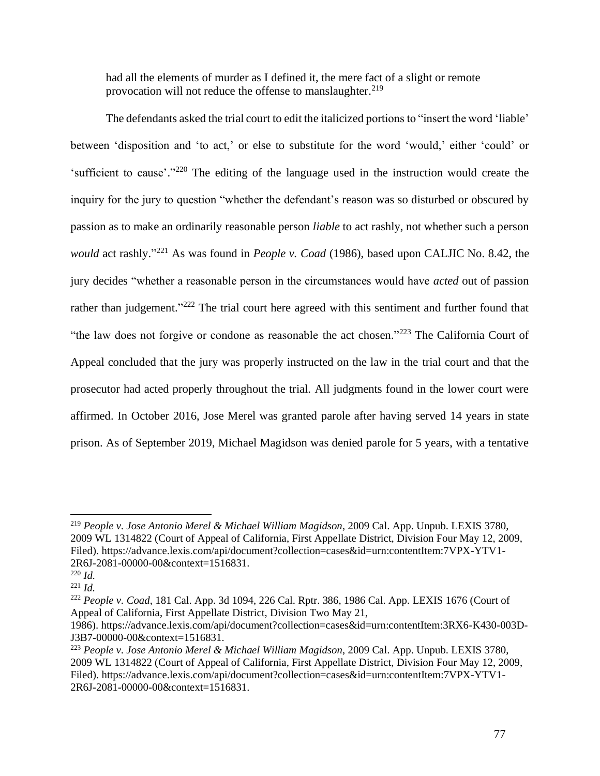had all the elements of murder as I defined it, the mere fact of a slight or remote provocation will not reduce the offense to manslaughter.<sup>219</sup>

The defendants asked the trial court to edit the italicized portions to "insert the word 'liable' between 'disposition and 'to act,' or else to substitute for the word 'would,' either 'could' or 'sufficient to cause'."<sup>220</sup> The editing of the language used in the instruction would create the inquiry for the jury to question "whether the defendant's reason was so disturbed or obscured by passion as to make an ordinarily reasonable person *liable* to act rashly, not whether such a person *would* act rashly." <sup>221</sup> As was found in *People v. Coad* (1986), based upon CALJIC No. 8.42, the jury decides "whether a reasonable person in the circumstances would have *acted* out of passion rather than judgement."<sup>222</sup> The trial court here agreed with this sentiment and further found that "the law does not forgive or condone as reasonable the act chosen."<sup>223</sup> The California Court of Appeal concluded that the jury was properly instructed on the law in the trial court and that the prosecutor had acted properly throughout the trial. All judgments found in the lower court were affirmed. In October 2016, Jose Merel was granted parole after having served 14 years in state prison. As of September 2019, Michael Magidson was denied parole for 5 years, with a tentative

<sup>219</sup> *People v. Jose Antonio Merel & Michael William Magidson*, 2009 Cal. App. Unpub. LEXIS 3780, 2009 WL 1314822 (Court of Appeal of California, First Appellate District, Division Four May 12, 2009, Filed). https://advance.lexis.com/api/document?collection=cases&id=urn:contentItem:7VPX-YTV1- 2R6J-2081-00000-00&context=1516831.

<sup>220</sup> *Id.*

<sup>221</sup> *Id.*

<sup>222</sup> *People v. Coad*, 181 Cal. App. 3d 1094, 226 Cal. Rptr. 386, 1986 Cal. App. LEXIS 1676 (Court of Appeal of California, First Appellate District, Division Two May 21,

<sup>1986).</sup> https://advance.lexis.com/api/document?collection=cases&id=urn:contentItem:3RX6-K430-003D-J3B7-00000-00&context=1516831.

<sup>223</sup> *People v. Jose Antonio Merel & Michael William Magidson*, 2009 Cal. App. Unpub. LEXIS 3780, 2009 WL 1314822 (Court of Appeal of California, First Appellate District, Division Four May 12, 2009, Filed). https://advance.lexis.com/api/document?collection=cases&id=urn:contentItem:7VPX-YTV1-2R6J-2081-00000-00&context=1516831.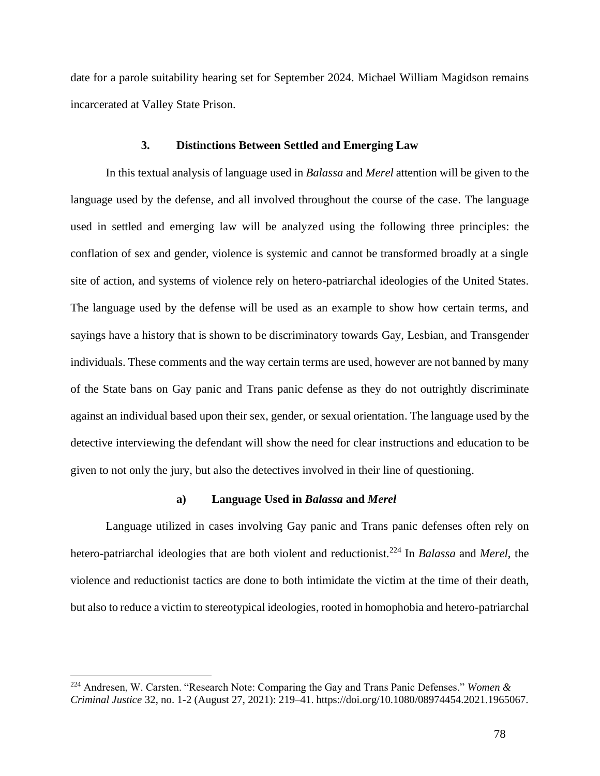date for a parole suitability hearing set for September 2024. Michael William Magidson remains incarcerated at Valley State Prison.

### **3. Distinctions Between Settled and Emerging Law**

In this textual analysis of language used in *Balassa* and *Merel* attention will be given to the language used by the defense, and all involved throughout the course of the case. The language used in settled and emerging law will be analyzed using the following three principles: the conflation of sex and gender, violence is systemic and cannot be transformed broadly at a single site of action, and systems of violence rely on hetero-patriarchal ideologies of the United States. The language used by the defense will be used as an example to show how certain terms, and sayings have a history that is shown to be discriminatory towards Gay, Lesbian, and Transgender individuals. These comments and the way certain terms are used, however are not banned by many of the State bans on Gay panic and Trans panic defense as they do not outrightly discriminate against an individual based upon their sex, gender, or sexual orientation. The language used by the detective interviewing the defendant will show the need for clear instructions and education to be given to not only the jury, but also the detectives involved in their line of questioning.

#### **a) Language Used in** *Balassa* **and** *Merel*

Language utilized in cases involving Gay panic and Trans panic defenses often rely on hetero-patriarchal ideologies that are both violent and reductionist.<sup>224</sup> In *Balassa* and *Merel*, the violence and reductionist tactics are done to both intimidate the victim at the time of their death, but also to reduce a victim to stereotypical ideologies, rooted in homophobia and hetero-patriarchal

<sup>224</sup> Andresen, W. Carsten. "Research Note: Comparing the Gay and Trans Panic Defenses." *Women & Criminal Justice* 32, no. 1-2 (August 27, 2021): 219–41. https://doi.org/10.1080/08974454.2021.1965067.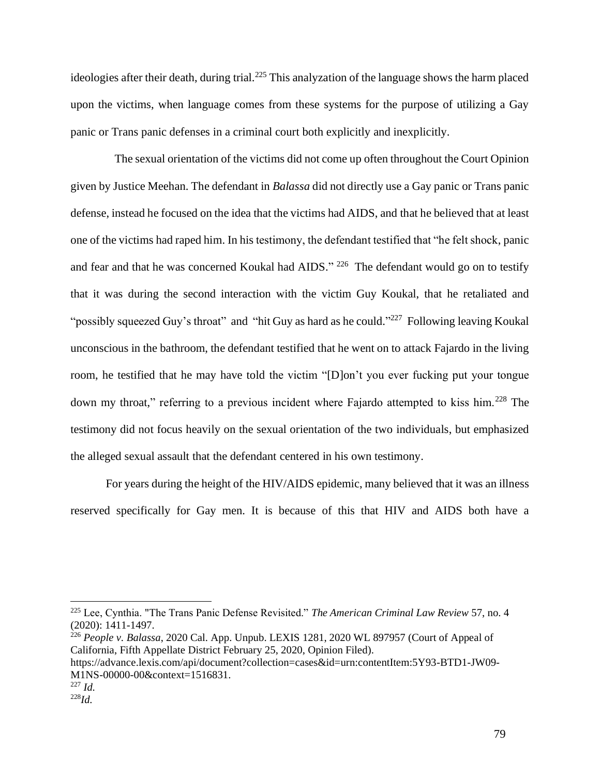ideologies after their death, during trial.<sup>225</sup> This analyzation of the language shows the harm placed upon the victims, when language comes from these systems for the purpose of utilizing a Gay panic or Trans panic defenses in a criminal court both explicitly and inexplicitly.

The sexual orientation of the victims did not come up often throughout the Court Opinion given by Justice Meehan. The defendant in *Balassa* did not directly use a Gay panic or Trans panic defense, instead he focused on the idea that the victims had AIDS, and that he believed that at least one of the victims had raped him. In his testimony, the defendant testified that "he felt shock, panic and fear and that he was concerned Koukal had AIDS." <sup>226</sup> The defendant would go on to testify that it was during the second interaction with the victim Guy Koukal, that he retaliated and "possibly squeezed Guy's throat" and "hit Guy as hard as he could."<sup>227</sup> Following leaving Koukal unconscious in the bathroom, the defendant testified that he went on to attack Fajardo in the living room, he testified that he may have told the victim "[D]on't you ever fucking put your tongue down my throat," referring to a previous incident where Fajardo attempted to kiss him.<sup>228</sup> The testimony did not focus heavily on the sexual orientation of the two individuals, but emphasized the alleged sexual assault that the defendant centered in his own testimony.

For years during the height of the HIV/AIDS epidemic, many believed that it was an illness reserved specifically for Gay men. It is because of this that HIV and AIDS both have a

<sup>226</sup> *People v. Balassa*, 2020 Cal. App. Unpub. LEXIS 1281, 2020 WL 897957 (Court of Appeal of California, Fifth Appellate District February 25, 2020, Opinion Filed).

<sup>225</sup> Lee, Cynthia. "The Trans Panic Defense Revisited." *The American Criminal Law Review* 57, no. 4 (2020): 1411-1497.

https://advance.lexis.com/api/document?collection=cases&id=urn:contentItem:5Y93-BTD1-JW09- M1NS-00000-00&context=1516831.

<sup>227</sup> *Id.*

<sup>228</sup>*Id.*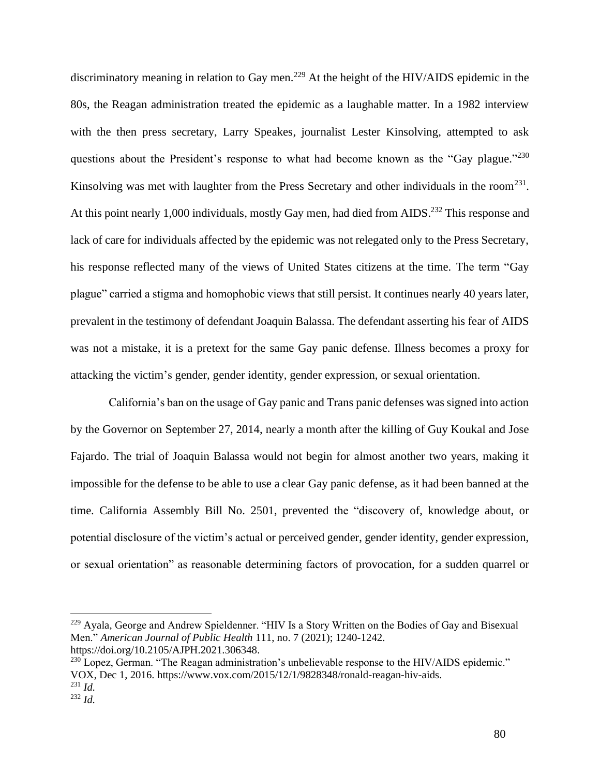discriminatory meaning in relation to Gay men.<sup>229</sup> At the height of the HIV/AIDS epidemic in the 80s, the Reagan administration treated the epidemic as a laughable matter. In a 1982 interview with the then press secretary, Larry Speakes, journalist Lester Kinsolving, attempted to ask questions about the President's response to what had become known as the "Gay plague."<sup>230</sup> Kinsolving was met with laughter from the Press Secretary and other individuals in the room<sup>231</sup>. At this point nearly 1,000 individuals, mostly Gay men, had died from AIDS.<sup>232</sup> This response and lack of care for individuals affected by the epidemic was not relegated only to the Press Secretary, his response reflected many of the views of United States citizens at the time. The term "Gay plague" carried a stigma and homophobic views that still persist. It continues nearly 40 years later, prevalent in the testimony of defendant Joaquin Balassa. The defendant asserting his fear of AIDS was not a mistake, it is a pretext for the same Gay panic defense. Illness becomes a proxy for attacking the victim's gender, gender identity, gender expression, or sexual orientation.

California's ban on the usage of Gay panic and Trans panic defenses was signed into action by the Governor on September 27, 2014, nearly a month after the killing of Guy Koukal and Jose Fajardo. The trial of Joaquin Balassa would not begin for almost another two years, making it impossible for the defense to be able to use a clear Gay panic defense, as it had been banned at the time. California Assembly Bill No. 2501, prevented the "discovery of, knowledge about, or potential disclosure of the victim's actual or perceived gender, gender identity, gender expression, or sexual orientation" as reasonable determining factors of provocation, for a sudden quarrel or

<sup>229</sup> Ayala, George and Andrew Spieldenner. "HIV Is a Story Written on the Bodies of Gay and Bisexual Men." *American Journal of Public Health* 111, no. 7 (2021); 1240-1242. https://doi.org/10.2105/AJPH.2021.306348.

 $^{230}$  Lopez, German. "The Reagan administration's unbelievable response to the HIV/AIDS epidemic." VOX, Dec 1, 2016. [https://www.vox.com/2015/12/1/9828348/ronald-reagan-hiv-aids.](https://www.vox.com/2015/12/1/9828348/ronald-reagan-hiv-aids) <sup>231</sup> *Id.*

<sup>232</sup> *Id.*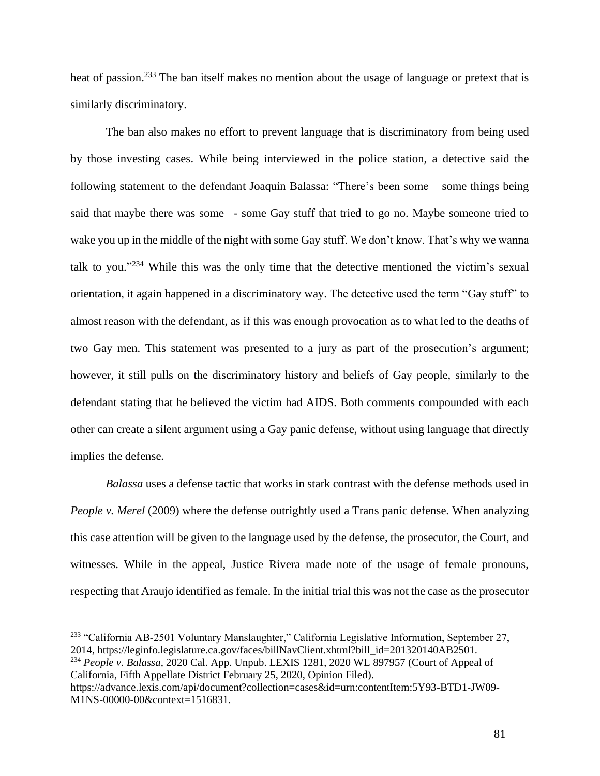heat of passion.<sup>233</sup> The ban itself makes no mention about the usage of language or pretext that is similarly discriminatory.

The ban also makes no effort to prevent language that is discriminatory from being used by those investing cases. While being interviewed in the police station, a detective said the following statement to the defendant Joaquin Balassa: "There's been some – some things being said that maybe there was some –- some Gay stuff that tried to go no. Maybe someone tried to wake you up in the middle of the night with some Gay stuff. We don't know. That's why we wanna talk to you."<sup>234</sup> While this was the only time that the detective mentioned the victim's sexual orientation, it again happened in a discriminatory way. The detective used the term "Gay stuff" to almost reason with the defendant, as if this was enough provocation as to what led to the deaths of two Gay men. This statement was presented to a jury as part of the prosecution's argument; however, it still pulls on the discriminatory history and beliefs of Gay people, similarly to the defendant stating that he believed the victim had AIDS. Both comments compounded with each other can create a silent argument using a Gay panic defense, without using language that directly implies the defense.

*Balassa* uses a defense tactic that works in stark contrast with the defense methods used in *People v. Merel* (2009) where the defense outrightly used a Trans panic defense. When analyzing this case attention will be given to the language used by the defense, the prosecutor, the Court, and witnesses. While in the appeal, Justice Rivera made note of the usage of female pronouns, respecting that Araujo identified as female. In the initial trial this was not the case as the prosecutor

<sup>233</sup> "California AB-2501 Voluntary Manslaughter," California Legislative Information, September 27, 2014, https://leginfo.legislature.ca.gov/faces/billNavClient.xhtml?bill\_id=201320140AB2501.

<sup>234</sup> *People v. Balassa*, 2020 Cal. App. Unpub. LEXIS 1281, 2020 WL 897957 (Court of Appeal of California, Fifth Appellate District February 25, 2020, Opinion Filed). https://advance.lexis.com/api/document?collection=cases&id=urn:contentItem:5Y93-BTD1-JW09-

M1NS-00000-00&context=1516831.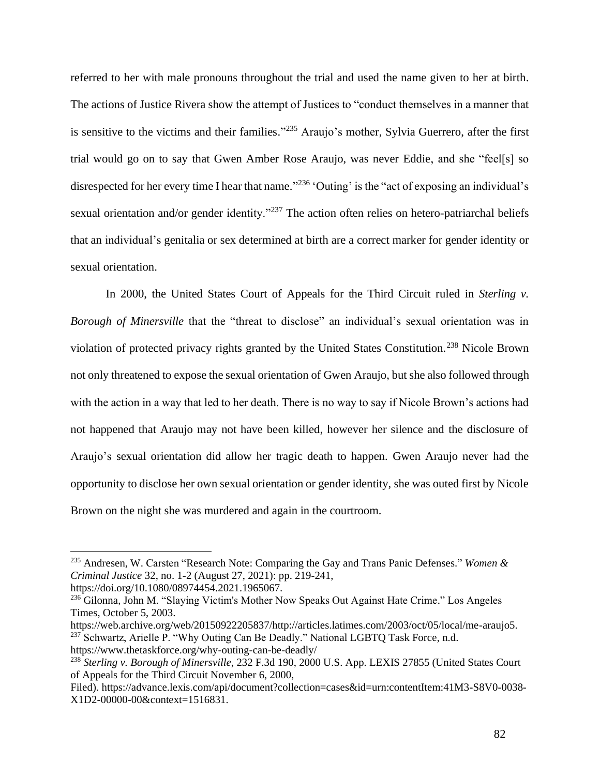referred to her with male pronouns throughout the trial and used the name given to her at birth. The actions of Justice Rivera show the attempt of Justices to "conduct themselves in a manner that is sensitive to the victims and their families."<sup>235</sup> Araujo's mother, Sylvia Guerrero, after the first trial would go on to say that Gwen Amber Rose Araujo, was never Eddie, and she "feel[s] so disrespected for her every time I hear that name."<sup>236</sup> 'Outing' is the "act of exposing an individual's sexual orientation and/or gender identity."<sup>237</sup> The action often relies on hetero-patriarchal beliefs that an individual's genitalia or sex determined at birth are a correct marker for gender identity or sexual orientation.

In 2000, the United States Court of Appeals for the Third Circuit ruled in *Sterling v. Borough of Minersville* that the "threat to disclose" an individual's sexual orientation was in violation of protected privacy rights granted by the United States Constitution.<sup>238</sup> Nicole Brown not only threatened to expose the sexual orientation of Gwen Araujo, but she also followed through with the action in a way that led to her death. There is no way to say if Nicole Brown's actions had not happened that Araujo may not have been killed, however her silence and the disclosure of Araujo's sexual orientation did allow her tragic death to happen. Gwen Araujo never had the opportunity to disclose her own sexual orientation or gender identity, she was outed first by Nicole Brown on the night she was murdered and again in the courtroom.

<sup>235</sup> Andresen, W. Carsten "Research Note: Comparing the Gay and Trans Panic Defenses." *Women & Criminal Justice* 32, no. 1-2 (August 27, 2021): pp. 219-241,

https://doi.org/10.1080/08974454.2021.1965067.

<sup>&</sup>lt;sup>236</sup> Gilonna, John M. "Slaying Victim's Mother Now Speaks Out Against Hate Crime." Los Angeles Times, October 5, 2003.

https://web.archive.org/web/20150922205837/http://articles.latimes.com/2003/oct/05/local/me-araujo5.

<sup>&</sup>lt;sup>237</sup> Schwartz, Arielle P. "Why Outing Can Be Deadly." National LGBTQ Task Force, n.d. https://www.thetaskforce.org/why-outing-can-be-deadly/

<sup>238</sup> *Sterling v. Borough of Minersville*, 232 F.3d 190, 2000 U.S. App. LEXIS 27855 (United States Court of Appeals for the Third Circuit November 6, 2000,

Filed). https://advance.lexis.com/api/document?collection=cases&id=urn:contentItem:41M3-S8V0-0038- X1D2-00000-00&context=1516831.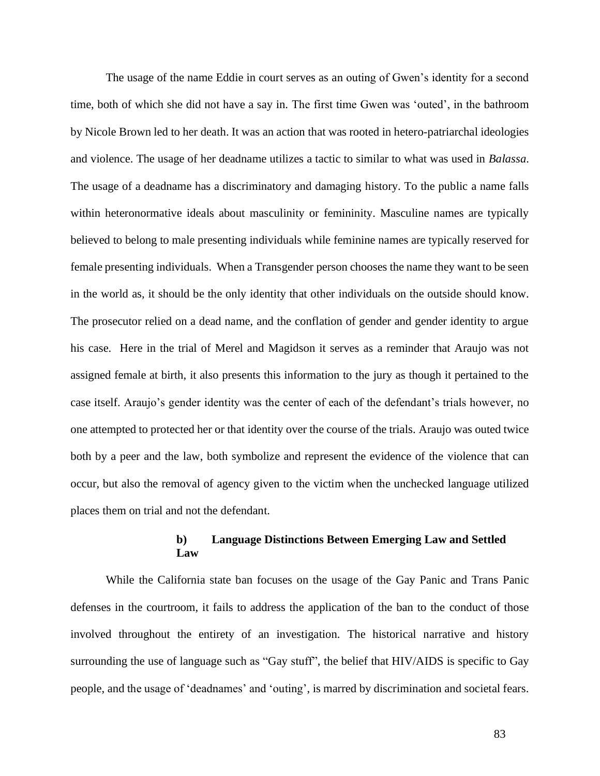The usage of the name Eddie in court serves as an outing of Gwen's identity for a second time, both of which she did not have a say in. The first time Gwen was 'outed', in the bathroom by Nicole Brown led to her death. It was an action that was rooted in hetero-patriarchal ideologies and violence. The usage of her deadname utilizes a tactic to similar to what was used in *Balassa*. The usage of a deadname has a discriminatory and damaging history. To the public a name falls within heteronormative ideals about masculinity or femininity. Masculine names are typically believed to belong to male presenting individuals while feminine names are typically reserved for female presenting individuals. When a Transgender person chooses the name they want to be seen in the world as, it should be the only identity that other individuals on the outside should know. The prosecutor relied on a dead name, and the conflation of gender and gender identity to argue his case. Here in the trial of Merel and Magidson it serves as a reminder that Araujo was not assigned female at birth, it also presents this information to the jury as though it pertained to the case itself. Araujo's gender identity was the center of each of the defendant's trials however, no one attempted to protected her or that identity over the course of the trials. Araujo was outed twice both by a peer and the law, both symbolize and represent the evidence of the violence that can occur, but also the removal of agency given to the victim when the unchecked language utilized places them on trial and not the defendant.

## **b) Language Distinctions Between Emerging Law and Settled Law**

While the California state ban focuses on the usage of the Gay Panic and Trans Panic defenses in the courtroom, it fails to address the application of the ban to the conduct of those involved throughout the entirety of an investigation. The historical narrative and history surrounding the use of language such as "Gay stuff", the belief that HIV/AIDS is specific to Gay people, and the usage of 'deadnames' and 'outing', is marred by discrimination and societal fears.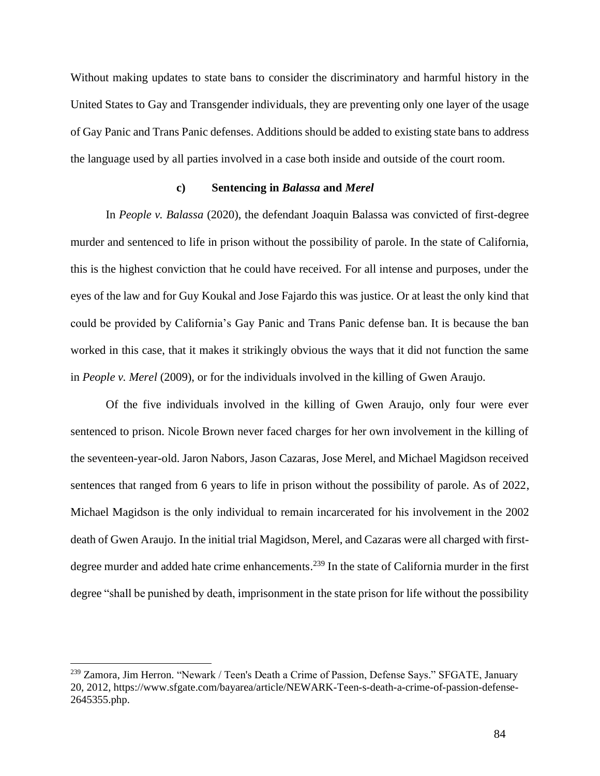Without making updates to state bans to consider the discriminatory and harmful history in the United States to Gay and Transgender individuals, they are preventing only one layer of the usage of Gay Panic and Trans Panic defenses. Additions should be added to existing state bans to address the language used by all parties involved in a case both inside and outside of the court room.

#### **c) Sentencing in** *Balassa* **and** *Merel*

In *People v. Balassa* (2020), the defendant Joaquin Balassa was convicted of first-degree murder and sentenced to life in prison without the possibility of parole. In the state of California, this is the highest conviction that he could have received. For all intense and purposes, under the eyes of the law and for Guy Koukal and Jose Fajardo this was justice. Or at least the only kind that could be provided by California's Gay Panic and Trans Panic defense ban. It is because the ban worked in this case, that it makes it strikingly obvious the ways that it did not function the same in *People v. Merel* (2009), or for the individuals involved in the killing of Gwen Araujo.

Of the five individuals involved in the killing of Gwen Araujo, only four were ever sentenced to prison. Nicole Brown never faced charges for her own involvement in the killing of the seventeen-year-old. Jaron Nabors, Jason Cazaras, Jose Merel, and Michael Magidson received sentences that ranged from 6 years to life in prison without the possibility of parole. As of 2022, Michael Magidson is the only individual to remain incarcerated for his involvement in the 2002 death of Gwen Araujo. In the initial trial Magidson, Merel, and Cazaras were all charged with firstdegree murder and added hate crime enhancements.<sup>239</sup> In the state of California murder in the first degree "shall be punished by death, imprisonment in the state prison for life without the possibility

<sup>&</sup>lt;sup>239</sup> Zamora, Jim Herron. "Newark / Teen's Death a Crime of Passion, Defense Says." SFGATE, January 20, 2012, https://www.sfgate.com/bayarea/article/NEWARK-Teen-s-death-a-crime-of-passion-defense-2645355.php.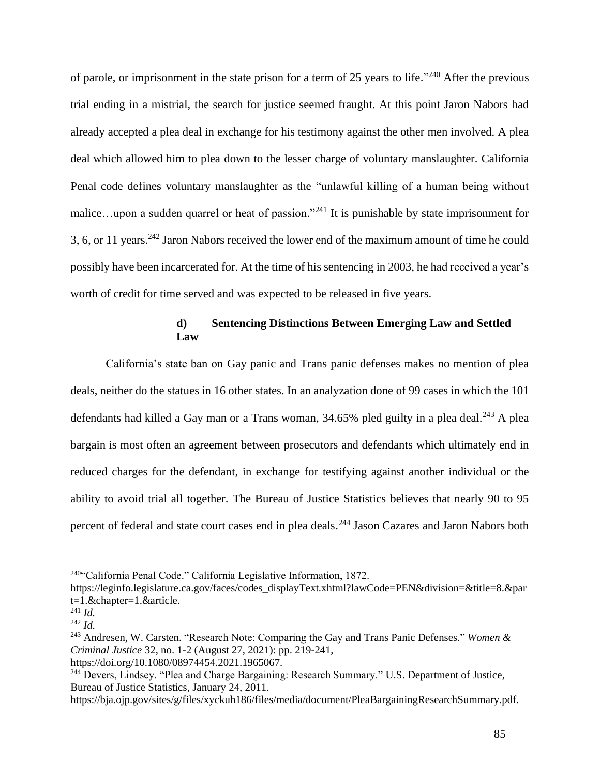of parole, or imprisonment in the state prison for a term of 25 years to life."<sup>240</sup> After the previous trial ending in a mistrial, the search for justice seemed fraught. At this point Jaron Nabors had already accepted a plea deal in exchange for his testimony against the other men involved. A plea deal which allowed him to plea down to the lesser charge of voluntary manslaughter. California Penal code defines voluntary manslaughter as the "unlawful killing of a human being without malice...upon a sudden quarrel or heat of passion."<sup>241</sup> It is punishable by state imprisonment for 3, 6, or 11 years. <sup>242</sup> Jaron Nabors received the lower end of the maximum amount of time he could possibly have been incarcerated for. At the time of his sentencing in 2003, he had received a year's worth of credit for time served and was expected to be released in five years.

# **d) Sentencing Distinctions Between Emerging Law and Settled Law**

California's state ban on Gay panic and Trans panic defenses makes no mention of plea deals, neither do the statues in 16 other states. In an analyzation done of 99 cases in which the 101 defendants had killed a Gay man or a Trans woman, 34.65% pled guilty in a plea deal.<sup>243</sup> A plea bargain is most often an agreement between prosecutors and defendants which ultimately end in reduced charges for the defendant, in exchange for testifying against another individual or the ability to avoid trial all together. The Bureau of Justice Statistics believes that nearly 90 to 95 percent of federal and state court cases end in plea deals.<sup>244</sup> Jason Cazares and Jaron Nabors both

https://doi.org/10.1080/08974454.2021.1965067.

<sup>240</sup>"California Penal Code." California Legislative Information, 1872.

[https://leginfo.legislature.ca.gov/faces/codes\\_displayText.xhtml?lawCode=PEN&division=&title=8.&par](https://leginfo.legislature.ca.gov/faces/codes_displayText.xhtml?lawCode=PEN&division=&title=8.&part=1.&chapter=1.&article) [t=1.&chapter=1.&article.](https://leginfo.legislature.ca.gov/faces/codes_displayText.xhtml?lawCode=PEN&division=&title=8.&part=1.&chapter=1.&article)

<sup>241</sup> *Id.*

<sup>242</sup> *Id.*

<sup>243</sup> Andresen, W. Carsten. "Research Note: Comparing the Gay and Trans Panic Defenses." *Women & Criminal Justice* 32, no. 1-2 (August 27, 2021): pp. 219-241,

<sup>&</sup>lt;sup>244</sup> Devers, Lindsey. "Plea and Charge Bargaining: Research Summary." U.S. Department of Justice, Bureau of Justice Statistics, January 24, 2011.

https://bja.ojp.gov/sites/g/files/xyckuh186/files/media/document/PleaBargainingResearchSummary.pdf.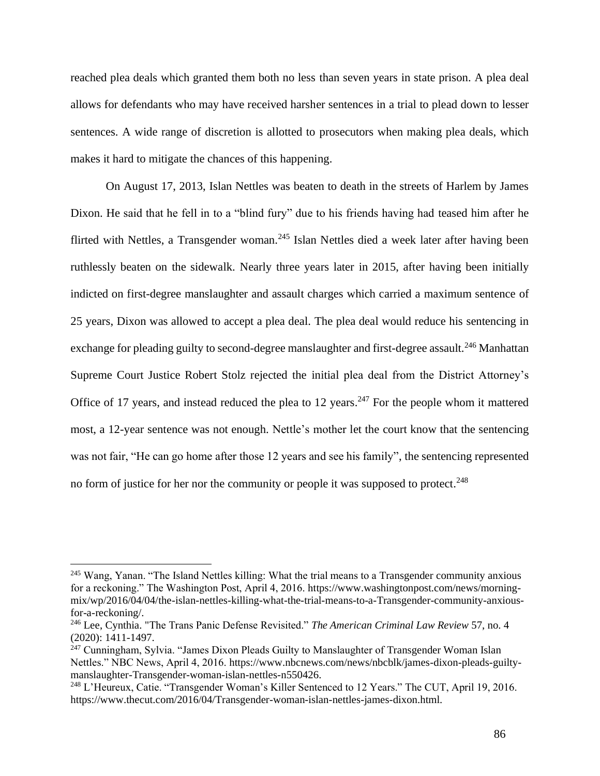reached plea deals which granted them both no less than seven years in state prison. A plea deal allows for defendants who may have received harsher sentences in a trial to plead down to lesser sentences. A wide range of discretion is allotted to prosecutors when making plea deals, which makes it hard to mitigate the chances of this happening.

On August 17, 2013, Islan Nettles was beaten to death in the streets of Harlem by James Dixon. He said that he fell in to a "blind fury" due to his friends having had teased him after he flirted with Nettles, a Transgender woman.<sup>245</sup> Islan Nettles died a week later after having been ruthlessly beaten on the sidewalk. Nearly three years later in 2015, after having been initially indicted on first-degree manslaughter and assault charges which carried a maximum sentence of 25 years, Dixon was allowed to accept a plea deal. The plea deal would reduce his sentencing in exchange for pleading guilty to second-degree manslaughter and first-degree assault.<sup>246</sup> Manhattan Supreme Court Justice Robert Stolz rejected the initial plea deal from the District Attorney's Office of 17 years, and instead reduced the plea to 12 years.<sup>247</sup> For the people whom it mattered most, a 12-year sentence was not enough. Nettle's mother let the court know that the sentencing was not fair, "He can go home after those 12 years and see his family", the sentencing represented no form of justice for her nor the community or people it was supposed to protect.<sup>248</sup>

<sup>&</sup>lt;sup>245</sup> Wang, Yanan. "The Island Nettles killing: What the trial means to a Transgender community anxious for a reckoning." The Washington Post, April 4, 2016. https://www.washingtonpost.com/news/morningmix/wp/2016/04/04/the-islan-nettles-killing-what-the-trial-means-to-a-Transgender-community-anxiousfor-a-reckoning/.

<sup>246</sup> Lee, Cynthia. "The Trans Panic Defense Revisited." *The American Criminal Law Review* 57, no. 4 (2020): 1411-1497.

<sup>&</sup>lt;sup>247</sup> Cunningham, Sylvia. "James Dixon Pleads Guilty to Manslaughter of Transgender Woman Islan Nettles." NBC News, April 4, 2016. [https://www.nbcnews.com/news/nbcblk/james-dixon-pleads-guilty](https://www.nbcnews.com/news/nbcblk/james-dixon-pleads-guilty-manslaughter-transgender-woman-islan-nettles-n550426)[manslaughter-Transgender-woman-islan-nettles-n550426.](https://www.nbcnews.com/news/nbcblk/james-dixon-pleads-guilty-manslaughter-transgender-woman-islan-nettles-n550426)

<sup>&</sup>lt;sup>248</sup> L'Heureux, Catie. "Transgender Woman's Killer Sentenced to 12 Years." The CUT, April 19, 2016. [https://www.thecut.com/2016/04/Transgender-woman-islan-nettles-james-dixon.html.](https://www.thecut.com/2016/04/transgender-woman-islan-nettles-james-dixon.html)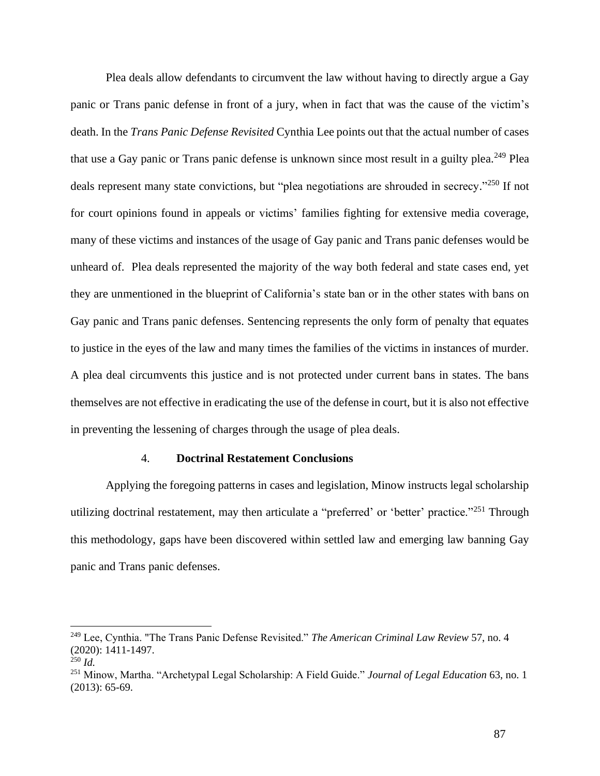Plea deals allow defendants to circumvent the law without having to directly argue a Gay panic or Trans panic defense in front of a jury, when in fact that was the cause of the victim's death. In the *Trans Panic Defense Revisited* Cynthia Lee points out that the actual number of cases that use a Gay panic or Trans panic defense is unknown since most result in a guilty plea.<sup>249</sup> Plea deals represent many state convictions, but "plea negotiations are shrouded in secrecy." <sup>250</sup> If not for court opinions found in appeals or victims' families fighting for extensive media coverage, many of these victims and instances of the usage of Gay panic and Trans panic defenses would be unheard of. Plea deals represented the majority of the way both federal and state cases end, yet they are unmentioned in the blueprint of California's state ban or in the other states with bans on Gay panic and Trans panic defenses. Sentencing represents the only form of penalty that equates to justice in the eyes of the law and many times the families of the victims in instances of murder. A plea deal circumvents this justice and is not protected under current bans in states. The bans themselves are not effective in eradicating the use of the defense in court, but it is also not effective in preventing the lessening of charges through the usage of plea deals.

### 4. **Doctrinal Restatement Conclusions**

Applying the foregoing patterns in cases and legislation, Minow instructs legal scholarship utilizing doctrinal restatement, may then articulate a "preferred' or 'better' practice."<sup>251</sup> Through this methodology, gaps have been discovered within settled law and emerging law banning Gay panic and Trans panic defenses.

<sup>249</sup> Lee, Cynthia. "The Trans Panic Defense Revisited." *The American Criminal Law Review* 57, no. 4 (2020): 1411-1497.

 $^{250}$  *Id.* 

<sup>251</sup> Minow, Martha. "Archetypal Legal Scholarship: A Field Guide." *Journal of Legal Education* 63, no. 1 (2013): 65-69.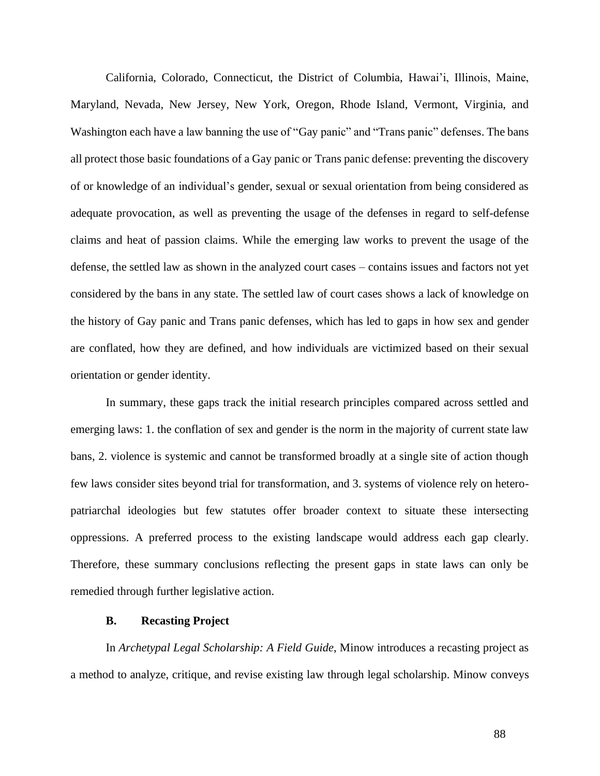California, Colorado, Connecticut, the District of Columbia, Hawai'i, Illinois, Maine, Maryland, Nevada, New Jersey, New York, Oregon, Rhode Island, Vermont, Virginia, and Washington each have a law banning the use of "Gay panic" and "Trans panic" defenses. The bans all protect those basic foundations of a Gay panic or Trans panic defense: preventing the discovery of or knowledge of an individual's gender, sexual or sexual orientation from being considered as adequate provocation, as well as preventing the usage of the defenses in regard to self-defense claims and heat of passion claims. While the emerging law works to prevent the usage of the defense, the settled law as shown in the analyzed court cases – contains issues and factors not yet considered by the bans in any state. The settled law of court cases shows a lack of knowledge on the history of Gay panic and Trans panic defenses, which has led to gaps in how sex and gender are conflated, how they are defined, and how individuals are victimized based on their sexual orientation or gender identity.

In summary, these gaps track the initial research principles compared across settled and emerging laws: 1. the conflation of sex and gender is the norm in the majority of current state law bans, 2. violence is systemic and cannot be transformed broadly at a single site of action though few laws consider sites beyond trial for transformation, and 3. systems of violence rely on heteropatriarchal ideologies but few statutes offer broader context to situate these intersecting oppressions. A preferred process to the existing landscape would address each gap clearly. Therefore, these summary conclusions reflecting the present gaps in state laws can only be remedied through further legislative action.

#### **B. Recasting Project**

In *Archetypal Legal Scholarship: A Field Guide*, Minow introduces a recasting project as a method to analyze, critique, and revise existing law through legal scholarship. Minow conveys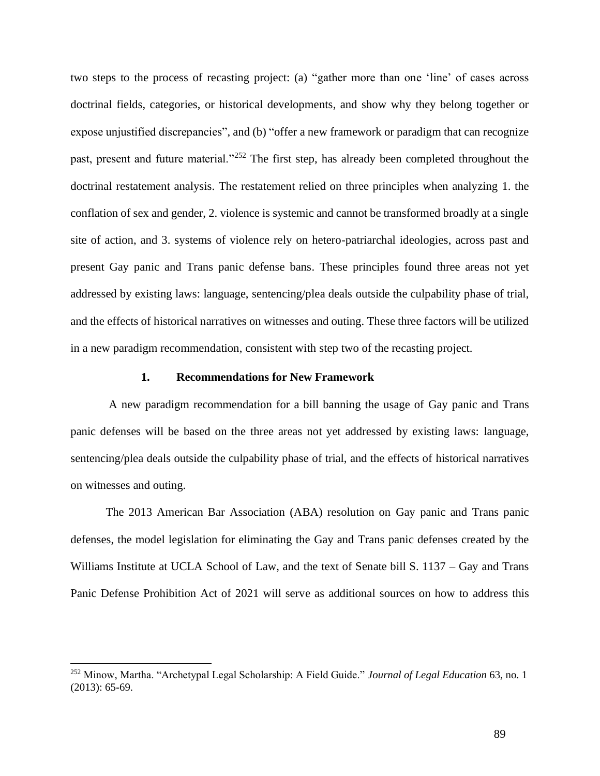two steps to the process of recasting project: (a) "gather more than one 'line' of cases across doctrinal fields, categories, or historical developments, and show why they belong together or expose unjustified discrepancies", and (b) "offer a new framework or paradigm that can recognize past, present and future material."<sup>252</sup> The first step, has already been completed throughout the doctrinal restatement analysis. The restatement relied on three principles when analyzing 1. the conflation of sex and gender, 2. violence is systemic and cannot be transformed broadly at a single site of action, and 3. systems of violence rely on hetero-patriarchal ideologies, across past and present Gay panic and Trans panic defense bans. These principles found three areas not yet addressed by existing laws: language, sentencing/plea deals outside the culpability phase of trial, and the effects of historical narratives on witnesses and outing. These three factors will be utilized in a new paradigm recommendation, consistent with step two of the recasting project.

#### **1. Recommendations for New Framework**

A new paradigm recommendation for a bill banning the usage of Gay panic and Trans panic defenses will be based on the three areas not yet addressed by existing laws: language, sentencing/plea deals outside the culpability phase of trial, and the effects of historical narratives on witnesses and outing.

The 2013 American Bar Association (ABA) resolution on Gay panic and Trans panic defenses, the model legislation for eliminating the Gay and Trans panic defenses created by the Williams Institute at UCLA School of Law, and the text of Senate bill S. 1137 – Gay and Trans Panic Defense Prohibition Act of 2021 will serve as additional sources on how to address this

<sup>252</sup> Minow, Martha. "Archetypal Legal Scholarship: A Field Guide." *Journal of Legal Education* 63, no. 1 (2013): 65-69.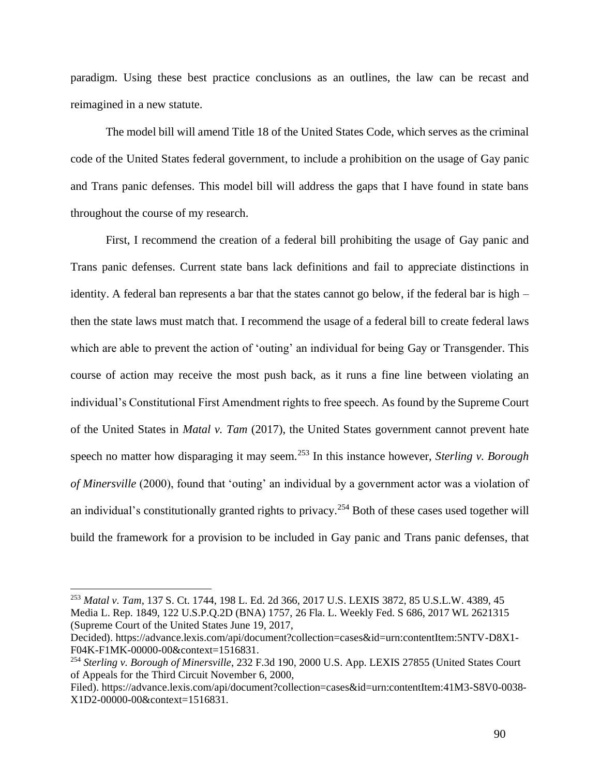paradigm. Using these best practice conclusions as an outlines, the law can be recast and reimagined in a new statute.

The model bill will amend Title 18 of the United States Code, which serves as the criminal code of the United States federal government, to include a prohibition on the usage of Gay panic and Trans panic defenses. This model bill will address the gaps that I have found in state bans throughout the course of my research.

First, I recommend the creation of a federal bill prohibiting the usage of Gay panic and Trans panic defenses. Current state bans lack definitions and fail to appreciate distinctions in identity. A federal ban represents a bar that the states cannot go below, if the federal bar is high – then the state laws must match that. I recommend the usage of a federal bill to create federal laws which are able to prevent the action of 'outing' an individual for being Gay or Transgender. This course of action may receive the most push back, as it runs a fine line between violating an individual's Constitutional First Amendment rights to free speech. As found by the Supreme Court of the United States in *Matal v. Tam* (2017), the United States government cannot prevent hate speech no matter how disparaging it may seem.<sup>253</sup> In this instance however, *Sterling v. Borough of Minersville* (2000), found that 'outing' an individual by a government actor was a violation of an individual's constitutionally granted rights to privacy.<sup>254</sup> Both of these cases used together will build the framework for a provision to be included in Gay panic and Trans panic defenses, that

<sup>253</sup> *Matal v. Tam*, 137 S. Ct. 1744, 198 L. Ed. 2d 366, 2017 U.S. LEXIS 3872, 85 U.S.L.W. 4389, 45 Media L. Rep. 1849, 122 U.S.P.Q.2D (BNA) 1757, 26 Fla. L. Weekly Fed. S 686, 2017 WL 2621315 (Supreme Court of the United States June 19, 2017,

Decided). https://advance.lexis.com/api/document?collection=cases&id=urn:contentItem:5NTV-D8X1- F04K-F1MK-00000-00&context=1516831.

<sup>254</sup> *Sterling v. Borough of Minersville*, 232 F.3d 190, 2000 U.S. App. LEXIS 27855 (United States Court of Appeals for the Third Circuit November 6, 2000,

Filed). https://advance.lexis.com/api/document?collection=cases&id=urn:contentItem:41M3-S8V0-0038- X1D2-00000-00&context=1516831.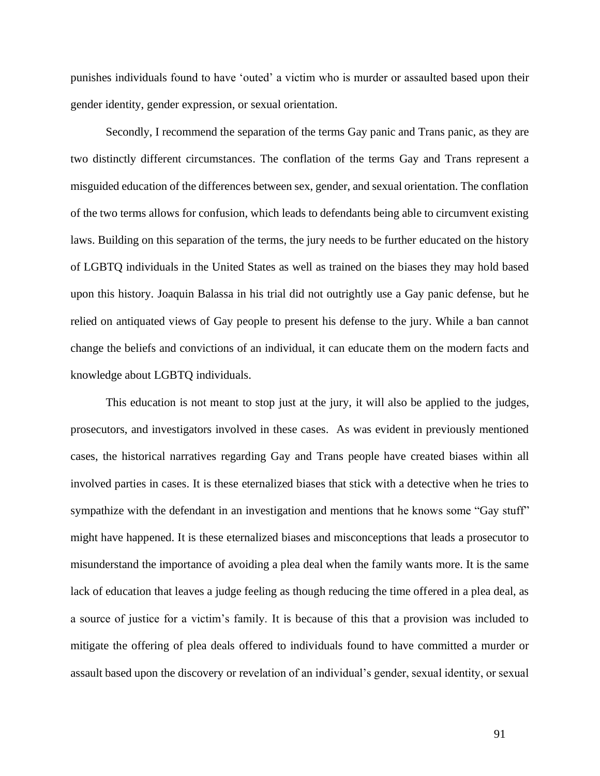punishes individuals found to have 'outed' a victim who is murder or assaulted based upon their gender identity, gender expression, or sexual orientation.

Secondly, I recommend the separation of the terms Gay panic and Trans panic, as they are two distinctly different circumstances. The conflation of the terms Gay and Trans represent a misguided education of the differences between sex, gender, and sexual orientation. The conflation of the two terms allows for confusion, which leads to defendants being able to circumvent existing laws. Building on this separation of the terms, the jury needs to be further educated on the history of LGBTQ individuals in the United States as well as trained on the biases they may hold based upon this history. Joaquin Balassa in his trial did not outrightly use a Gay panic defense, but he relied on antiquated views of Gay people to present his defense to the jury. While a ban cannot change the beliefs and convictions of an individual, it can educate them on the modern facts and knowledge about LGBTQ individuals.

This education is not meant to stop just at the jury, it will also be applied to the judges, prosecutors, and investigators involved in these cases. As was evident in previously mentioned cases, the historical narratives regarding Gay and Trans people have created biases within all involved parties in cases. It is these eternalized biases that stick with a detective when he tries to sympathize with the defendant in an investigation and mentions that he knows some "Gay stuff" might have happened. It is these eternalized biases and misconceptions that leads a prosecutor to misunderstand the importance of avoiding a plea deal when the family wants more. It is the same lack of education that leaves a judge feeling as though reducing the time offered in a plea deal, as a source of justice for a victim's family. It is because of this that a provision was included to mitigate the offering of plea deals offered to individuals found to have committed a murder or assault based upon the discovery or revelation of an individual's gender, sexual identity, or sexual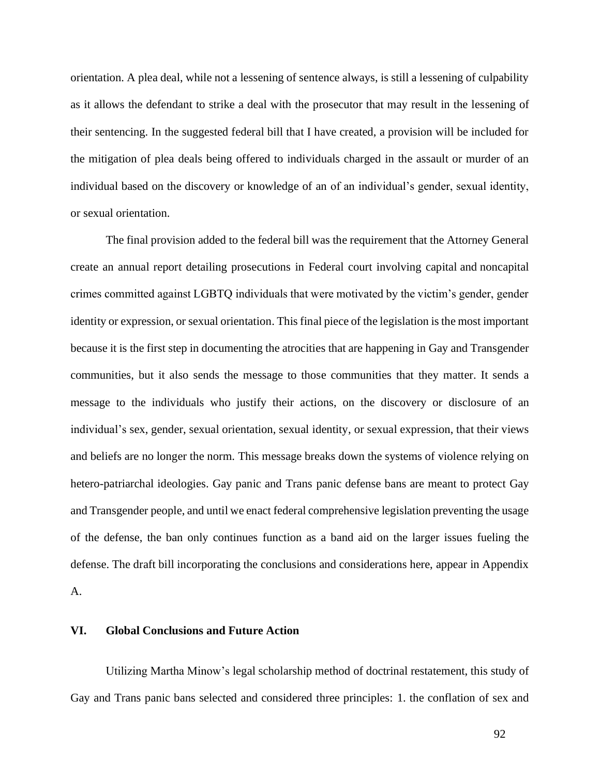orientation. A plea deal, while not a lessening of sentence always, is still a lessening of culpability as it allows the defendant to strike a deal with the prosecutor that may result in the lessening of their sentencing. In the suggested federal bill that I have created, a provision will be included for the mitigation of plea deals being offered to individuals charged in the assault or murder of an individual based on the discovery or knowledge of an of an individual's gender, sexual identity, or sexual orientation.

The final provision added to the federal bill was the requirement that the Attorney General create an annual report detailing prosecutions in Federal court involving capital and noncapital crimes committed against LGBTQ individuals that were motivated by the victim's gender, gender identity or expression, or sexual orientation. This final piece of the legislation is the most important because it is the first step in documenting the atrocities that are happening in Gay and Transgender communities, but it also sends the message to those communities that they matter. It sends a message to the individuals who justify their actions, on the discovery or disclosure of an individual's sex, gender, sexual orientation, sexual identity, or sexual expression, that their views and beliefs are no longer the norm. This message breaks down the systems of violence relying on hetero-patriarchal ideologies. Gay panic and Trans panic defense bans are meant to protect Gay and Transgender people, and until we enact federal comprehensive legislation preventing the usage of the defense, the ban only continues function as a band aid on the larger issues fueling the defense. The draft bill incorporating the conclusions and considerations here, appear in Appendix A.

### **VI. Global Conclusions and Future Action**

Utilizing Martha Minow's legal scholarship method of doctrinal restatement, this study of Gay and Trans panic bans selected and considered three principles: 1. the conflation of sex and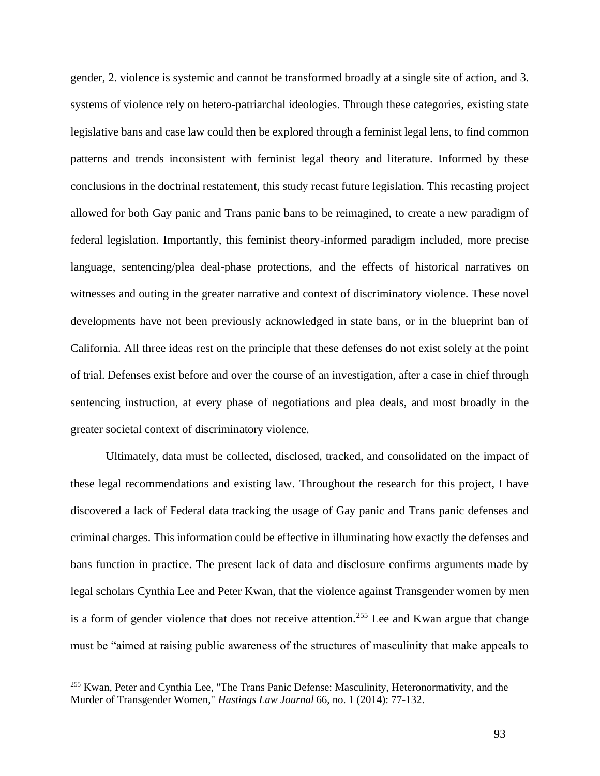gender, 2. violence is systemic and cannot be transformed broadly at a single site of action, and 3. systems of violence rely on hetero-patriarchal ideologies. Through these categories, existing state legislative bans and case law could then be explored through a feminist legal lens, to find common patterns and trends inconsistent with feminist legal theory and literature. Informed by these conclusions in the doctrinal restatement, this study recast future legislation. This recasting project allowed for both Gay panic and Trans panic bans to be reimagined, to create a new paradigm of federal legislation. Importantly, this feminist theory-informed paradigm included, more precise language, sentencing/plea deal-phase protections, and the effects of historical narratives on witnesses and outing in the greater narrative and context of discriminatory violence. These novel developments have not been previously acknowledged in state bans, or in the blueprint ban of California. All three ideas rest on the principle that these defenses do not exist solely at the point of trial. Defenses exist before and over the course of an investigation, after a case in chief through sentencing instruction, at every phase of negotiations and plea deals, and most broadly in the greater societal context of discriminatory violence.

Ultimately, data must be collected, disclosed, tracked, and consolidated on the impact of these legal recommendations and existing law. Throughout the research for this project, I have discovered a lack of Federal data tracking the usage of Gay panic and Trans panic defenses and criminal charges. This information could be effective in illuminating how exactly the defenses and bans function in practice. The present lack of data and disclosure confirms arguments made by legal scholars Cynthia Lee and Peter Kwan, that the violence against Transgender women by men is a form of gender violence that does not receive attention.<sup>255</sup> Lee and Kwan argue that change must be "aimed at raising public awareness of the structures of masculinity that make appeals to

<sup>&</sup>lt;sup>255</sup> Kwan, Peter and Cynthia Lee, "The Trans Panic Defense: Masculinity, Heteronormativity, and the Murder of Transgender Women," *Hastings Law Journal* 66, no. 1 (2014): 77-132.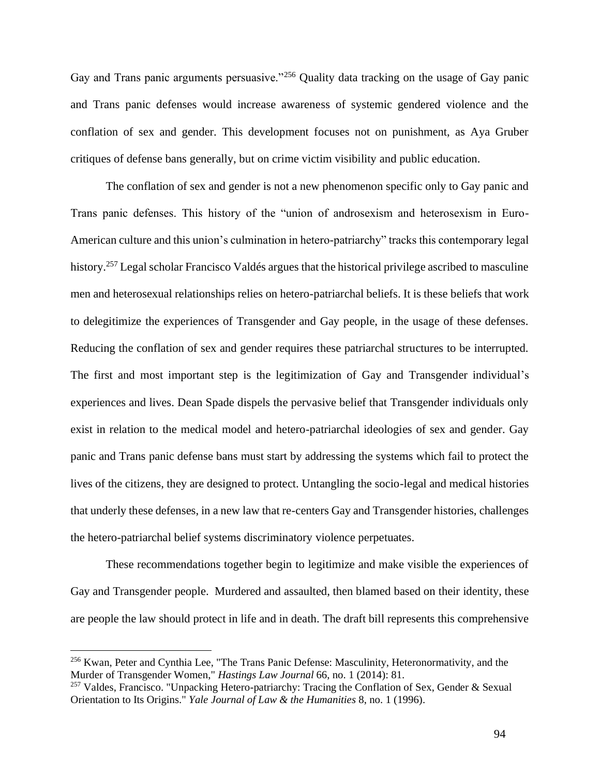Gay and Trans panic arguments persuasive."<sup>256</sup> Quality data tracking on the usage of Gay panic and Trans panic defenses would increase awareness of systemic gendered violence and the conflation of sex and gender. This development focuses not on punishment, as Aya Gruber critiques of defense bans generally, but on crime victim visibility and public education.

The conflation of sex and gender is not a new phenomenon specific only to Gay panic and Trans panic defenses. This history of the "union of androsexism and heterosexism in Euro-American culture and this union's culmination in hetero-patriarchy" tracks this contemporary legal history.<sup>257</sup> Legal scholar Francisco Valdés argues that the historical privilege ascribed to masculine men and heterosexual relationships relies on hetero-patriarchal beliefs. It is these beliefs that work to delegitimize the experiences of Transgender and Gay people, in the usage of these defenses. Reducing the conflation of sex and gender requires these patriarchal structures to be interrupted. The first and most important step is the legitimization of Gay and Transgender individual's experiences and lives. Dean Spade dispels the pervasive belief that Transgender individuals only exist in relation to the medical model and hetero-patriarchal ideologies of sex and gender. Gay panic and Trans panic defense bans must start by addressing the systems which fail to protect the lives of the citizens, they are designed to protect. Untangling the socio-legal and medical histories that underly these defenses, in a new law that re-centers Gay and Transgender histories, challenges the hetero-patriarchal belief systems discriminatory violence perpetuates.

These recommendations together begin to legitimize and make visible the experiences of Gay and Transgender people. Murdered and assaulted, then blamed based on their identity, these are people the law should protect in life and in death. The draft bill represents this comprehensive

<sup>&</sup>lt;sup>256</sup> Kwan, Peter and Cynthia Lee, "The Trans Panic Defense: Masculinity, Heteronormativity, and the Murder of Transgender Women," *Hastings Law Journal* 66, no. 1 (2014): 81.

<sup>&</sup>lt;sup>257</sup> Valdes, Francisco. "Unpacking Hetero-patriarchy: Tracing the Conflation of Sex, Gender & Sexual Orientation to Its Origins." *Yale Journal of Law & the Humanities* 8, no. 1 (1996).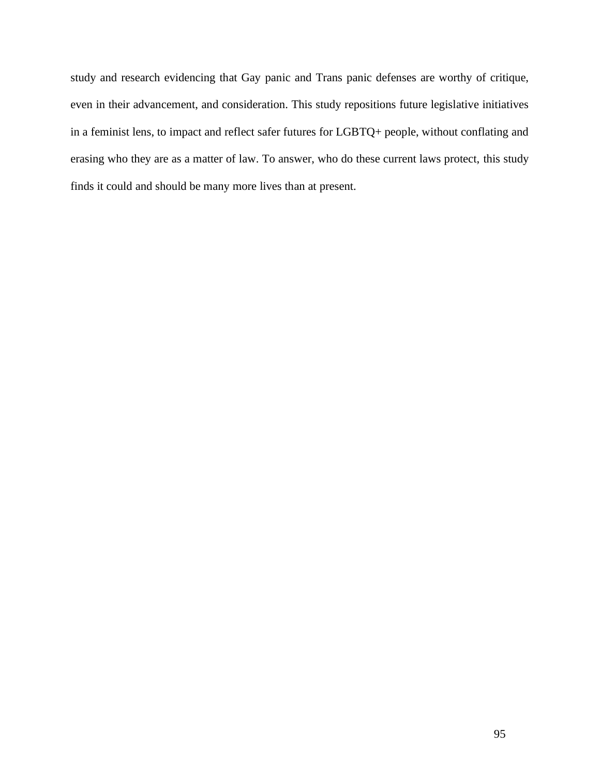study and research evidencing that Gay panic and Trans panic defenses are worthy of critique, even in their advancement, and consideration. This study repositions future legislative initiatives in a feminist lens, to impact and reflect safer futures for LGBTQ+ people, without conflating and erasing who they are as a matter of law. To answer, who do these current laws protect, this study finds it could and should be many more lives than at present.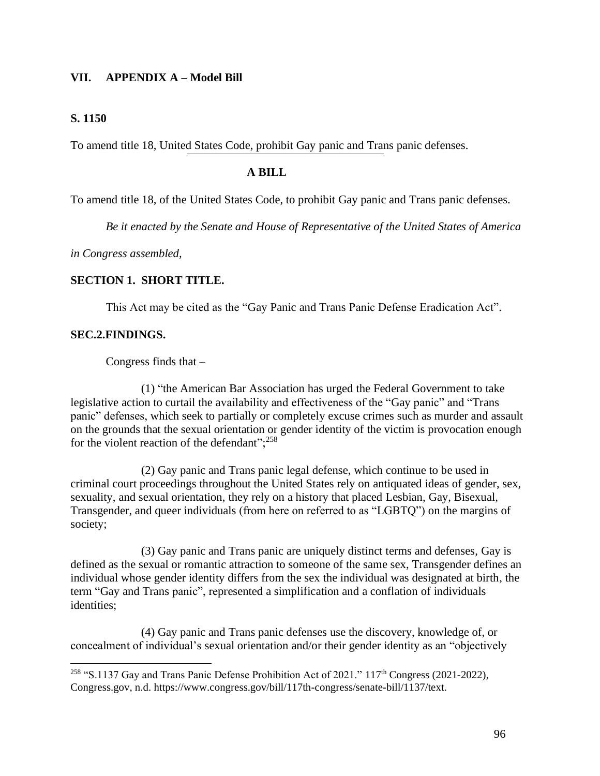## **VII. APPENDIX A – Model Bill**

#### **S. 1150**

To amend title 18, United States Code, prohibit Gay panic and Trans panic defenses.

## **A BILL**

To amend title 18, of the United States Code, to prohibit Gay panic and Trans panic defenses.

*Be it enacted by the Senate and House of Representative of the United States of America* 

*in Congress assembled,*

## **SECTION 1. SHORT TITLE.**

This Act may be cited as the "Gay Panic and Trans Panic Defense Eradication Act".

#### **SEC.2.FINDINGS.**

Congress finds that –

(1) "the American Bar Association has urged the Federal Government to take legislative action to curtail the availability and effectiveness of the "Gay panic" and "Trans panic" defenses, which seek to partially or completely excuse crimes such as murder and assault on the grounds that the sexual orientation or gender identity of the victim is provocation enough for the violent reaction of the defendant";<sup>258</sup>

(2) Gay panic and Trans panic legal defense, which continue to be used in criminal court proceedings throughout the United States rely on antiquated ideas of gender, sex, sexuality, and sexual orientation, they rely on a history that placed Lesbian, Gay, Bisexual, Transgender, and queer individuals (from here on referred to as "LGBTQ") on the margins of society;

(3) Gay panic and Trans panic are uniquely distinct terms and defenses, Gay is defined as the sexual or romantic attraction to someone of the same sex, Transgender defines an individual whose gender identity differs from the sex the individual was designated at birth, the term "Gay and Trans panic", represented a simplification and a conflation of individuals identities;

(4) Gay panic and Trans panic defenses use the discovery, knowledge of, or concealment of individual's sexual orientation and/or their gender identity as an "objectively

<sup>&</sup>lt;sup>258</sup> "S.1137 Gay and Trans Panic Defense Prohibition Act of 2021." 117<sup>th</sup> Congress (2021-2022), Congress.gov, n.d. https://www.congress.gov/bill/117th-congress/senate-bill/1137/text.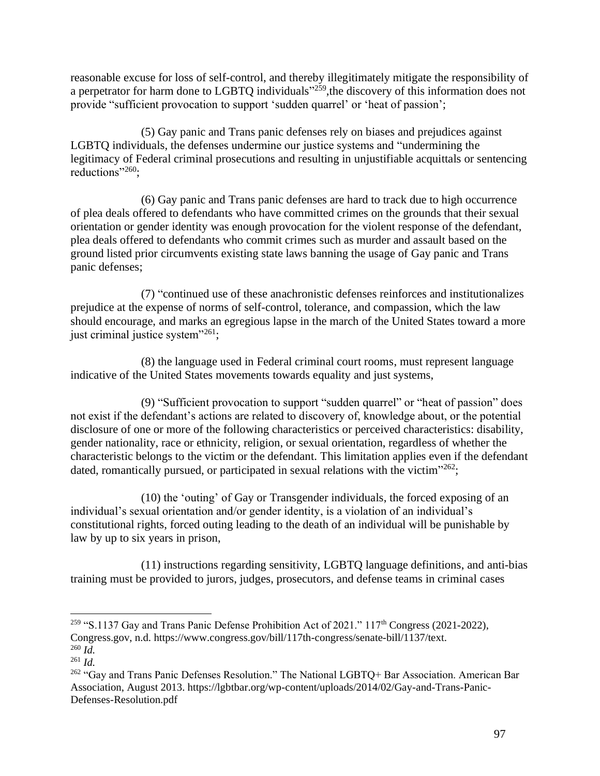reasonable excuse for loss of self-control, and thereby illegitimately mitigate the responsibility of a perpetrator for harm done to LGBTQ individuals<sup>"259</sup>, the discovery of this information does not provide "sufficient provocation to support 'sudden quarrel' or 'heat of passion';

(5) Gay panic and Trans panic defenses rely on biases and prejudices against LGBTQ individuals, the defenses undermine our justice systems and "undermining the legitimacy of Federal criminal prosecutions and resulting in unjustifiable acquittals or sentencing reductions"<sup>260</sup>;

(6) Gay panic and Trans panic defenses are hard to track due to high occurrence of plea deals offered to defendants who have committed crimes on the grounds that their sexual orientation or gender identity was enough provocation for the violent response of the defendant, plea deals offered to defendants who commit crimes such as murder and assault based on the ground listed prior circumvents existing state laws banning the usage of Gay panic and Trans panic defenses;

(7) "continued use of these anachronistic defenses reinforces and institutionalizes prejudice at the expense of norms of self-control, tolerance, and compassion, which the law should encourage, and marks an egregious lapse in the march of the United States toward a more just criminal justice system"<sup>261</sup>;

(8) the language used in Federal criminal court rooms, must represent language indicative of the United States movements towards equality and just systems,

(9) "Sufficient provocation to support "sudden quarrel" or "heat of passion" does not exist if the defendant's actions are related to discovery of, knowledge about, or the potential disclosure of one or more of the following characteristics or perceived characteristics: disability, gender nationality, race or ethnicity, religion, or sexual orientation, regardless of whether the characteristic belongs to the victim or the defendant. This limitation applies even if the defendant dated, romantically pursued, or participated in sexual relations with the victim<sup> $262$ </sup>;

(10) the 'outing' of Gay or Transgender individuals, the forced exposing of an individual's sexual orientation and/or gender identity, is a violation of an individual's constitutional rights, forced outing leading to the death of an individual will be punishable by law by up to six years in prison,

(11) instructions regarding sensitivity, LGBTQ language definitions, and anti-bias training must be provided to jurors, judges, prosecutors, and defense teams in criminal cases

<sup>&</sup>lt;sup>259</sup> "S.1137 Gay and Trans Panic Defense Prohibition Act of 2021."  $117<sup>th</sup>$  Congress (2021-2022), Congress.gov, n.d. https://www.congress.gov/bill/117th-congress/senate-bill/1137/text.

<sup>260</sup> *Id.* <sup>261</sup> *Id.*

<sup>&</sup>lt;sup>262</sup> "Gay and Trans Panic Defenses Resolution." The National LGBTO+ Bar Association. American Bar Association, August 2013. https://lgbtbar.org/wp-content/uploads/2014/02/Gay-and-Trans-Panic-Defenses-Resolution.pdf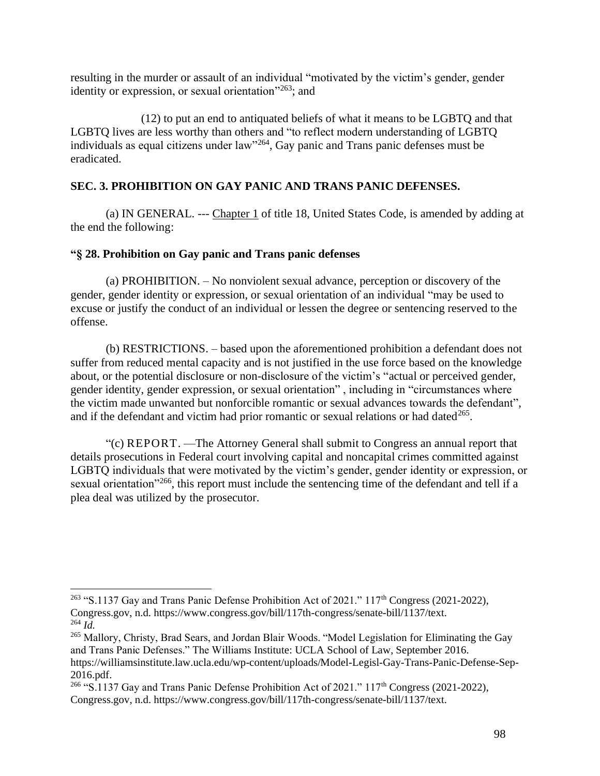resulting in the murder or assault of an individual "motivated by the victim's gender, gender identity or expression, or sexual orientation<sup>"263</sup>; and

(12) to put an end to antiquated beliefs of what it means to be LGBTQ and that LGBTQ lives are less worthy than others and "to reflect modern understanding of LGBTQ individuals as equal citizens under law<sup>1264</sup>, Gay panic and Trans panic defenses must be eradicated.

# **SEC. 3. PROHIBITION ON GAY PANIC AND TRANS PANIC DEFENSES.**

(a) IN GENERAL. --- Chapter 1 of title 18, United States Code, is amended by adding at the end the following:

# **"§ 28. Prohibition on Gay panic and Trans panic defenses**

(a) PROHIBITION. – No nonviolent sexual advance, perception or discovery of the gender, gender identity or expression, or sexual orientation of an individual "may be used to excuse or justify the conduct of an individual or lessen the degree or sentencing reserved to the offense.

(b) RESTRICTIONS. – based upon the aforementioned prohibition a defendant does not suffer from reduced mental capacity and is not justified in the use force based on the knowledge about, or the potential disclosure or non-disclosure of the victim's "actual or perceived gender, gender identity, gender expression, or sexual orientation" , including in "circumstances where the victim made unwanted but nonforcible romantic or sexual advances towards the defendant", and if the defendant and victim had prior romantic or sexual relations or had dated $^{265}$ .

"(c) REPORT. —The Attorney General shall submit to Congress an annual report that details prosecutions in Federal court involving capital and noncapital crimes committed against LGBTQ individuals that were motivated by the victim's gender, gender identity or expression, or sexual orientation"<sup>266</sup>, this report must include the sentencing time of the defendant and tell if a plea deal was utilized by the prosecutor.

<sup>&</sup>lt;sup>263</sup> "S.1137 Gay and Trans Panic Defense Prohibition Act of 2021."  $117<sup>th</sup>$  Congress (2021-2022), Congress.gov, n.d. https://www.congress.gov/bill/117th-congress/senate-bill/1137/text. <sup>264</sup> *Id.*

<sup>&</sup>lt;sup>265</sup> Mallory, Christy, Brad Sears, and Jordan Blair Woods. "Model Legislation for Eliminating the Gay and Trans Panic Defenses." The Williams Institute: UCLA School of Law, September 2016. [https://williamsinstitute.law.ucla.edu/wp-content/uploads/Model-Legisl-Gay-Trans-Panic-Defense-Sep-](https://williamsinstitute.law.ucla.edu/wp-content/uploads/Model-Legisl-Gay-Trans-Panic-Defense-Sep-2016.pdf)[2016.pdf.](https://williamsinstitute.law.ucla.edu/wp-content/uploads/Model-Legisl-Gay-Trans-Panic-Defense-Sep-2016.pdf)

<sup>&</sup>lt;sup>266</sup> "S.1137 Gay and Trans Panic Defense Prohibition Act of 2021." 117<sup>th</sup> Congress (2021-2022), Congress.gov, n.d. https://www.congress.gov/bill/117th-congress/senate-bill/1137/text.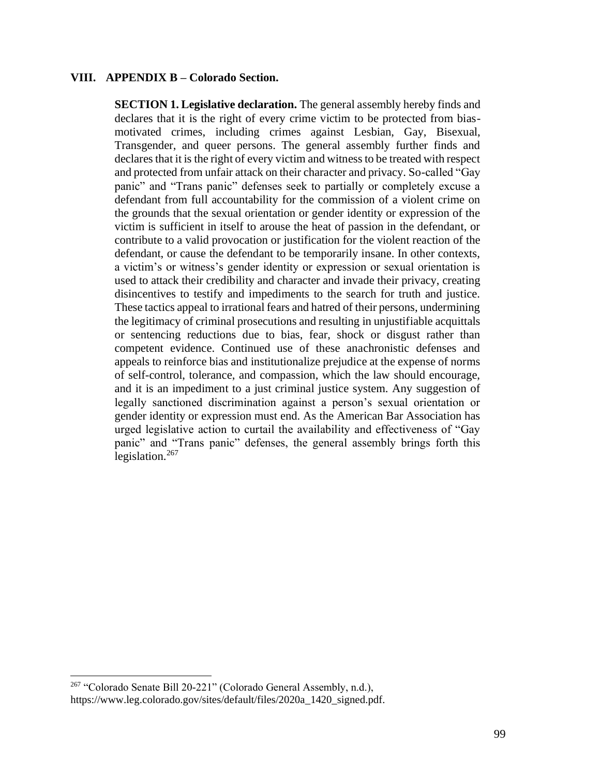### **VIII. APPENDIX B – Colorado Section.**

**SECTION 1. Legislative declaration.** The general assembly hereby finds and declares that it is the right of every crime victim to be protected from biasmotivated crimes, including crimes against Lesbian, Gay, Bisexual, Transgender, and queer persons. The general assembly further finds and declares that it is the right of every victim and witness to be treated with respect and protected from unfair attack on their character and privacy. So-called "Gay panic" and "Trans panic" defenses seek to partially or completely excuse a defendant from full accountability for the commission of a violent crime on the grounds that the sexual orientation or gender identity or expression of the victim is sufficient in itself to arouse the heat of passion in the defendant, or contribute to a valid provocation or justification for the violent reaction of the defendant, or cause the defendant to be temporarily insane. In other contexts, a victim's or witness's gender identity or expression or sexual orientation is used to attack their credibility and character and invade their privacy, creating disincentives to testify and impediments to the search for truth and justice. These tactics appeal to irrational fears and hatred of their persons, undermining the legitimacy of criminal prosecutions and resulting in unjustifiable acquittals or sentencing reductions due to bias, fear, shock or disgust rather than competent evidence. Continued use of these anachronistic defenses and appeals to reinforce bias and institutionalize prejudice at the expense of norms of self-control, tolerance, and compassion, which the law should encourage, and it is an impediment to a just criminal justice system. Any suggestion of legally sanctioned discrimination against a person's sexual orientation or gender identity or expression must end. As the American Bar Association has urged legislative action to curtail the availability and effectiveness of "Gay panic" and "Trans panic" defenses, the general assembly brings forth this legislation. $267$ 

<sup>267</sup> "Colorado Senate Bill 20-221" (Colorado General Assembly, n.d.), https://www.leg.colorado.gov/sites/default/files/2020a\_1420\_signed.pdf.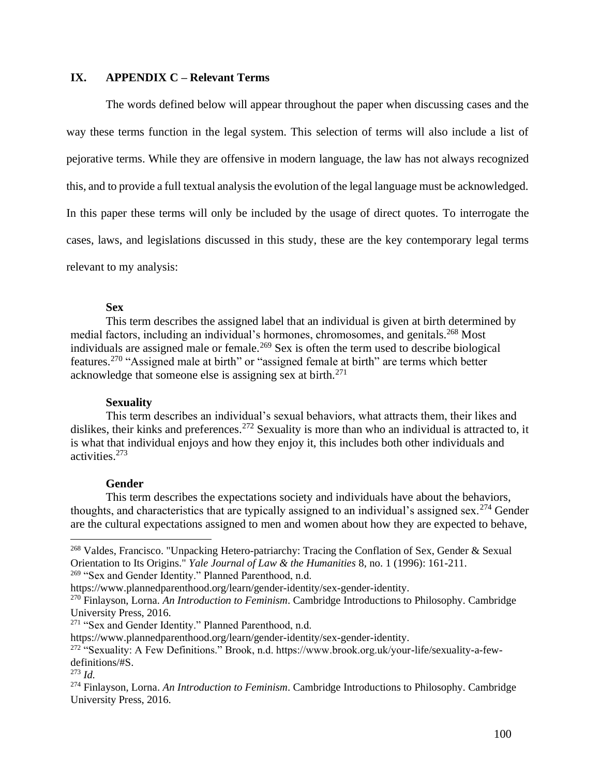### **IX. APPENDIX C – Relevant Terms**

The words defined below will appear throughout the paper when discussing cases and the way these terms function in the legal system. This selection of terms will also include a list of pejorative terms. While they are offensive in modern language, the law has not always recognized this, and to provide a full textual analysis the evolution of the legal language must be acknowledged. In this paper these terms will only be included by the usage of direct quotes. To interrogate the cases, laws, and legislations discussed in this study, these are the key contemporary legal terms relevant to my analysis:

#### **Sex**

This term describes the assigned label that an individual is given at birth determined by medial factors, including an individual's hormones, chromosomes, and genitals.<sup>268</sup> Most individuals are assigned male or female.<sup>269</sup> Sex is often the term used to describe biological features.<sup>270</sup> "Assigned male at birth" or "assigned female at birth" are terms which better acknowledge that someone else is assigning sex at birth.<sup>271</sup>

#### **Sexuality**

This term describes an individual's sexual behaviors, what attracts them, their likes and dislikes, their kinks and preferences.<sup>272</sup> Sexuality is more than who an individual is attracted to, it is what that individual enjoys and how they enjoy it, this includes both other individuals and activities.<sup>273</sup>

#### **Gender**

This term describes the expectations society and individuals have about the behaviors, thoughts, and characteristics that are typically assigned to an individual's assigned sex.<sup>274</sup> Gender are the cultural expectations assigned to men and women about how they are expected to behave,

<sup>&</sup>lt;sup>268</sup> Valdes, Francisco. "Unpacking Hetero-patriarchy: Tracing the Conflation of Sex, Gender & Sexual Orientation to Its Origins." *Yale Journal of Law & the Humanities* 8, no. 1 (1996): 161-211. <sup>269</sup> "Sex and Gender Identity." Planned Parenthood, n.d.

https://www.plannedparenthood.org/learn/gender-identity/sex-gender-identity.

<sup>270</sup> Finlayson, Lorna. *An Introduction to Feminism*. Cambridge Introductions to Philosophy. Cambridge University Press, 2016.

<sup>271</sup> "Sex and Gender Identity." Planned Parenthood, n.d.

https://www.plannedparenthood.org/learn/gender-identity/sex-gender-identity.

<sup>&</sup>lt;sup>272</sup> "Sexuality: A Few Definitions." Brook, n.d. https://www.brook.org.uk/your-life/sexuality-a-fewdefinitions/#S.

<sup>273</sup> *Id.*

<sup>274</sup> Finlayson, Lorna. *An Introduction to Feminism*. Cambridge Introductions to Philosophy. Cambridge University Press, 2016.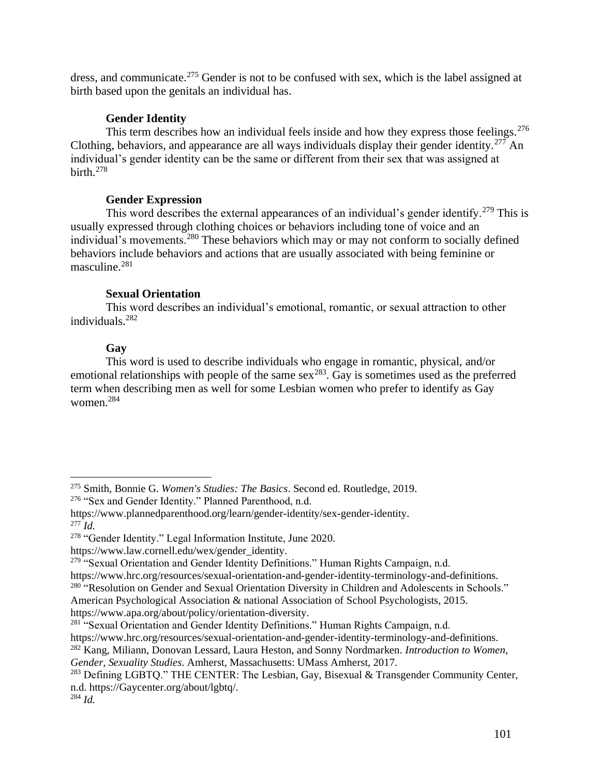dress, and communicate.<sup>275</sup> Gender is not to be confused with sex, which is the label assigned at birth based upon the genitals an individual has.

# **Gender Identity**

This term describes how an individual feels inside and how they express those feelings.<sup>276</sup> Clothing, behaviors, and appearance are all ways individuals display their gender identity.<sup>277</sup> An individual's gender identity can be the same or different from their sex that was assigned at birth. $278$ 

# **Gender Expression**

This word describes the external appearances of an individual's gender identify.<sup>279</sup> This is usually expressed through clothing choices or behaviors including tone of voice and an individual's movements.<sup>280</sup> These behaviors which may or may not conform to socially defined behaviors include behaviors and actions that are usually associated with being feminine or masculine.<sup>281</sup>

# **Sexual Orientation**

This word describes an individual's emotional, romantic, or sexual attraction to other individuals.<sup>282</sup>

# **Gay**

This word is used to describe individuals who engage in romantic, physical, and/or emotional relationships with people of the same sex<sup>283</sup>. Gay is sometimes used as the preferred term when describing men as well for some Lesbian women who prefer to identify as Gay women.<sup>284</sup>

American Psychological Association & national Association of School Psychologists, 2015. https://www.apa.org/about/policy/orientation-diversity.

<sup>275</sup> Smith, Bonnie G. *Women's Studies: The Basics*. Second ed. Routledge, 2019. <sup>276</sup> "Sex and Gender Identity." Planned Parenthood, n.d.

https://www.plannedparenthood.org/learn/gender-identity/sex-gender-identity.  $^{277}$ *Id.* 

<sup>278</sup> "Gender Identity." Legal Information Institute, June 2020.

https://www.law.cornell.edu/wex/gender\_identity.

<sup>&</sup>lt;sup>279</sup> "Sexual Orientation and Gender Identity Definitions." Human Rights Campaign, n.d.

https://www.hrc.org/resources/sexual-orientation-and-gender-identity-terminology-and-definitions.

<sup>&</sup>lt;sup>280</sup> "Resolution on Gender and Sexual Orientation Diversity in Children and Adolescents in Schools."

<sup>&</sup>lt;sup>281</sup> "Sexual Orientation and Gender Identity Definitions." Human Rights Campaign, n.d.

https://www.hrc.org/resources/sexual-orientation-and-gender-identity-terminology-and-definitions.

<sup>282</sup> Kang, Miliann, Donovan Lessard, Laura Heston, and Sonny Nordmarken. *Introduction to Women, Gender, Sexuality Studies*. Amherst, Massachusetts: UMass Amherst, 2017.

 $283$  Defining LGBTO." THE CENTER: The Lesbian, Gay, Bisexual & Transgender Community Center, n.d. https://Gaycenter.org/about/lgbtq/.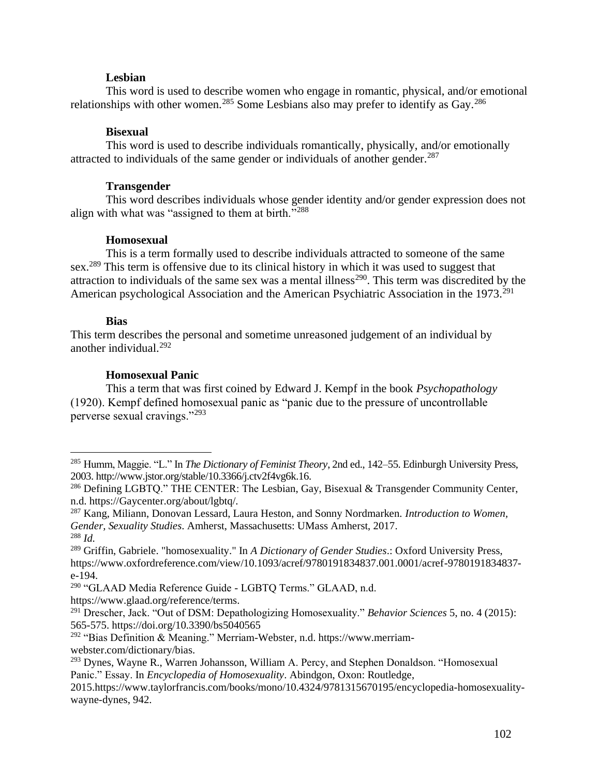#### **Lesbian**

This word is used to describe women who engage in romantic, physical, and/or emotional relationships with other women.<sup>285</sup> Some Lesbians also may prefer to identify as  $\text{Gay}.^{286}$ 

## **Bisexual**

This word is used to describe individuals romantically, physically, and/or emotionally attracted to individuals of the same gender or individuals of another gender.<sup>287</sup>

## **Transgender**

This word describes individuals whose gender identity and/or gender expression does not align with what was "assigned to them at birth. $"^{288}$ 

# **Homosexual**

This is a term formally used to describe individuals attracted to someone of the same sex.<sup>289</sup> This term is offensive due to its clinical history in which it was used to suggest that attraction to individuals of the same sex was a mental illness<sup>290</sup>. This term was discredited by the American psychological Association and the American Psychiatric Association in the 1973.<sup>291</sup>

# **Bias**

This term describes the personal and sometime unreasoned judgement of an individual by another individual.<sup>292</sup>

## **Homosexual Panic**

This a term that was first coined by Edward J. Kempf in the book *Psychopathology* (1920). Kempf defined homosexual panic as "panic due to the pressure of uncontrollable perverse sexual cravings."<sup>293</sup>

<sup>285</sup> Humm, Maggie. "L." In *The Dictionary of Feminist Theory*, 2nd ed., 142–55. Edinburgh University Press, 2003. http://www.jstor.org/stable/10.3366/j.ctv2f4vg6k.16.

<sup>286</sup> Defining LGBTQ." THE CENTER: The Lesbian, Gay, Bisexual & Transgender Community Center, n.d. https://Gaycenter.org/about/lgbtq/.

<sup>287</sup> Kang, Miliann, Donovan Lessard, Laura Heston, and Sonny Nordmarken. *Introduction to Women, Gender, Sexuality Studies*. Amherst, Massachusetts: UMass Amherst, 2017. <sup>288</sup> *Id.*

<sup>289</sup> Griffin, Gabriele. "homosexuality." In *A Dictionary of Gender Studies*.: Oxford University Press, https://www.oxfordreference.com/view/10.1093/acref/9780191834837.001.0001/acref-9780191834837 e-194.

<sup>290</sup> "GLAAD Media Reference Guide - LGBTQ Terms." GLAAD, n.d.

https://www.glaad.org/reference/terms.

<sup>291</sup> Drescher, Jack. "Out of DSM: Depathologizing Homosexuality." *Behavior Sciences* 5, no. 4 (2015): 565-575. https://doi.org/10.3390/bs5040565

<sup>292</sup> "Bias Definition & Meaning." Merriam-Webster, n.d. https://www.merriamwebster.com/dictionary/bias.

<sup>&</sup>lt;sup>293</sup> Dynes, Wayne R., Warren Johansson, William A. Percy, and Stephen Donaldson. "Homosexual Panic." Essay. In *Encyclopedia of Homosexuality*. Abindgon, Oxon: Routledge,

<sup>2015.</sup>https://www.taylorfrancis.com/books/mono/10.4324/9781315670195/encyclopedia-homosexualitywayne-dynes, 942.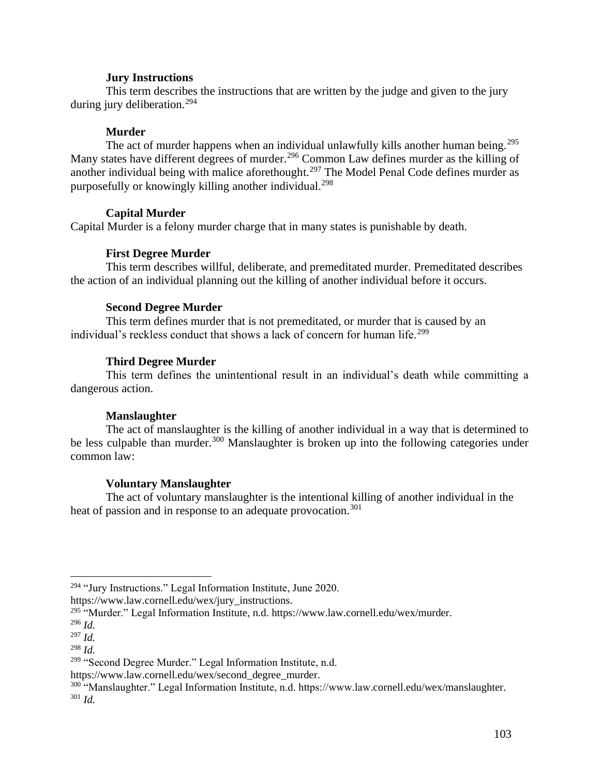### **Jury Instructions**

This term describes the instructions that are written by the judge and given to the jury during jury deliberation.<sup>294</sup>

### **Murder**

The act of murder happens when an individual unlawfully kills another human being.<sup>295</sup> Many states have different degrees of murder.<sup>296</sup> Common Law defines murder as the killing of another individual being with malice aforethought.<sup>297</sup> The Model Penal Code defines murder as purposefully or knowingly killing another individual.<sup>298</sup>

### **Capital Murder**

Capital Murder is a felony murder charge that in many states is punishable by death.

## **First Degree Murder**

This term describes willful, deliberate, and premeditated murder. Premeditated describes the action of an individual planning out the killing of another individual before it occurs.

### **Second Degree Murder**

This term defines murder that is not premeditated, or murder that is caused by an individual's reckless conduct that shows a lack of concern for human life.<sup>299</sup>

## **Third Degree Murder**

This term defines the unintentional result in an individual's death while committing a dangerous action.

## **Manslaughter**

The act of manslaughter is the killing of another individual in a way that is determined to be less culpable than murder.<sup>300</sup> Manslaughter is broken up into the following categories under common law:

## **Voluntary Manslaughter**

The act of voluntary manslaughter is the intentional killing of another individual in the heat of passion and in response to an adequate provocation.<sup>301</sup>

<sup>294</sup> "Jury Instructions." Legal Information Institute, June 2020.

https://www.law.cornell.edu/wex/jury\_instructions.

<sup>295</sup> "Murder." Legal Information Institute, n.d. https://www.law.cornell.edu/wex/murder.

<sup>296</sup> *Id.*

<sup>297</sup> *Id.*

<sup>298</sup> *Id.*

<sup>&</sup>lt;sup>299</sup> "Second Degree Murder." Legal Information Institute, n.d.

https://www.law.cornell.edu/wex/second\_degree\_murder.

<sup>&</sup>lt;sup>300</sup> "Manslaughter." Legal Information Institute, n.d. https://www.law.cornell.edu/wex/manslaughter. <sup>301</sup> *Id.*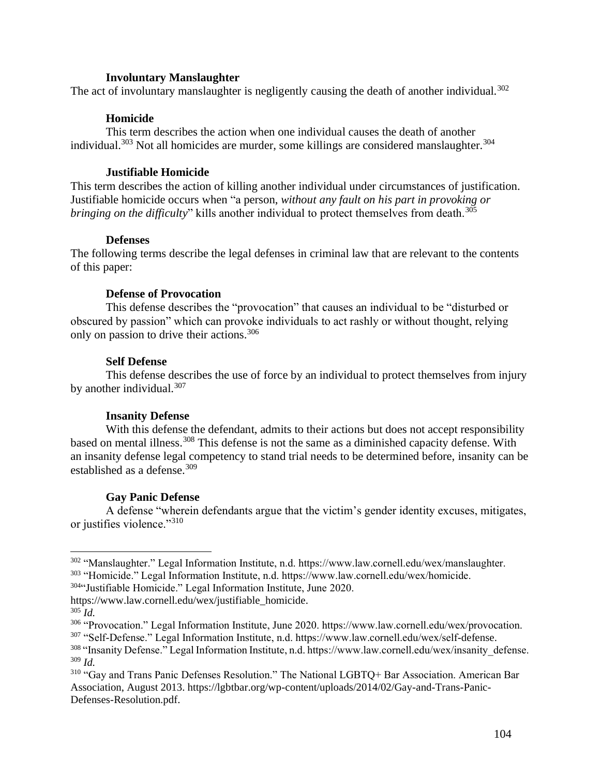#### **Involuntary Manslaughter**

The act of involuntary manslaughter is negligently causing the death of another individual.<sup>302</sup>

#### **Homicide**

This term describes the action when one individual causes the death of another individual.<sup>303</sup> Not all homicides are murder, some killings are considered manslaughter.<sup>304</sup>

### **Justifiable Homicide**

This term describes the action of killing another individual under circumstances of justification. Justifiable homicide occurs when "a person, *without any fault on his part in provoking or bringing on the difficulty*" kills another individual to protect themselves from death.<sup>305</sup>

#### **Defenses**

The following terms describe the legal defenses in criminal law that are relevant to the contents of this paper:

#### **Defense of Provocation**

This defense describes the "provocation" that causes an individual to be "disturbed or obscured by passion" which can provoke individuals to act rashly or without thought, relying only on passion to drive their actions.<sup>306</sup>

#### **Self Defense**

This defense describes the use of force by an individual to protect themselves from injury by another individual.<sup>307</sup>

#### **Insanity Defense**

With this defense the defendant, admits to their actions but does not accept responsibility based on mental illness.<sup>308</sup> This defense is not the same as a diminished capacity defense. With an insanity defense legal competency to stand trial needs to be determined before, insanity can be established as a defense.<sup>309</sup>

#### **Gay Panic Defense**

A defense "wherein defendants argue that the victim's gender identity excuses, mitigates, or justifies violence."310

<sup>304</sup>"Justifiable Homicide." Legal Information Institute, June 2020.

<sup>302</sup> "Manslaughter." Legal Information Institute, n.d. https://www.law.cornell.edu/wex/manslaughter. <sup>303</sup> "Homicide." Legal Information Institute, n.d. https://www.law.cornell.edu/wex/homicide.

https://www.law.cornell.edu/wex/justifiable\_homicide.

<sup>305</sup> *Id.*

<sup>306</sup> "Provocation." Legal Information Institute, June 2020. https://www.law.cornell.edu/wex/provocation. <sup>307</sup> "Self-Defense." Legal Information Institute, n.d. https://www.law.cornell.edu/wex/self-defense.

<sup>308 &</sup>quot;Insanity Defense." Legal Information Institute, n.d. https://www.law.cornell.edu/wex/insanity defense. <sup>309</sup> *Id.*

<sup>310</sup> "Gay and Trans Panic Defenses Resolution." The National LGBTQ+ Bar Association. American Bar Association, August 2013. https://lgbtbar.org/wp-content/uploads/2014/02/Gay-and-Trans-Panic-Defenses-Resolution.pdf.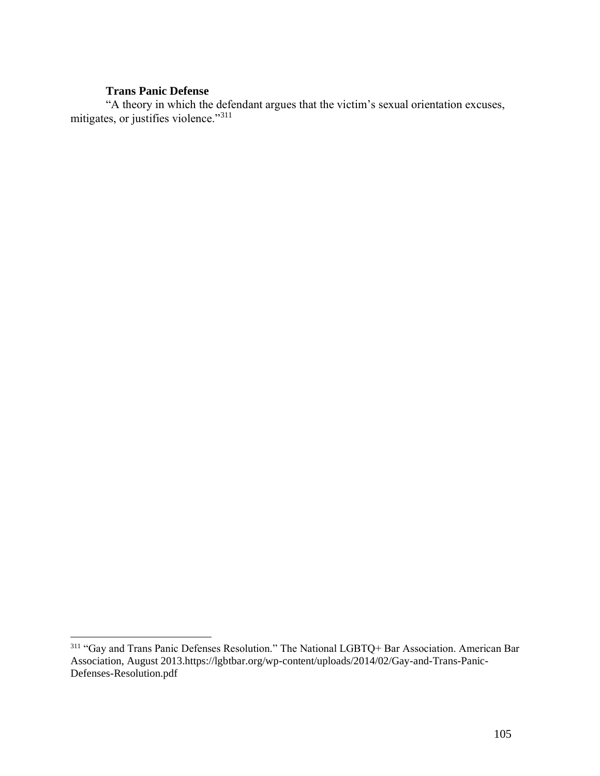### **Trans Panic Defense**

"A theory in which the defendant argues that the victim's sexual orientation excuses, mitigates, or justifies violence."<sup>311</sup>

<sup>311</sup> "Gay and Trans Panic Defenses Resolution." The National LGBTQ+ Bar Association. American Bar Association, August 2013.https://lgbtbar.org/wp-content/uploads/2014/02/Gay-and-Trans-Panic-Defenses-Resolution.pdf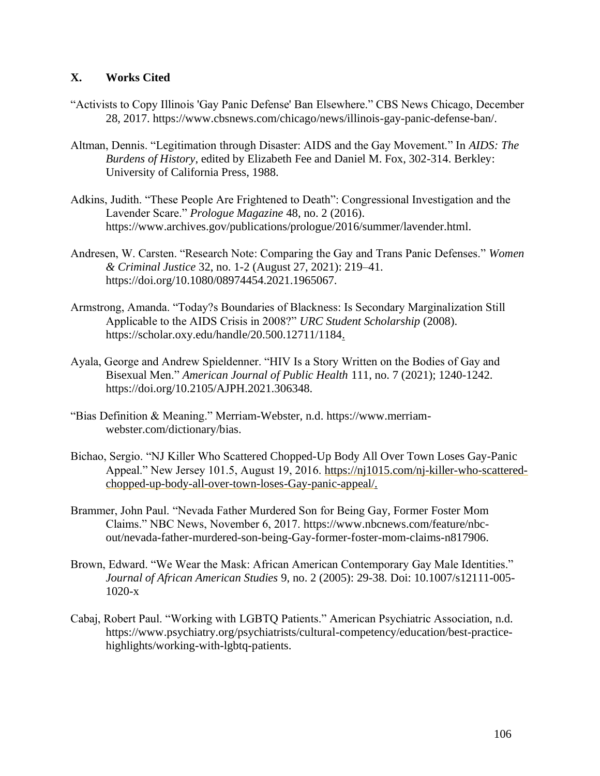# **X. Works Cited**

- "Activists to Copy Illinois 'Gay Panic Defense' Ban Elsewhere." CBS News Chicago, December 28, 2017. https://www.cbsnews.com/chicago/news/illinois-gay-panic-defense-ban/.
- Altman, Dennis. "Legitimation through Disaster: AIDS and the Gay Movement." In *AIDS: The Burdens of History*, edited by Elizabeth Fee and Daniel M. Fox, 302-314. Berkley: University of California Press, 1988.
- Adkins, Judith. "These People Are Frightened to Death": Congressional Investigation and the Lavender Scare." *Prologue Magazine* 48, no. 2 (2016). https://www.archives.gov/publications/prologue/2016/summer/lavender.html.
- Andresen, W. Carsten. "Research Note: Comparing the Gay and Trans Panic Defenses." *Women & Criminal Justice* 32, no. 1-2 (August 27, 2021): 219–41. https://doi.org/10.1080/08974454.2021.1965067.
- Armstrong, Amanda. "Today?s Boundaries of Blackness: Is Secondary Marginalization Still Applicable to the AIDS Crisis in 2008?" *URC Student Scholarship* (2008). https://scholar.oxy.edu/handle/20.500.12711/1184.
- Ayala, George and Andrew Spieldenner. "HIV Is a Story Written on the Bodies of Gay and Bisexual Men." *American Journal of Public Health* 111, no. 7 (2021); 1240-1242. [https://doi.org/10.2105/AJPH.2021.306348.](https://doi.org/10.2105/AJPH.2021.306348)
- "Bias Definition & Meaning." Merriam-Webster, n.d. https://www.merriamwebster.com/dictionary/bias.
- Bichao, Sergio. "NJ Killer Who Scattered Chopped-Up Body All Over Town Loses Gay-Panic Appeal." New Jersey 101.5, August 19, 2016. https://nj1015.com/nj-killer-who-scatteredchopped-up-body-all-over-town-loses-Gay-panic-appeal/.
- Brammer, John Paul. "Nevada Father Murdered Son for Being Gay, Former Foster Mom Claims." NBC News, November 6, 2017. https://www.nbcnews.com/feature/nbcout/nevada-father-murdered-son-being-Gay-former-foster-mom-claims-n817906.
- Brown, Edward. "We Wear the Mask: African American Contemporary Gay Male Identities." *Journal of African American Studies* 9, no. 2 (2005): 29-38. Doi: 10.1007/s12111-005- 1020-x
- Cabaj, Robert Paul. "Working with LGBTQ Patients." American Psychiatric Association, n.d. https://www.psychiatry.org/psychiatrists/cultural-competency/education/best-practicehighlights/working-with-lgbtq-patients.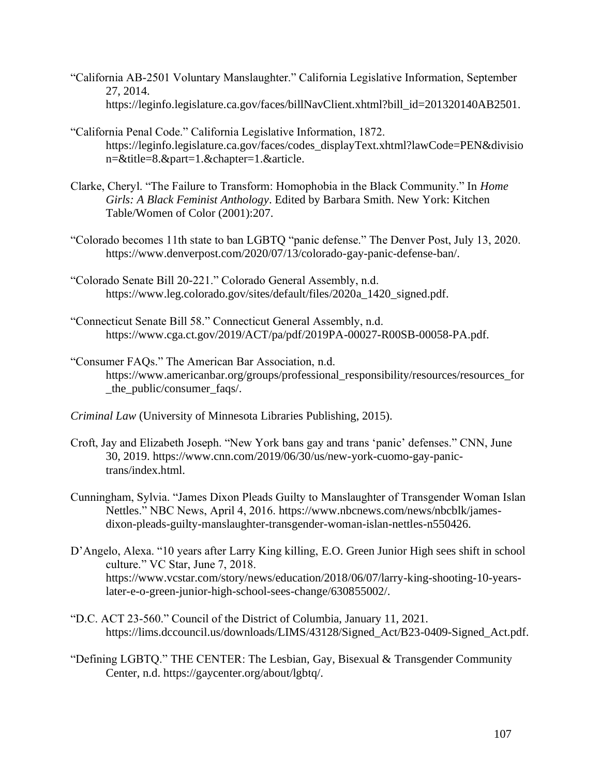- "California AB-2501 Voluntary Manslaughter." California Legislative Information, September 27, 2014. https://leginfo.legislature.ca.gov/faces/billNavClient.xhtml?bill\_id=201320140AB2501.
- "California Penal Code." California Legislative Information, 1872. [https://leginfo.legislature.ca.gov/faces/codes\\_displayText.xhtml?lawCode=PEN&divisio](https://leginfo.legislature.ca.gov/faces/codes_displayText.xhtml?lawCode=PEN&division=&title=8.&part=1.&chapter=1.&article) [n=&title=8.&part=1.&chapter=1.&article.](https://leginfo.legislature.ca.gov/faces/codes_displayText.xhtml?lawCode=PEN&division=&title=8.&part=1.&chapter=1.&article)
- Clarke, Cheryl. "The Failure to Transform: Homophobia in the Black Community." In *Home Girls: A Black Feminist Anthology*. Edited by Barbara Smith. New York: Kitchen Table/Women of Color (2001):207.
- "Colorado becomes 11th state to ban LGBTQ "panic defense." The Denver Post, July 13, 2020. https://www.denverpost.com/2020/07/13/colorado-gay-panic-defense-ban/.
- "Colorado Senate Bill 20-221." Colorado General Assembly, n.d. https://www.leg.colorado.gov/sites/default/files/2020a\_1420\_signed.pdf.
- "Connecticut Senate Bill 58." Connecticut General Assembly, n.d. https://www.cga.ct.gov/2019/ACT/pa/pdf/2019PA-00027-R00SB-00058-PA.pdf.
- "Consumer FAQs." The American Bar Association, n.d. https://www.americanbar.org/groups/professional\_responsibility/resources/resources\_for the public/consumer faqs/.
- *Criminal Law* (University of Minnesota Libraries Publishing, 2015).
- Croft, Jay and Elizabeth Joseph. "New York bans gay and trans 'panic' defenses." CNN, June 30, 2019. [https://www.cnn.com/2019/06/30/us/new-york-cuomo-gay-panic](https://www.cnn.com/2019/06/30/us/new-york-cuomo-gay-panic-trans/index.html)[trans/index.html.](https://www.cnn.com/2019/06/30/us/new-york-cuomo-gay-panic-trans/index.html)
- Cunningham, Sylvia. "James Dixon Pleads Guilty to Manslaughter of Transgender Woman Islan Nettles." NBC News, April 4, 2016. [https://www.nbcnews.com/news/nbcblk/james](https://www.nbcnews.com/news/nbcblk/james-dixon-pleads-guilty-manslaughter-transgender-woman-islan-nettles-n550426)[dixon-pleads-guilty-manslaughter-transgender-woman-islan-nettles-n550426.](https://www.nbcnews.com/news/nbcblk/james-dixon-pleads-guilty-manslaughter-transgender-woman-islan-nettles-n550426)
- D'Angelo, Alexa. "10 years after Larry King killing, E.O. Green Junior High sees shift in school culture." VC Star, June 7, 2018. https://www.vcstar.com/story/news/education/2018/06/07/larry-king-shooting-10-yearslater-e-o-green-junior-high-school-sees-change/630855002/.
- "D.C. ACT 23-560." Council of the District of Columbia, January 11, 2021. https://lims.dccouncil.us/downloads/LIMS/43128/Signed\_Act/B23-0409-Signed\_Act.pdf.
- "Defining LGBTQ." THE CENTER: The Lesbian, Gay, Bisexual & Transgender Community Center, n.d. https://gaycenter.org/about/lgbtq/.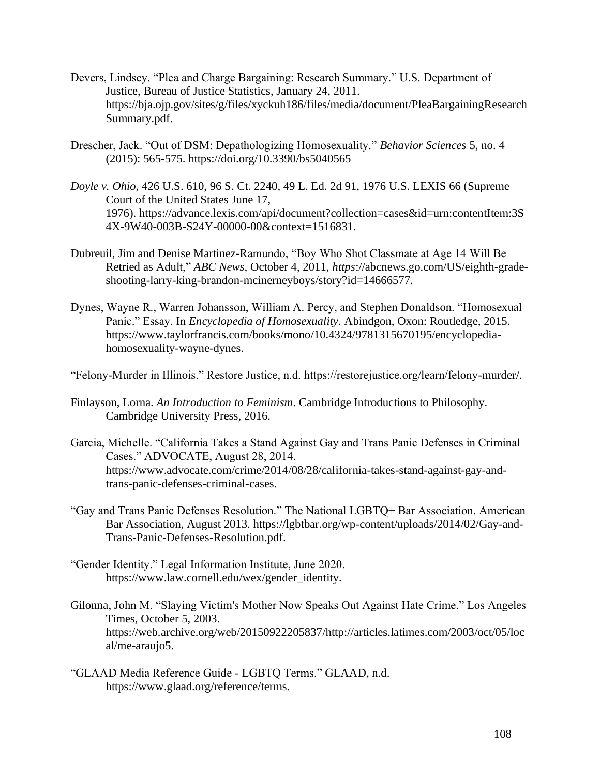- Devers, Lindsey. "Plea and Charge Bargaining: Research Summary." U.S. Department of Justice, Bureau of Justice Statistics, January 24, 2011. https://bja.ojp.gov/sites/g/files/xyckuh186/files/media/document/PleaBargainingResearch Summary.pdf.
- Drescher, Jack. "Out of DSM: Depathologizing Homosexuality." *Behavior Sciences* 5, no. 4 (2015): 565-575. https://doi.org/10.3390/bs5040565
- *Doyle v. Ohio*, 426 U.S. 610, 96 S. Ct. 2240, 49 L. Ed. 2d 91, 1976 U.S. LEXIS 66 (Supreme Court of the United States June 17, 1976). https://advance.lexis.com/api/document?collection=cases&id=urn:contentItem:3S 4X-9W40-003B-S24Y-00000-00&context=1516831.
- Dubreuil, Jim and Denise Martinez-Ramundo, "Boy Who Shot Classmate at Age 14 Will Be Retried as Adult," *ABC News,* October 4, 2011, *https*://abcnews.go.com/US/eighth-gradeshooting-larry-king-brandon-mcinerneyboys/story?id=14666577.
- Dynes, Wayne R., Warren Johansson, William A. Percy, and Stephen Donaldson. "Homosexual Panic." Essay. In *Encyclopedia of Homosexuality*. Abindgon, Oxon: Routledge, 2015. https://www.taylorfrancis.com/books/mono/10.4324/9781315670195/encyclopediahomosexuality-wayne-dynes.

"Felony-Murder in Illinois." Restore Justice, n.d. https://restorejustice.org/learn/felony-murder/.

- Finlayson, Lorna. *An Introduction to Feminism*. Cambridge Introductions to Philosophy. Cambridge University Press, 2016.
- Garcia, Michelle. "California Takes a Stand Against Gay and Trans Panic Defenses in Criminal Cases." ADVOCATE, August 28, 2014. https://www.advocate.com/crime/2014/08/28/california-takes-stand-against-gay-andtrans-panic-defenses-criminal-cases.
- "Gay and Trans Panic Defenses Resolution." The National LGBTQ+ Bar Association. American Bar Association, August 2013. https://lgbtbar.org/wp-content/uploads/2014/02/Gay-and-Trans-Panic-Defenses-Resolution.pdf.
- "Gender Identity." Legal Information Institute, June 2020. https://www.law.cornell.edu/wex/gender\_identity.
- Gilonna, John M. "Slaying Victim's Mother Now Speaks Out Against Hate Crime." Los Angeles Times, October 5, 2003. https://web.archive.org/web/20150922205837/http://articles.latimes.com/2003/oct/05/loc al/me-araujo5.
- "GLAAD Media Reference Guide LGBTQ Terms." GLAAD, n.d. https://www.glaad.org/reference/terms.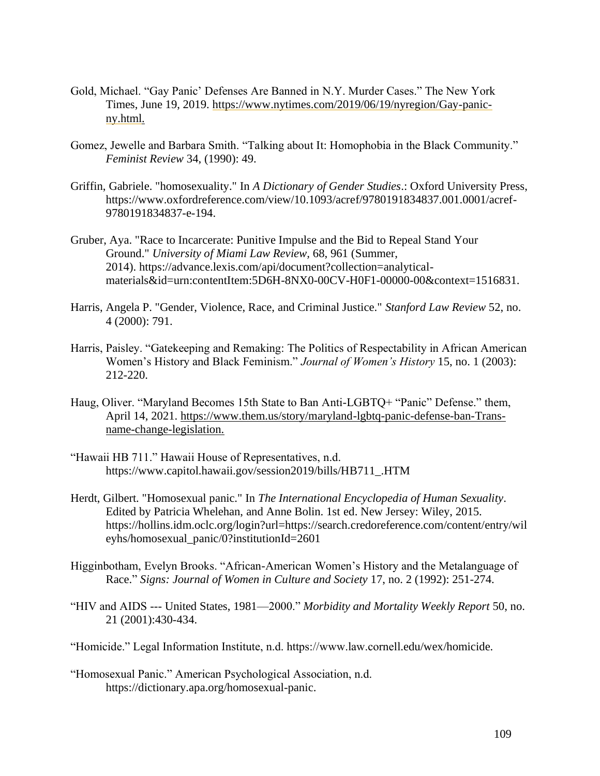- Gold, Michael. "Gay Panic' Defenses Are Banned in N.Y. Murder Cases." The New York Times, June 19, 2019. https://www.nytimes.com/2019/06/19/nyregion/Gay-panicny.html.
- Gomez, Jewelle and Barbara Smith. "Talking about It: Homophobia in the Black Community." *Feminist Review* 34, (1990): 49.
- Griffin, Gabriele. "homosexuality." In *A Dictionary of Gender Studies*.: Oxford University Press, https://www.oxfordreference.com/view/10.1093/acref/9780191834837.001.0001/acref-9780191834837-e-194.
- Gruber, Aya. "Race to Incarcerate: Punitive Impulse and the Bid to Repeal Stand Your Ground." *University of Miami Law Review,* 68, 961 (Summer, 2014). https://advance.lexis.com/api/document?collection=analyticalmaterials&id=urn:contentItem:5D6H-8NX0-00CV-H0F1-00000-00&context=1516831.
- Harris, Angela P. "Gender, Violence, Race, and Criminal Justice." *Stanford Law Review* 52, no. 4 (2000): 791.
- Harris, Paisley. "Gatekeeping and Remaking: The Politics of Respectability in African American Women's History and Black Feminism." *Journal of Women's History* 15, no. 1 (2003): 212-220.
- Haug, Oliver. "Maryland Becomes 15th State to Ban Anti-LGBTQ+ "Panic" Defense." them, April 14, 2021. https://www.them.us/story/maryland-lgbtq-panic-defense-ban-Transname-change-legislation.
- "Hawaii HB 711." Hawaii House of Representatives, n.d. https://www.capitol.hawaii.gov/session2019/bills/HB711\_.HTM
- Herdt, Gilbert. "Homosexual panic." In *The International Encyclopedia of Human Sexuality*. Edited by Patricia Whelehan, and Anne Bolin. 1st ed. New Jersey: Wiley, 2015. https://hollins.idm.oclc.org/login?url=https://search.credoreference.com/content/entry/wil eyhs/homosexual\_panic/0?institutionId=2601
- Higginbotham, Evelyn Brooks. "African-American Women's History and the Metalanguage of Race." *Signs: Journal of Women in Culture and Society* 17, no. 2 (1992): 251-274.
- "HIV and AIDS --- United States, 1981—2000." *Morbidity and Mortality Weekly Report* 50, no. 21 (2001):430-434.
- "Homicide." Legal Information Institute, n.d. https://www.law.cornell.edu/wex/homicide.
- "Homosexual Panic." American Psychological Association, n.d. https://dictionary.apa.org/homosexual-panic.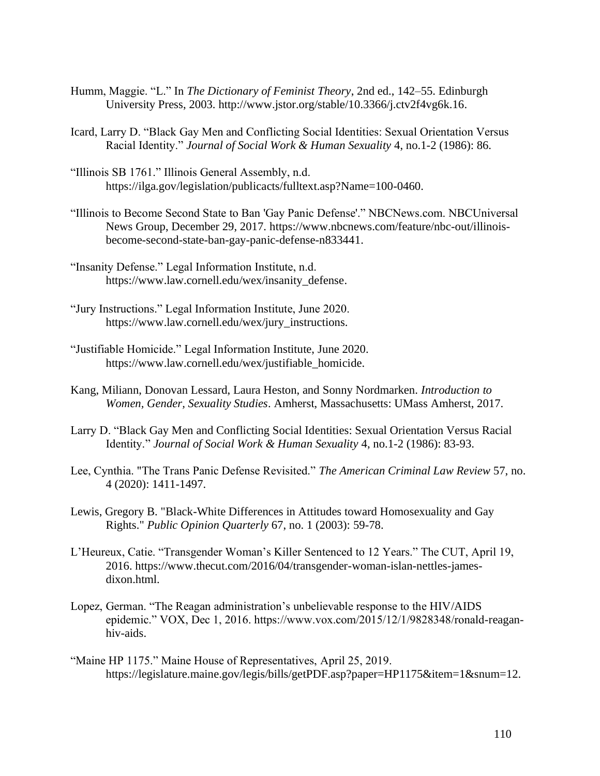- Humm, Maggie. "L." In *The Dictionary of Feminist Theory*, 2nd ed., 142–55. Edinburgh University Press, 2003. http://www.jstor.org/stable/10.3366/j.ctv2f4vg6k.16.
- Icard, Larry D. "Black Gay Men and Conflicting Social Identities: Sexual Orientation Versus Racial Identity." *Journal of Social Work & Human Sexuality* 4, no.1-2 (1986): 86.
- "Illinois SB 1761." Illinois General Assembly, n.d. https://ilga.gov/legislation/publicacts/fulltext.asp?Name=100-0460.
- "Illinois to Become Second State to Ban 'Gay Panic Defense'." NBCNews.com. NBCUniversal News Group, December 29, 2017. https://www.nbcnews.com/feature/nbc-out/illinoisbecome-second-state-ban-gay-panic-defense-n833441.
- "Insanity Defense." Legal Information Institute, n.d. https://www.law.cornell.edu/wex/insanity\_defense.
- "Jury Instructions." Legal Information Institute, June 2020. https://www.law.cornell.edu/wex/jury\_instructions.
- "Justifiable Homicide." Legal Information Institute, June 2020. https://www.law.cornell.edu/wex/justifiable\_homicide.
- Kang, Miliann, Donovan Lessard, Laura Heston, and Sonny Nordmarken. *Introduction to Women, Gender, Sexuality Studies*. Amherst, Massachusetts: UMass Amherst, 2017.
- Larry D. "Black Gay Men and Conflicting Social Identities: Sexual Orientation Versus Racial Identity." *Journal of Social Work & Human Sexuality* 4, no.1-2 (1986): 83-93.
- Lee, Cynthia. "The Trans Panic Defense Revisited." *The American Criminal Law Review* 57, no. 4 (2020): 1411-1497.
- Lewis, Gregory B. "Black-White Differences in Attitudes toward Homosexuality and Gay Rights." *Public Opinion Quarterly* 67, no. 1 (2003): 59-78.
- L'Heureux, Catie. "Transgender Woman's Killer Sentenced to 12 Years." The CUT, April 19, 2016. https://www.thecut.com/2016/04/transgender-woman-islan-nettles-jamesdixon.html.
- Lopez, German. "The Reagan administration's unbelievable response to the HIV/AIDS epidemic." VOX, Dec 1, 2016. https://www.vox.com/2015/12/1/9828348/ronald-reaganhiv-aids.
- "Maine HP 1175." Maine House of Representatives, April 25, 2019. https://legislature.maine.gov/legis/bills/getPDF.asp?paper=HP1175&item=1&snum=12.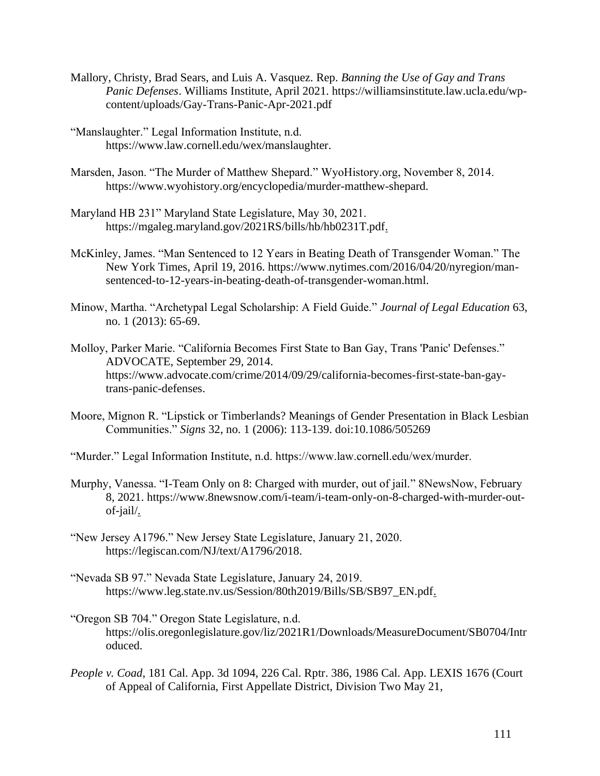- Mallory, Christy, Brad Sears, and Luis A. Vasquez. Rep. *Banning the Use of Gay and Trans Panic Defenses*. Williams Institute, April 2021. https://williamsinstitute.law.ucla.edu/wpcontent/uploads/Gay-Trans-Panic-Apr-2021.pdf
- "Manslaughter." Legal Information Institute, n.d. https://www.law.cornell.edu/wex/manslaughter.
- Marsden, Jason. "The Murder of Matthew Shepard." WyoHistory.org, November 8, 2014. https://www.wyohistory.org/encyclopedia/murder-matthew-shepard.
- Maryland HB 231" Maryland State Legislature, May 30, 2021. https://mgaleg.maryland.gov/2021RS/bills/hb/hb0231T.pdf.
- McKinley, James. "Man Sentenced to 12 Years in Beating Death of Transgender Woman." The New York Times, April 19, 2016. https://www.nytimes.com/2016/04/20/nyregion/mansentenced-to-12-years-in-beating-death-of-transgender-woman.html.
- Minow, Martha. "Archetypal Legal Scholarship: A Field Guide." *Journal of Legal Education* 63, no. 1 (2013): 65-69.
- Molloy, Parker Marie. "California Becomes First State to Ban Gay, Trans 'Panic' Defenses." ADVOCATE, September 29, 2014. https://www.advocate.com/crime/2014/09/29/california-becomes-first-state-ban-gaytrans-panic-defenses.
- Moore, Mignon R. "Lipstick or Timberlands? Meanings of Gender Presentation in Black Lesbian Communities." *Signs* 32, no. 1 (2006): 113-139. doi:10.1086/505269
- "Murder." Legal Information Institute, n.d. https://www.law.cornell.edu/wex/murder.
- Murphy, Vanessa. "I-Team Only on 8: Charged with murder, out of jail." 8NewsNow, February 8, 2021. https://www.8newsnow.com/i-team/i-team-only-on-8-charged-with-murder-outof-jail $\frac{1}{2}$
- "New Jersey A1796." New Jersey State Legislature, January 21, 2020. https://legiscan.com/NJ/text/A1796/2018.
- "Nevada SB 97." Nevada State Legislature, January 24, 2019. https://www.leg.state.nv.us/Session/80th2019/Bills/SB/SB97\_EN.pdf.
- "Oregon SB 704." Oregon State Legislature, n.d. https://olis.oregonlegislature.gov/liz/2021R1/Downloads/MeasureDocument/SB0704/Intr oduced.
- *People v. Coad*, 181 Cal. App. 3d 1094, 226 Cal. Rptr. 386, 1986 Cal. App. LEXIS 1676 (Court of Appeal of California, First Appellate District, Division Two May 21,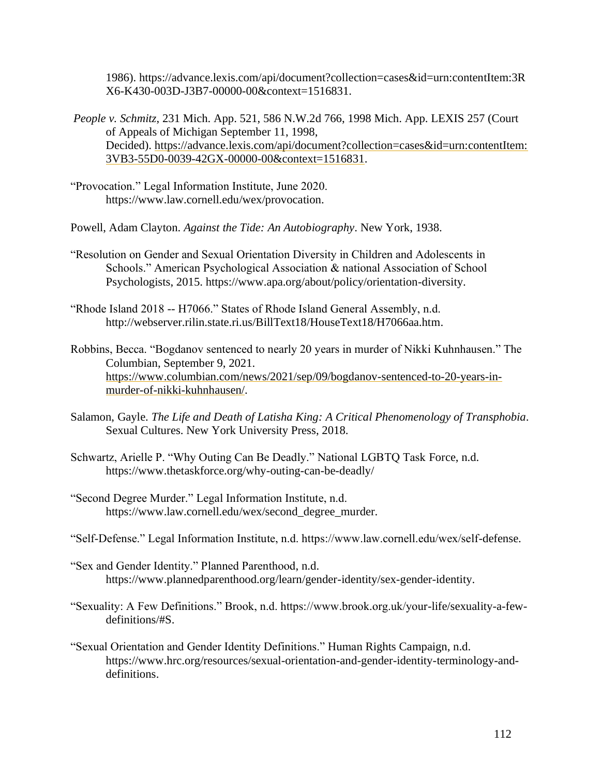1986). https://advance.lexis.com/api/document?collection=cases&id=urn:contentItem:3R X6-K430-003D-J3B7-00000-00&context=1516831.

- *People v. Schmitz*, 231 Mich. App. 521, 586 N.W.2d 766, 1998 Mich. App. LEXIS 257 (Court of Appeals of Michigan September 11, 1998, Decided). https://advance.lexis.com/api/document?collection=cases&id=urn:contentItem: 3VB3-55D0-0039-42GX-00000-00&context=1516831.
- "Provocation." Legal Information Institute, June 2020. https://www.law.cornell.edu/wex/provocation.
- Powell, Adam Clayton. *Against the Tide: An Autobiography*. New York, 1938.
- "Resolution on Gender and Sexual Orientation Diversity in Children and Adolescents in Schools." American Psychological Association & national Association of School Psychologists, 2015. https://www.apa.org/about/policy/orientation-diversity.
- "Rhode Island 2018 -- H7066." States of Rhode Island General Assembly, n.d. http://webserver.rilin.state.ri.us/BillText18/HouseText18/H7066aa.htm.
- Robbins, Becca. "Bogdanov sentenced to nearly 20 years in murder of Nikki Kuhnhausen." The Columbian, September 9, 2021. https://www.columbian.com/news/2021/sep/09/bogdanov-sentenced-to-20-years-inmurder-of-nikki-kuhnhausen/.
- Salamon, Gayle. *The Life and Death of Latisha King: A Critical Phenomenology of Transphobia*. Sexual Cultures. New York University Press, 2018.
- Schwartz, Arielle P. "Why Outing Can Be Deadly." National LGBTQ Task Force, n.d. https://www.thetaskforce.org/why-outing-can-be-deadly/
- "Second Degree Murder." Legal Information Institute, n.d. https://www.law.cornell.edu/wex/second\_degree\_murder.
- "Self-Defense." Legal Information Institute, n.d. https://www.law.cornell.edu/wex/self-defense.
- "Sex and Gender Identity." Planned Parenthood, n.d. https://www.plannedparenthood.org/learn/gender-identity/sex-gender-identity.
- "Sexuality: A Few Definitions." Brook, n.d. https://www.brook.org.uk/your-life/sexuality-a-fewdefinitions/#S.
- "Sexual Orientation and Gender Identity Definitions." Human Rights Campaign, n.d. https://www.hrc.org/resources/sexual-orientation-and-gender-identity-terminology-anddefinitions.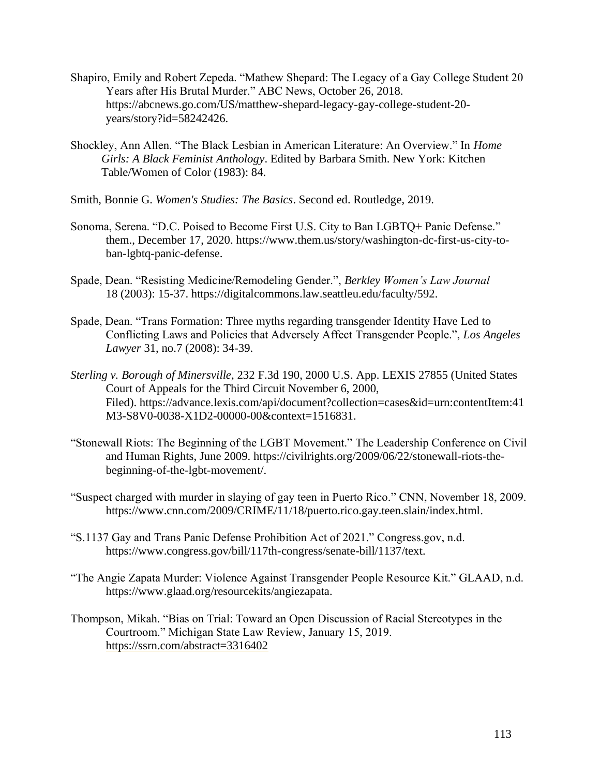- Shapiro, Emily and Robert Zepeda. "Mathew Shepard: The Legacy of a Gay College Student 20 Years after His Brutal Murder." ABC News, October 26, 2018. https://abcnews.go.com/US/matthew-shepard-legacy-gay-college-student-20 years/story?id=58242426.
- Shockley, Ann Allen. "The Black Lesbian in American Literature: An Overview." In *Home Girls: A Black Feminist Anthology*. Edited by Barbara Smith. New York: Kitchen Table/Women of Color (1983): 84.
- Smith, Bonnie G. *Women's Studies: The Basics*. Second ed. Routledge, 2019.
- Sonoma, Serena. "D.C. Poised to Become First U.S. City to Ban LGBTQ+ Panic Defense." them., December 17, 2020. https://www.them.us/story/washington-dc-first-us-city-toban-lgbtq-panic-defense.
- Spade, Dean. "Resisting Medicine/Remodeling Gender.", *Berkley Women's Law Journal*  18 (2003): 15-37. https://digitalcommons.law.seattleu.edu/faculty/592.
- Spade, Dean. "Trans Formation: Three myths regarding transgender Identity Have Led to Conflicting Laws and Policies that Adversely Affect Transgender People.", *Los Angeles Lawyer* 31, no.7 (2008): 34-39.
- *Sterling v. Borough of Minersville*, 232 F.3d 190, 2000 U.S. App. LEXIS 27855 (United States Court of Appeals for the Third Circuit November 6, 2000, Filed). https://advance.lexis.com/api/document?collection=cases&id=urn:contentItem:41 M3-S8V0-0038-X1D2-00000-00&context=1516831.
- "Stonewall Riots: The Beginning of the LGBT Movement." The Leadership Conference on Civil and Human Rights, June 2009. https://civilrights.org/2009/06/22/stonewall-riots-thebeginning-of-the-lgbt-movement/.
- "Suspect charged with murder in slaying of gay teen in Puerto Rico." CNN, November 18, 2009. https://www.cnn.com/2009/CRIME/11/18/puerto.rico.gay.teen.slain/index.html.
- "S.1137 Gay and Trans Panic Defense Prohibition Act of 2021." Congress.gov, n.d. https://www.congress.gov/bill/117th-congress/senate-bill/1137/text.
- "The Angie Zapata Murder: Violence Against Transgender People Resource Kit." GLAAD, n.d. https://www.glaad.org/resourcekits/angiezapata.
- Thompson, Mikah. "Bias on Trial: Toward an Open Discussion of Racial Stereotypes in the Courtroom." Michigan State Law Review, January 15, 2019. https://ssrn.com/abstract=3316402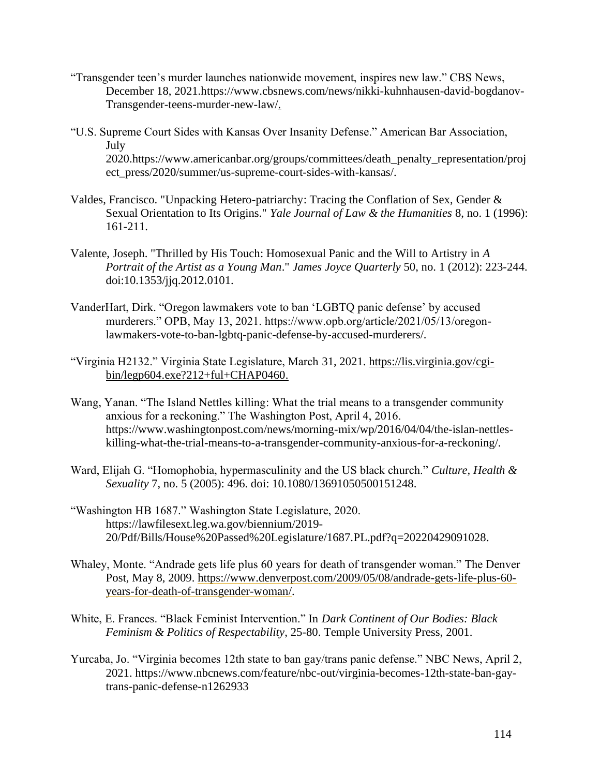- "Transgender teen's murder launches nationwide movement, inspires new law." CBS News, December 18, 2021.https://www.cbsnews.com/news/nikki-kuhnhausen-david-bogdanov-Transgender-teens-murder-new-law/.
- "U.S. Supreme Court Sides with Kansas Over Insanity Defense." American Bar Association, July 2020.https://www.americanbar.org/groups/committees/death\_penalty\_representation/proj ect\_press/2020/summer/us-supreme-court-sides-with-kansas/.
- Valdes, Francisco. "Unpacking Hetero-patriarchy: Tracing the Conflation of Sex, Gender & Sexual Orientation to Its Origins." *Yale Journal of Law & the Humanities* 8, no. 1 (1996): 161-211.
- Valente, Joseph. "Thrilled by His Touch: Homosexual Panic and the Will to Artistry in *A Portrait of the Artist as a Young Man*." *James Joyce Quarterly* 50, no. 1 (2012): 223-244. [doi:10.1353/jjq.2012.0101.](http://doi.org/10.1353/jjq.2012.0101)
- VanderHart, Dirk. "Oregon lawmakers vote to ban 'LGBTQ panic defense' by accused murderers." OPB, May 13, 2021. https://www.opb.org/article/2021/05/13/oregonlawmakers-vote-to-ban-lgbtq-panic-defense-by-accused-murderers/.
- "Virginia H2132." Virginia State Legislature, March 31, 2021. [https://lis.virginia.gov/cgi](https://lis.virginia.gov/cgi-bin/legp604.exe?212+ful+CHAP0460)[bin/legp604.exe?212+ful+CHAP0460.](https://lis.virginia.gov/cgi-bin/legp604.exe?212+ful+CHAP0460)
- Wang, Yanan. "The Island Nettles killing: What the trial means to a transgender community anxious for a reckoning." The Washington Post, April 4, 2016. [https://www.washingtonpost.com/news/morning-mix/wp/2016/04/04/the-islan-nettles](https://www.washingtonpost.com/news/morning-mix/wp/2016/04/04/the-islan-nettles-killing-what-the-trial-means-to-a-transgender-community-anxious-for-a-reckoning/)[killing-what-the-trial-means-to-a-transgender-community-anxious-for-a-reckoning/.](https://www.washingtonpost.com/news/morning-mix/wp/2016/04/04/the-islan-nettles-killing-what-the-trial-means-to-a-transgender-community-anxious-for-a-reckoning/)
- Ward, Elijah G. "Homophobia, hypermasculinity and the US black church." *Culture, Health & Sexuality* 7, no. 5 (2005): 496. doi: 10.1080/13691050500151248.
- "Washington HB 1687." Washington State Legislature, 2020. https://lawfilesext.leg.wa.gov/biennium/2019- 20/Pdf/Bills/House%20Passed%20Legislature/1687.PL.pdf?q=20220429091028.
- Whaley, Monte. "Andrade gets life plus 60 years for death of transgender woman." The Denver Post, May 8, 2009. https://www.denverpost.com/2009/05/08/andrade-gets-life-plus-60 years-for-death-of-transgender-woman/.
- White, E. Frances. "Black Feminist Intervention." In *Dark Continent of Our Bodies: Black Feminism & Politics of Respectability*, 25-80. Temple University Press, 2001.
- Yurcaba, Jo. "Virginia becomes 12th state to ban gay/trans panic defense." NBC News, April 2, 2021. https://www.nbcnews.com/feature/nbc-out/virginia-becomes-12th-state-ban-gaytrans-panic-defense-n1262933